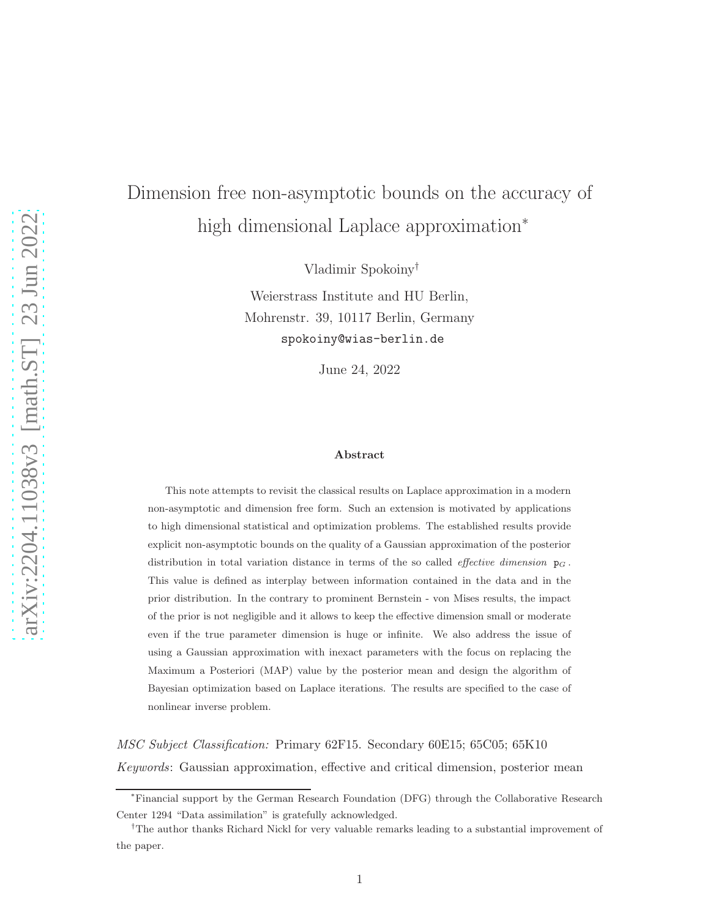# Dimension free non-asymptotic bounds on the accuracy of high dimensional Laplace approximation<sup>∗</sup>

Vladimir Spokoiny†

Weierstrass Institute and HU Berlin, Mohrenstr. 39, 10117 Berlin, Germany spokoiny@wias-berlin.de

June 24, 2022

#### Abstract

This note attempts to revisit the classical results on Laplace approximation in a modern non-asymptotic and dimension free form. Such an extension is motivated by applications to high dimensional statistical and optimization problems. The established results provide explicit non-asymptotic bounds on the quality of a Gaussian approximation of the posterior distribution in total variation distance in terms of the so called *effective dimension*  $p<sub>G</sub>$ . This value is defined as interplay between information contained in the data and in the prior distribution. In the contrary to prominent Bernstein - von Mises results, the impact of the prior is not negligible and it allows to keep the effective dimension small or moderate even if the true parameter dimension is huge or infinite. We also address the issue of using a Gaussian approximation with inexact parameters with the focus on replacing the Maximum a Posteriori (MAP) value by the posterior mean and design the algorithm of Bayesian optimization based on Laplace iterations. The results are specified to the case of nonlinear inverse problem.

MSC Subject Classification: Primary 62F15. Secondary 60E15; 65C05; 65K10 Keywords: Gaussian approximation, effective and critical dimension, posterior mean

<sup>∗</sup>Financial support by the German Research Foundation (DFG) through the Collaborative Research Center 1294 "Data assimilation" is gratefully acknowledged.

<sup>†</sup>The author thanks Richard Nickl for very valuable remarks leading to a substantial improvement of the paper.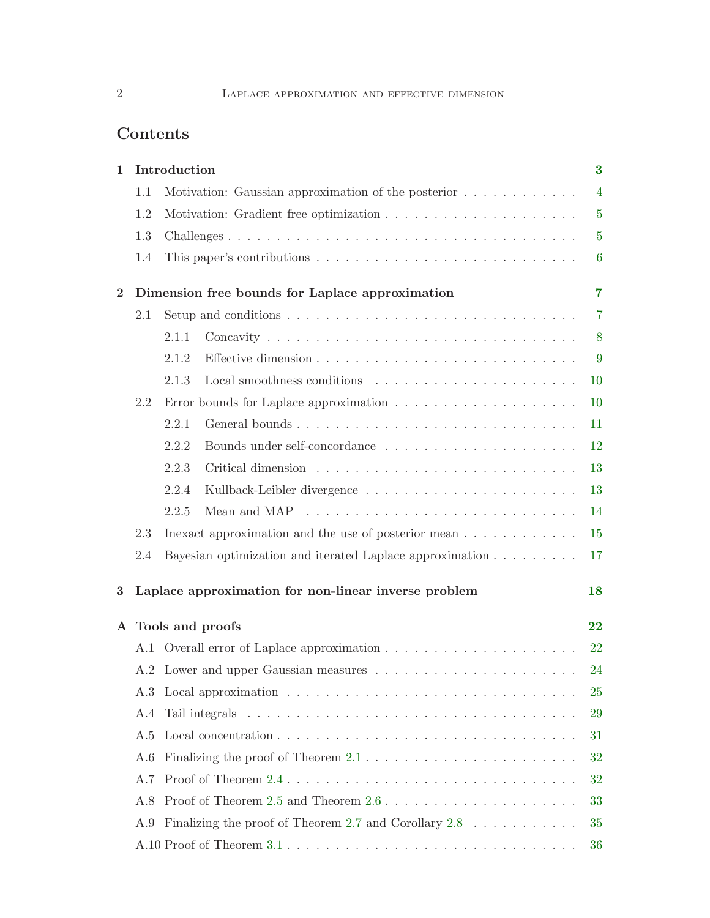# Contents

| $\mathbf{1}$ |     | Introduction |                                                                                              | $\bf{3}$         |
|--------------|-----|--------------|----------------------------------------------------------------------------------------------|------------------|
|              | 1.1 |              | Motivation: Gaussian approximation of the posterior                                          | $\overline{4}$   |
|              | 1.2 |              |                                                                                              | $\overline{5}$   |
|              | 1.3 |              |                                                                                              | $\overline{5}$   |
|              | 1.4 |              |                                                                                              | $\boldsymbol{6}$ |
| $\bf{2}$     |     |              | Dimension free bounds for Laplace approximation                                              | 7                |
|              | 2.1 |              | Setup and conditions $\ldots \ldots \ldots \ldots \ldots \ldots \ldots \ldots \ldots \ldots$ | $\overline{7}$   |
|              |     | 2.1.1        |                                                                                              | 8                |
|              |     | 2.1.2        |                                                                                              | 9                |
|              |     | 2.1.3        |                                                                                              | 10               |
|              | 2.2 |              |                                                                                              | 10               |
|              |     | 2.2.1        |                                                                                              | 11               |
|              |     | 2.2.2        |                                                                                              | 12               |
|              |     | 2.2.3        |                                                                                              | 13               |
|              |     | 2.2.4        |                                                                                              | 13               |
|              |     | 2.2.5        | Mean and MAP $\dots \dots \dots \dots \dots \dots \dots \dots \dots \dots \dots$             | 14               |
|              | 2.3 |              | Inexact approximation and the use of posterior mean $\dots \dots \dots \dots$                | 15               |
|              | 2.4 |              | Bayesian optimization and iterated Laplace approximation                                     | 17               |
| 3            |     |              | Laplace approximation for non-linear inverse problem                                         | 18               |
| $\mathbf{A}$ |     |              | Tools and proofs                                                                             | 22               |
|              |     |              |                                                                                              | 22               |
|              |     |              |                                                                                              | 24               |
|              | A.3 |              |                                                                                              | <b>25</b>        |
|              | A.4 |              |                                                                                              | 29               |
|              | A.5 |              |                                                                                              | 31               |
|              | A.6 |              |                                                                                              | 32               |
|              | A.7 |              |                                                                                              | 32               |
|              | A.8 |              | Proof of Theorem 2.5 and Theorem $2.6 \ldots \ldots \ldots \ldots \ldots \ldots \ldots$      | 33               |
|              | A.9 |              | Finalizing the proof of Theorem 2.7 and Corollary $2.8$                                      | 35               |
|              |     |              |                                                                                              | 36               |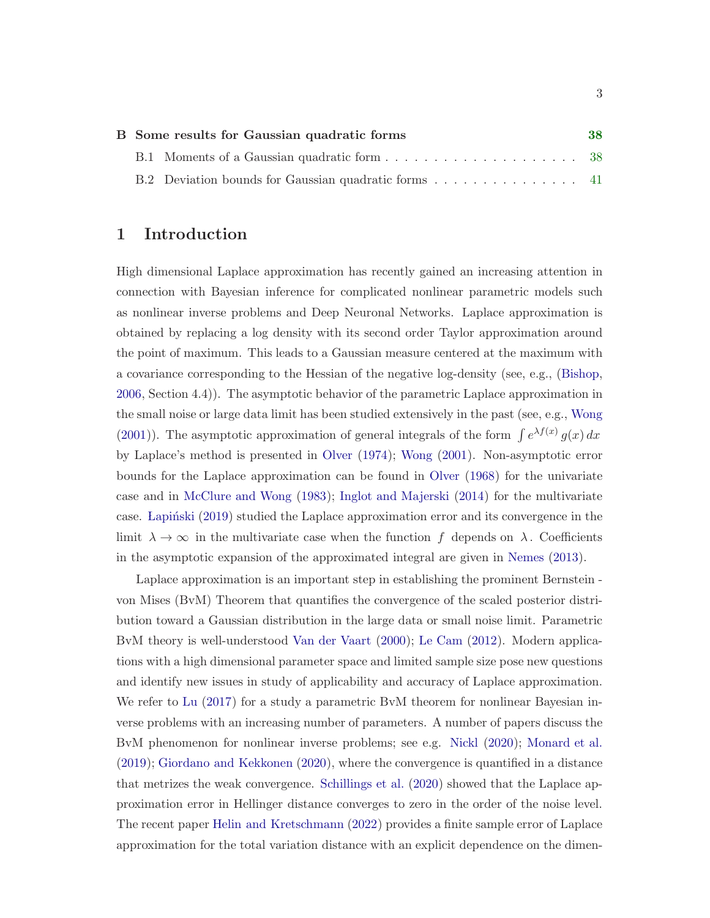|  | B Some results for Gaussian quadratic forms          | 38 |
|--|------------------------------------------------------|----|
|  |                                                      |    |
|  | B.2 Deviation bounds for Gaussian quadratic forms 41 |    |

# <span id="page-2-0"></span>1 Introduction

High dimensional Laplace approximation has recently gained an increasing attention in connection with Bayesian inference for complicated nonlinear parametric models such as nonlinear inverse problems and Deep Neuronal Networks. Laplace approximation is obtained by replacing a log density with its second order Taylor approximation around the point of maximum. This leads to a Gaussian measure centered at the maximum with a covariance corresponding to the Hessian of the negative log-density (see, e.g., [\(Bishop,](#page-43-0) [2006](#page-43-0), Section 4.4)). The asymptotic behavior of the parametric Laplace approximation in the small noise or large data limit has been studied extensively in the past (see, e.g., [Wong](#page-45-0) [\(2001](#page-45-0))). The asymptotic approximation of general integrals of the form  $\int e^{\lambda f(x)} g(x) dx$ by Laplace's method is presented in [Olver](#page-44-0) [\(1974](#page-44-0)); [Wong](#page-45-0) [\(2001](#page-45-0)). Non-asymptotic error bounds for the Laplace approximation can be found in [Olver](#page-44-1) [\(1968\)](#page-44-1) for the univariate case and in [McClure and Wong](#page-44-2) [\(1983](#page-44-2)); [Inglot and Majerski](#page-43-1) [\(2014](#page-43-1)) for the multivariate case. Lapinski [\(2019](#page-43-2)) studied the Laplace approximation error and its convergence in the limit  $\lambda \to \infty$  in the multivariate case when the function f depends on  $\lambda$ . Coefficients in the asymptotic expansion of the approximated integral are given in [Nemes](#page-44-3) [\(2013](#page-44-3)).

Laplace approximation is an important step in establishing the prominent Bernstein von Mises (BvM) Theorem that quantifies the convergence of the scaled posterior distribution toward a Gaussian distribution in the large data or small noise limit. Parametric BvM theory is well-understood [Van der Vaart](#page-45-1) [\(2000](#page-45-1)); [Le Cam](#page-44-4) [\(2012\)](#page-44-4). Modern applications with a high dimensional parameter space and limited sample size pose new questions and identify new issues in study of applicability and accuracy of Laplace approximation. We refer to [Lu](#page-44-5) [\(2017](#page-44-5)) for a study a parametric BvM theorem for nonlinear Bayesian inverse problems with an increasing number of parameters. A number of papers discuss the BvM phenomenon for nonlinear inverse problems; see e.g. [Nickl](#page-44-6) [\(2020](#page-44-6)); [Monard et al.](#page-44-7) [\(2019](#page-44-7)); [Giordano and Kekkonen](#page-43-3) [\(2020](#page-43-3)), where the convergence is quantified in a distance that metrizes the weak convergence. [Schillings et al.](#page-45-2) [\(2020](#page-45-2)) showed that the Laplace approximation error in Hellinger distance converges to zero in the order of the noise level. The recent paper [Helin and Kretschmann](#page-43-4) [\(2022](#page-43-4)) provides a finite sample error of Laplace approximation for the total variation distance with an explicit dependence on the dimen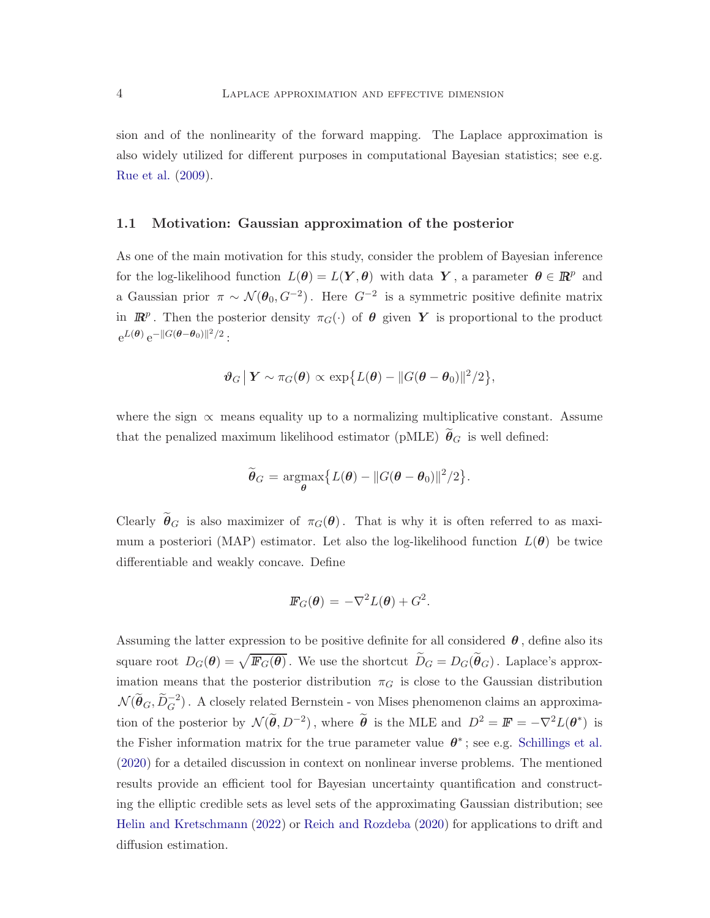sion and of the nonlinearity of the forward mapping. The Laplace approximation is also widely utilized for different purposes in computational Bayesian statistics; see e.g. [Rue et al.](#page-45-3) [\(2009\)](#page-45-3).

#### <span id="page-3-0"></span>1.1 Motivation: Gaussian approximation of the posterior

As one of the main motivation for this study, consider the problem of Bayesian inference for the log-likelihood function  $L(\theta) = L(Y, \theta)$  with data Y, a parameter  $\theta \in \mathbb{R}^p$  and a Gaussian prior  $\pi \sim \mathcal{N}(\theta_0, G^{-2})$ . Here  $G^{-2}$  is a symmetric positive definite matrix in  $\mathbb{R}^p$ . Then the posterior density  $\pi_G(\cdot)$  of  $\theta$  given Y is proportional to the product  $e^{L(\boldsymbol{\theta})} e^{-\|G(\boldsymbol{\theta}-\boldsymbol{\theta}_0)\|^2/2}$ :

$$
\boldsymbol{\vartheta}_G \big| \boldsymbol{Y} \sim \pi_G(\boldsymbol{\theta}) \propto \exp\big\{ L(\boldsymbol{\theta}) - \|G(\boldsymbol{\theta} - \boldsymbol{\theta}_0)\|^2/2 \big\},\
$$

where the sign  $\propto$  means equality up to a normalizing multiplicative constant. Assume that the penalized maximum likelihood estimator (pMLE)  $\tilde{\theta}_G$  is well defined:

$$
\widetilde{\boldsymbol{\theta}}_G = \underset{\boldsymbol{\theta}}{\operatorname{argmax}} \big\{ L(\boldsymbol{\theta}) - \|G(\boldsymbol{\theta} - \boldsymbol{\theta}_0)\|^2/2 \big\}.
$$

Clearly  $\tilde{\theta}_G$  is also maximizer of  $\pi_G(\theta)$ . That is why it is often referred to as maximum a posteriori (MAP) estimator. Let also the log-likelihood function  $L(\theta)$  be twice differentiable and weakly concave. Define

$$
\mathbb{F}_G(\boldsymbol{\theta}) = -\nabla^2 L(\boldsymbol{\theta}) + G^2.
$$

Assuming the latter expression to be positive definite for all considered  $\theta$ , define also its square root  $D_G(\theta) = \sqrt{\mathbb{F}_G(\theta)}$ . We use the shortcut  $\widetilde{D}_G = D_G(\widetilde{\theta}_G)$ . Laplace's approximation means that the posterior distribution  $\pi_G$  is close to the Gaussian distribution  $\mathcal{N}(\widetilde{\theta}_G, \widetilde{D}_G^{-2})$ . A closely related Bernstein - von Mises phenomenon claims an approximation of the posterior by  $\mathcal{N}(\tilde{\theta}, D^{-2})$ , where  $\tilde{\theta}$  is the MLE and  $D^2 = \mathbb{F} = -\nabla^2 L(\theta^*)$  is the Fisher information matrix for the true parameter value  $\theta^*$ ; see e.g. [Schillings et al.](#page-45-2) [\(2020](#page-45-2)) for a detailed discussion in context on nonlinear inverse problems. The mentioned results provide an efficient tool for Bayesian uncertainty quantification and constructing the elliptic credible sets as level sets of the approximating Gaussian distribution; see [Helin and Kretschmann](#page-43-4) [\(2022](#page-43-4)) or [Reich and Rozdeba](#page-44-8) [\(2020](#page-44-8)) for applications to drift and diffusion estimation.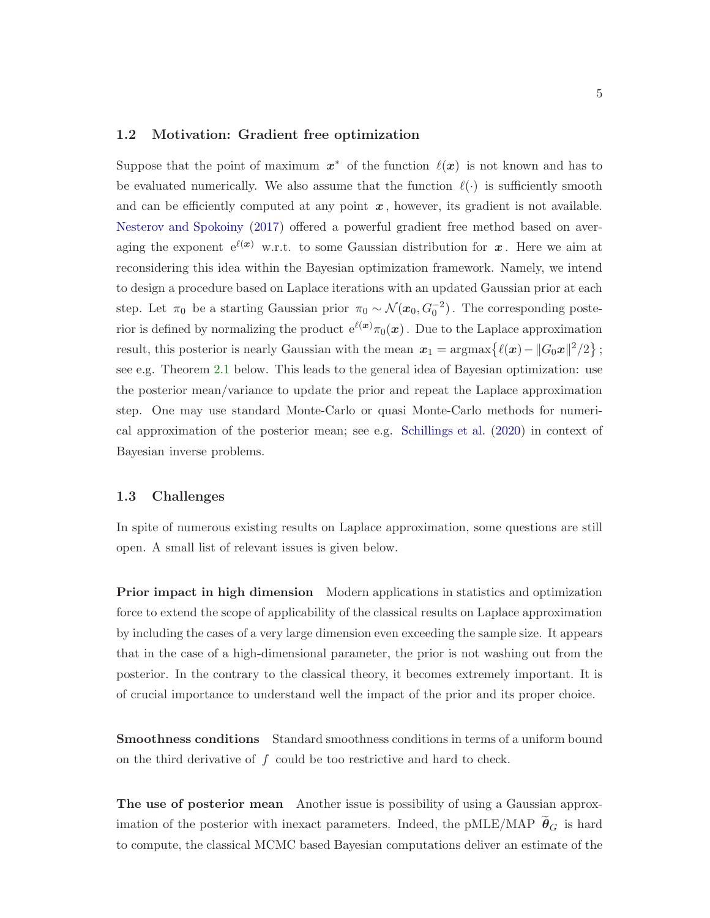#### <span id="page-4-0"></span>1.2 Motivation: Gradient free optimization

Suppose that the point of maximum  $x^*$  of the function  $\ell(x)$  is not known and has to be evaluated numerically. We also assume that the function  $\ell(\cdot)$  is sufficiently smooth and can be efficiently computed at any point  $x$ , however, its gradient is not available. [Nesterov and Spokoiny](#page-44-9) [\(2017\)](#page-44-9) offered a powerful gradient free method based on averaging the exponent  $e^{\ell(x)}$  w.r.t. to some Gaussian distribution for x. Here we aim at reconsidering this idea within the Bayesian optimization framework. Namely, we intend to design a procedure based on Laplace iterations with an updated Gaussian prior at each step. Let  $\pi_0$  be a starting Gaussian prior  $\pi_0 \sim \mathcal{N}(x_0, G_0^{-2})$ . The corresponding posterior is defined by normalizing the product  $e^{\ell(x)}\pi_0(x)$ . Due to the Laplace approximation result, this posterior is nearly Gaussian with the mean  $x_1 = \text{argmax}\{ \ell(x) - ||G_0 x||^2/2 \}$ ; see e.g. Theorem [2.1](#page-10-1) below. This leads to the general idea of Bayesian optimization: use the posterior mean/variance to update the prior and repeat the Laplace approximation step. One may use standard Monte-Carlo or quasi Monte-Carlo methods for numerical approximation of the posterior mean; see e.g. [Schillings et al.](#page-45-2) [\(2020](#page-45-2)) in context of Bayesian inverse problems.

#### <span id="page-4-1"></span>1.3 Challenges

In spite of numerous existing results on Laplace approximation, some questions are still open. A small list of relevant issues is given below.

**Prior impact in high dimension** Modern applications in statistics and optimization force to extend the scope of applicability of the classical results on Laplace approximation by including the cases of a very large dimension even exceeding the sample size. It appears that in the case of a high-dimensional parameter, the prior is not washing out from the posterior. In the contrary to the classical theory, it becomes extremely important. It is of crucial importance to understand well the impact of the prior and its proper choice.

Smoothness conditions Standard smoothness conditions in terms of a uniform bound on the third derivative of  $f$  could be too restrictive and hard to check.

The use of posterior mean Another issue is possibility of using a Gaussian approximation of the posterior with inexact parameters. Indeed, the pMLE/MAP  $\widetilde{\theta}_G$  is hard to compute, the classical MCMC based Bayesian computations deliver an estimate of the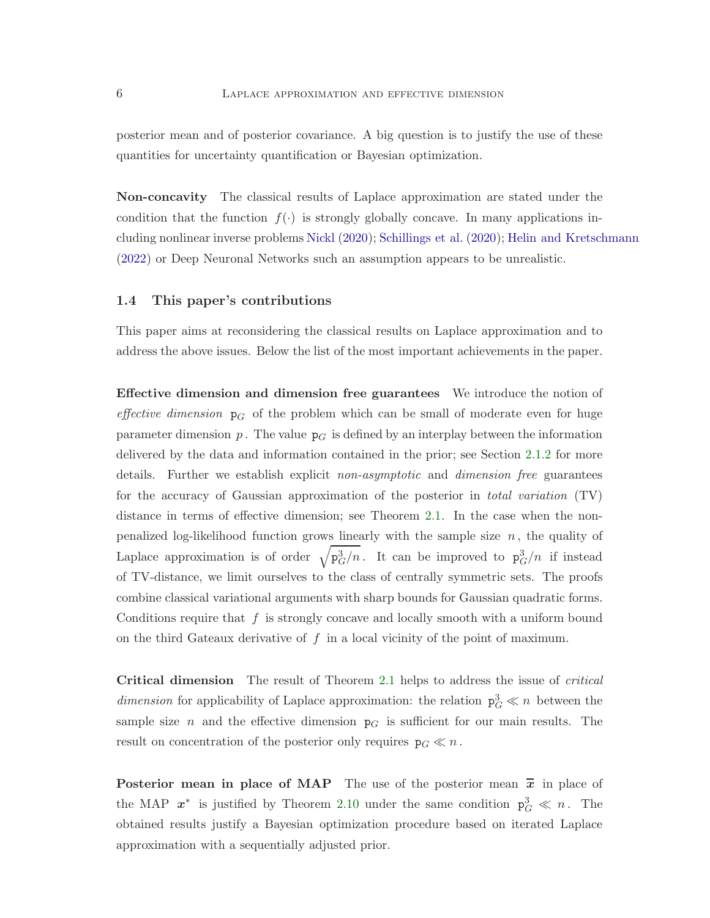posterior mean and of posterior covariance. A big question is to justify the use of these quantities for uncertainty quantification or Bayesian optimization.

Non-concavity The classical results of Laplace approximation are stated under the condition that the function  $f(\cdot)$  is strongly globally concave. In many applications including nonlinear inverse problems [Nickl](#page-44-6) [\(2020](#page-44-6)); [Schillings et al.](#page-45-2) [\(2020](#page-45-2)); [Helin and Kretschmann](#page-43-4) [\(2022](#page-43-4)) or Deep Neuronal Networks such an assumption appears to be unrealistic.

#### <span id="page-5-0"></span>1.4 This paper's contributions

This paper aims at reconsidering the classical results on Laplace approximation and to address the above issues. Below the list of the most important achievements in the paper.

Effective dimension and dimension free guarantees We introduce the notion of effective dimension  $p<sub>G</sub>$  of the problem which can be small of moderate even for huge parameter dimension p. The value  $p<sub>G</sub>$  is defined by an interplay between the information delivered by the data and information contained in the prior; see Section [2.1.2](#page-8-0) for more details. Further we establish explicit *non-asymptotic* and *dimension free* guarantees for the accuracy of Gaussian approximation of the posterior in total variation (TV) distance in terms of effective dimension; see Theorem [2.1.](#page-10-1) In the case when the nonpenalized log-likelihood function grows linearly with the sample size  $n$ , the quality of Laplace approximation is of order  $\sqrt{p_G^3/n}$ . It can be improved to  $p_G^3/n$  if instead of TV-distance, we limit ourselves to the class of centrally symmetric sets. The proofs combine classical variational arguments with sharp bounds for Gaussian quadratic forms. Conditions require that  $f$  is strongly concave and locally smooth with a uniform bound on the third Gateaux derivative of  $f$  in a local vicinity of the point of maximum.

Critical dimension The result of Theorem [2.1](#page-10-1) helps to address the issue of critical dimension for applicability of Laplace approximation: the relation  $p_G^3 \ll n$  between the sample size n and the effective dimension  $p<sub>G</sub>$  is sufficient for our main results. The result on concentration of the posterior only requires  $p_G \ll n$ .

**Posterior mean in place of MAP** The use of the posterior mean  $\bar{x}$  in place of the MAP  $x^*$  is justified by Theorem [2.10](#page-15-0) under the same condition  $p_G^3 \ll n$ . The obtained results justify a Bayesian optimization procedure based on iterated Laplace approximation with a sequentially adjusted prior.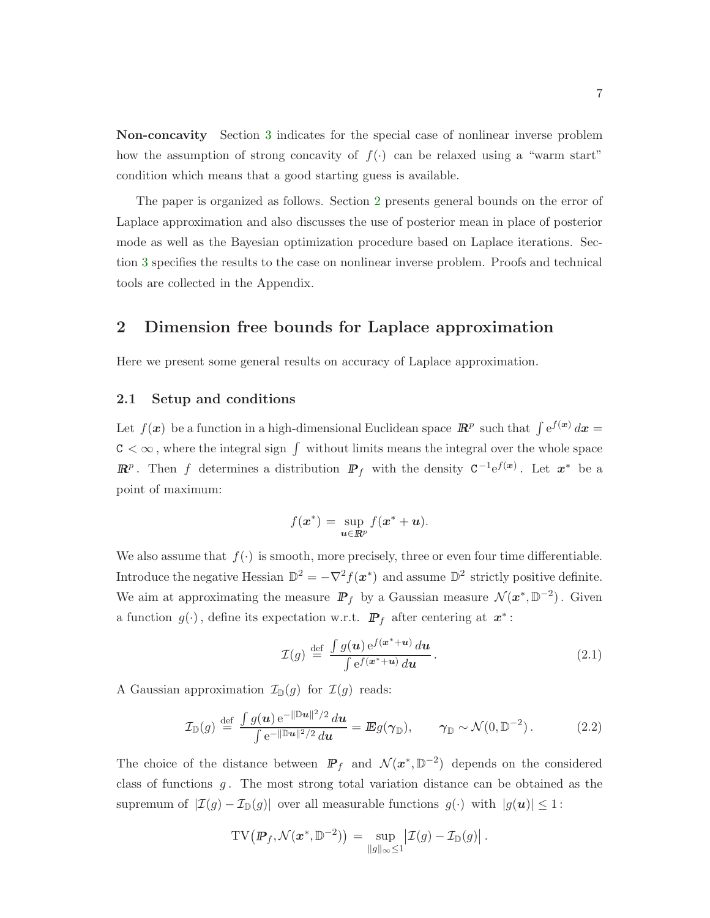Non-concavity Section [3](#page-17-0) indicates for the special case of nonlinear inverse problem how the assumption of strong concavity of  $f(.)$  can be relaxed using a "warm start" condition which means that a good starting guess is available.

The paper is organized as follows. Section [2](#page-6-0) presents general bounds on the error of Laplace approximation and also discusses the use of posterior mean in place of posterior mode as well as the Bayesian optimization procedure based on Laplace iterations. Section [3](#page-17-0) specifies the results to the case on nonlinear inverse problem. Proofs and technical tools are collected in the Appendix.

## <span id="page-6-0"></span>2 Dimension free bounds for Laplace approximation

<span id="page-6-1"></span>Here we present some general results on accuracy of Laplace approximation.

#### 2.1 Setup and conditions

Let  $f(\mathbf{x})$  be a function in a high-dimensional Euclidean space  $\mathbb{R}^p$  such that  $\int e^{f(\mathbf{x})} d\mathbf{x} =$  $\texttt{C}<\infty$  , where the integral sign  $\int$  without limits means the integral over the whole space  $\mathbb{R}^p$ . Then f determines a distribution  $\mathbb{P}_f$  with the density  $C^{-1}e^{f(x)}$ . Let  $x^*$  be a point of maximum:

$$
f(\boldsymbol{x}^*) = \sup_{\boldsymbol{u}\in\mathbb{R}^p} f(\boldsymbol{x}^* + \boldsymbol{u}).
$$

We also assume that  $f(\cdot)$  is smooth, more precisely, three or even four time differentiable. Introduce the negative Hessian  $\mathbb{D}^2 = -\nabla^2 f(x^*)$  and assume  $\mathbb{D}^2$  strictly positive definite. We aim at approximating the measure  $\mathbb{P}_f$  by a Gaussian measure  $\mathcal{N}(x^*, \mathbb{D}^{-2})$ . Given a function  $g(\cdot)$ , define its expectation w.r.t.  $\mathbb{P}_f$  after centering at  $x^*$ :

<span id="page-6-3"></span><span id="page-6-2"></span>
$$
\mathcal{I}(g) \stackrel{\text{def}}{=} \frac{\int g(\boldsymbol{u}) e^{f(\boldsymbol{x}^* + \boldsymbol{u})} d\boldsymbol{u}}{\int e^{f(\boldsymbol{x}^* + \boldsymbol{u})} d\boldsymbol{u}}.
$$
\n(2.1)

A Gaussian approximation  $\mathcal{I}_{\mathbb{D}}(g)$  for  $\mathcal{I}(g)$  reads:

$$
\mathcal{I}_{\mathbb{D}}(g) \stackrel{\text{def}}{=} \frac{\int g(\boldsymbol{u}) e^{-\|\mathbb{D}\boldsymbol{u}\|^2/2} d\boldsymbol{u}}{\int e^{-\|\mathbb{D}\boldsymbol{u}\|^2/2} d\boldsymbol{u}} = \mathbb{E} g(\boldsymbol{\gamma}_{\mathbb{D}}), \qquad \boldsymbol{\gamma}_{\mathbb{D}} \sim \mathcal{N}(0, \mathbb{D}^{-2}). \tag{2.2}
$$

The choice of the distance between  $\mathbb{P}_f$  and  $\mathcal{N}(x^*, \mathbb{D}^{-2})$  depends on the considered class of functions  $g$ . The most strong total variation distance can be obtained as the supremum of  $|\mathcal{I}(g) - \mathcal{I}_{\mathbb{D}}(g)|$  over all measurable functions  $g(\cdot)$  with  $|g(u)| \leq 1$ :

$$
\mathrm{TV}\big(P_f,\mathcal{N}(x^*,\mathbb{D}^{-2})\big) = \sup_{\|g\|_{\infty}\leq 1} \big|\mathcal{I}(g) - \mathcal{I}_{\mathbb{D}}(g)\big|.
$$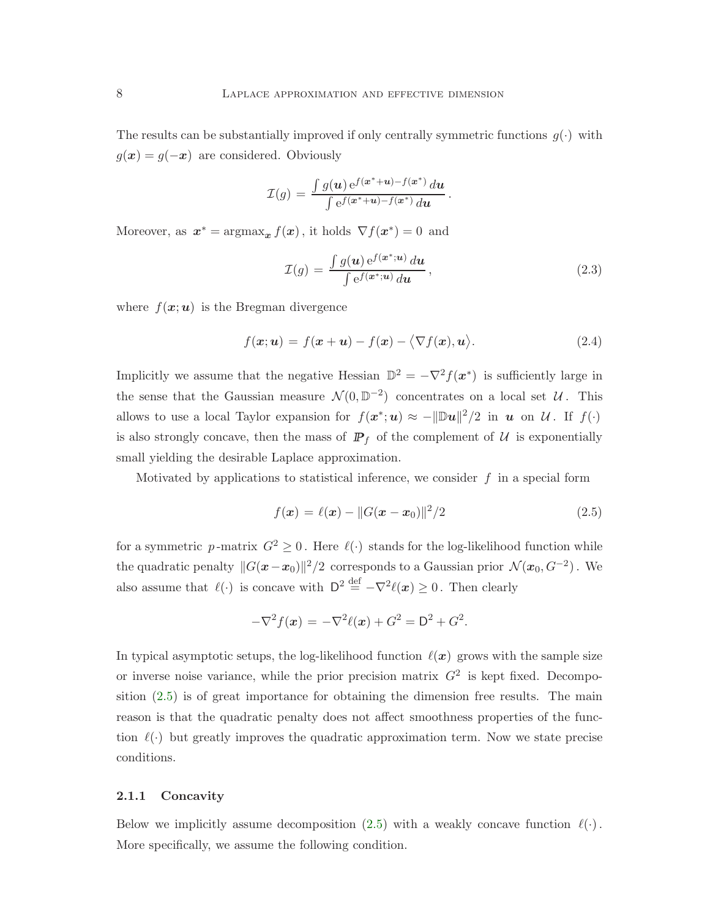The results can be substantially improved if only centrally symmetric functions  $g(\cdot)$  with  $g(x) = g(-x)$  are considered. Obviously

$$
\mathcal{I}(g) = \frac{\int g(\boldsymbol{u}) e^{f(\boldsymbol{x}^* + \boldsymbol{u}) - f(\boldsymbol{x}^*)} d\boldsymbol{u}}{\int e^{f(\boldsymbol{x}^* + \boldsymbol{u}) - f(\boldsymbol{x}^*)} d\boldsymbol{u}}
$$

Moreover, as  $x^* = \operatorname{argmax}_x f(x)$ , it holds  $\nabla f(x^*) = 0$  and

$$
\mathcal{I}(g) = \frac{\int g(\boldsymbol{u}) e^{f(\boldsymbol{x}^*; \boldsymbol{u})} d\boldsymbol{u}}{\int e^{f(\boldsymbol{x}^*; \boldsymbol{u})} d\boldsymbol{u}},
$$
\n(2.3)

<span id="page-7-3"></span><span id="page-7-2"></span>.

where  $f(\mathbf{x};\mathbf{u})$  is the Bregman divergence

$$
f(\mathbf{x}; \mathbf{u}) = f(\mathbf{x} + \mathbf{u}) - f(\mathbf{x}) - \langle \nabla f(\mathbf{x}), \mathbf{u} \rangle.
$$
 (2.4)

Implicitly we assume that the negative Hessian  $\mathbb{D}^2 = -\nabla^2 f(x^*)$  is sufficiently large in the sense that the Gaussian measure  $\mathcal{N}(0,\mathbb{D}^{-2})$  concentrates on a local set  $\mathcal{U}$ . This allows to use a local Taylor expansion for  $f(x^*; u) \approx -\|\mathbb{D}u\|^2/2$  in u on U. If  $f(\cdot)$ is also strongly concave, then the mass of  $\mathbb{P}_f$  of the complement of  $\mathcal U$  is exponentially small yielding the desirable Laplace approximation.

Motivated by applications to statistical inference, we consider  $f$  in a special form

<span id="page-7-1"></span>
$$
f(x) = \ell(x) - ||G(x - x_0)||^2/2
$$
\n(2.5)

for a symmetric p-matrix  $G^2 \geq 0$ . Here  $\ell(\cdot)$  stands for the log-likelihood function while the quadratic penalty  $||G(x-x_0)||^2/2$  corresponds to a Gaussian prior  $\mathcal{N}(x_0, G^{-2})$ . We also assume that  $\ell(\cdot)$  is concave with  $D^2 \stackrel{\text{def}}{=} -\nabla^2 \ell(\boldsymbol{x}) \geq 0$ . Then clearly

$$
-\nabla^2 f(x) = -\nabla^2 \ell(x) + G^2 = D^2 + G^2.
$$

In typical asymptotic setups, the log-likelihood function  $\ell(x)$  grows with the sample size or inverse noise variance, while the prior precision matrix  $G<sup>2</sup>$  is kept fixed. Decomposition [\(2.5\)](#page-7-1) is of great importance for obtaining the dimension free results. The main reason is that the quadratic penalty does not affect smoothness properties of the function  $\ell(\cdot)$  but greatly improves the quadratic approximation term. Now we state precise conditions.

#### <span id="page-7-0"></span>2.1.1 Concavity

Below we implicitly assume decomposition [\(2.5\)](#page-7-1) with a weakly concave function  $\ell(\cdot)$ . More specifically, we assume the following condition.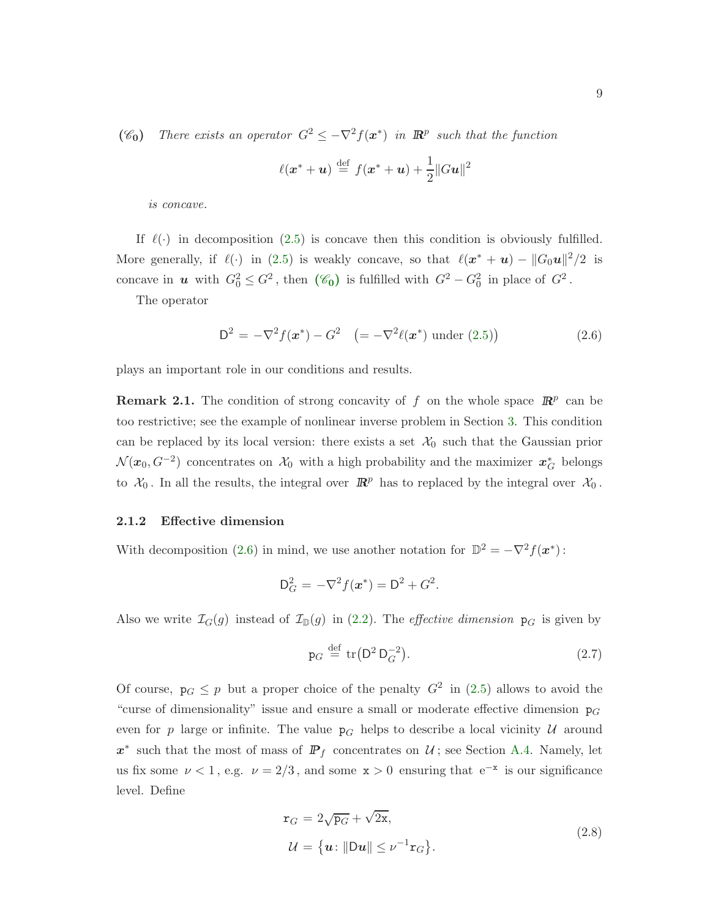( $\mathscr{C}_0$ ) There exists an operator  $G^2 \leq -\nabla^2 f(x^*)$  in  $\mathbb{R}^p$  such that the function

<span id="page-8-1"></span>
$$
\ell(\mathbf{x}^* + \mathbf{u}) \stackrel{\text{def}}{=} f(\mathbf{x}^* + \mathbf{u}) + \frac{1}{2} ||G\mathbf{u}||^2
$$

is concave.

If  $\ell(\cdot)$  in decomposition [\(2.5\)](#page-7-1) is concave then this condition is obviously fulfilled. More generally, if  $\ell(\cdot)$  in [\(2.5\)](#page-7-1) is weakly concave, so that  $\ell(x^* + u) - ||G_0u||^2/2$  is concave in **u** with  $G_0^2 \leq G^2$ , then  $(\mathscr{C}_0)$  $(\mathscr{C}_0)$  $(\mathscr{C}_0)$  is fulfilled with  $G^2 - G_0^2$  in place of  $G^2$ .

The operator

$$
D^{2} = -\nabla^{2} f(\boldsymbol{x}^{*}) - G^{2} \quad (=-\nabla^{2} \ell(\boldsymbol{x}^{*}) \text{ under (2.5)}) \tag{2.6}
$$

plays an important role in our conditions and results.

**Remark 2.1.** The condition of strong concavity of f on the whole space  $\mathbb{R}^p$  can be too restrictive; see the example of nonlinear inverse problem in Section [3.](#page-17-0) This condition can be replaced by its local version: there exists a set  $\mathcal{X}_0$  such that the Gaussian prior  $\mathcal{N}(x_0, G^{-2})$  concentrates on  $\mathcal{X}_0$  with a high probability and the maximizer  $x_G^*$  belongs to  $\mathcal{X}_0$ . In all the results, the integral over  $\mathbb{R}^p$  has to replaced by the integral over  $\mathcal{X}_0$ .

#### <span id="page-8-0"></span>2.1.2 Effective dimension

With decomposition [\(2.6\)](#page-8-1) in mind, we use another notation for  $\mathbb{D}^2 = -\nabla^2 f(\boldsymbol{x}^*)$ :

$$
D_G^2 = -\nabla^2 f(x^*) = D^2 + G^2.
$$

Also we write  $\mathcal{I}_G(g)$  instead of  $\mathcal{I}_{\mathbb{D}}(g)$  in [\(2.2\)](#page-6-2). The *effective dimension*  $p_G$  is given by

<span id="page-8-3"></span>
$$
\mathbf{p}_G \stackrel{\text{def}}{=} \text{tr}(\mathsf{D}^2 \, \mathsf{D}_G^{-2}).\tag{2.7}
$$

Of course,  $p_G \leq p$  but a proper choice of the penalty  $G^2$  in [\(2.5\)](#page-7-1) allows to avoid the "curse of dimensionality" issue and ensure a small or moderate effective dimension  $p_G$ even for p large or infinite. The value  $p<sub>G</sub>$  helps to describe a local vicinity U around  $x^*$  such that the most of mass of  $\mathbb{P}_f$  concentrates on  $\mathcal{U}$ ; see Section [A.4.](#page-28-0) Namely, let us fix some  $\nu < 1$ , e.g.  $\nu = 2/3$ , and some  $x > 0$  ensuring that  $e^{-x}$  is our significance level. Define

<span id="page-8-2"></span>
$$
\mathbf{r}_G = 2\sqrt{\mathbf{p}_G} + \sqrt{2\mathbf{x}},
$$
  

$$
\mathcal{U} = \{\mathbf{u} : \|\mathbf{D}\mathbf{u}\| \le \nu^{-1}\mathbf{r}_G\}.
$$
 (2.8)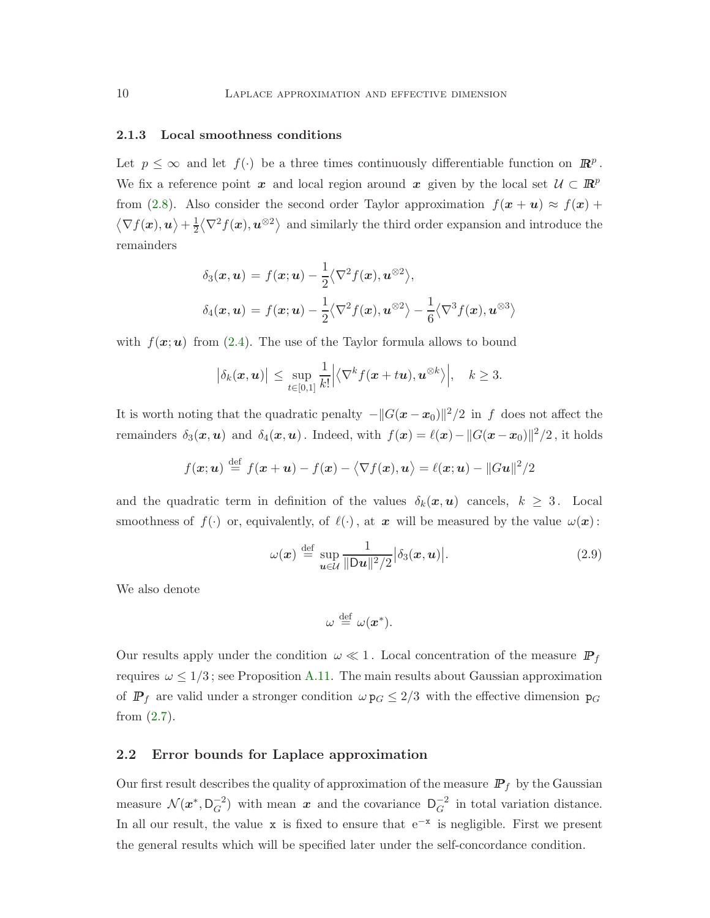#### <span id="page-9-0"></span>2.1.3 Local smoothness conditions

Let  $p \leq \infty$  and let  $f(\cdot)$  be a three times continuously differentiable function on  $\mathbb{R}^p$ . We fix a reference point x and local region around x given by the local set  $\mathcal{U} \subset \mathbb{R}^p$ from [\(2.8\)](#page-8-2). Also consider the second order Taylor approximation  $f(x + u) \approx f(x) +$  $\langle \nabla f(x), u \rangle + \frac{1}{2} \langle \nabla^2 f(x), u^{\otimes 2} \rangle$  and similarly the third order expansion and introduce the remainders

$$
\delta_3(\mathbf{x}, \mathbf{u}) = f(\mathbf{x}; \mathbf{u}) - \frac{1}{2} \langle \nabla^2 f(\mathbf{x}), \mathbf{u}^{\otimes 2} \rangle,
$$
  

$$
\delta_4(\mathbf{x}, \mathbf{u}) = f(\mathbf{x}; \mathbf{u}) - \frac{1}{2} \langle \nabla^2 f(\mathbf{x}), \mathbf{u}^{\otimes 2} \rangle - \frac{1}{6} \langle \nabla^3 f(\mathbf{x}), \mathbf{u}^{\otimes 3} \rangle
$$

with  $f(\mathbf{x};\mathbf{u})$  from [\(2.4\)](#page-7-2). The use of the Taylor formula allows to bound

$$
\big|\delta_k(\boldsymbol{x},\boldsymbol{u})\big| \leq \sup_{t\in[0,1]} \frac{1}{k!} \Big|\big\langle \nabla^k f(\boldsymbol{x}+t\boldsymbol{u}),\boldsymbol{u}^{\otimes k}\big\rangle\Big|, \quad k\geq 3.
$$

It is worth noting that the quadratic penalty  $-||G(x - x_0)||^2/2$  in f does not affect the remainders  $\delta_3(x, u)$  and  $\delta_4(x, u)$ . Indeed, with  $f(x) = \ell(x) - ||G(x - x_0)||^2/2$ , it holds

$$
f(\boldsymbol{x};\boldsymbol{u}) \stackrel{\text{def}}{=} f(\boldsymbol{x} + \boldsymbol{u}) - f(\boldsymbol{x}) - \langle \nabla f(\boldsymbol{x}), \boldsymbol{u} \rangle = \ell(\boldsymbol{x};\boldsymbol{u}) - ||G\boldsymbol{u}||^2/2
$$

and the quadratic term in definition of the values  $\delta_k(x, u)$  cancels,  $k \geq 3$ . Local smoothness of  $f(\cdot)$  or, equivalently, of  $\ell(\cdot)$ , at x will be measured by the value  $\omega(x)$ :

$$
\omega(\boldsymbol{x}) \stackrel{\text{def}}{=} \sup_{\boldsymbol{u} \in \mathcal{U}} \frac{1}{\|\mathsf{D}\boldsymbol{u}\|^2/2} \big|\delta_3(\boldsymbol{x}, \boldsymbol{u})\big|.\tag{2.9}
$$

We also denote

<span id="page-9-2"></span>
$$
\omega \stackrel{\text{def}}{=} \omega(x^*).
$$

Our results apply under the condition  $\omega \ll 1$ . Local concentration of the measure  $\mathbb{P}_f$ requires  $\omega \leq 1/3$ ; see Proposition [A.11.](#page-30-1) The main results about Gaussian approximation of  $P_f$  are valid under a stronger condition  $\omega p_G \leq 2/3$  with the effective dimension  $p_G$ from [\(2.7\)](#page-8-3).

#### <span id="page-9-1"></span>2.2 Error bounds for Laplace approximation

Our first result describes the quality of approximation of the measure  $\mathbb{P}_f$  by the Gaussian measure  $\mathcal{N}(x^*, D_G^{-2})$  with mean  $x$  and the covariance  $D_G^{-2}$  in total variation distance. In all our result, the value x is fixed to ensure that  $e^{-x}$  is negligible. First we present the general results which will be specified later under the self-concordance condition.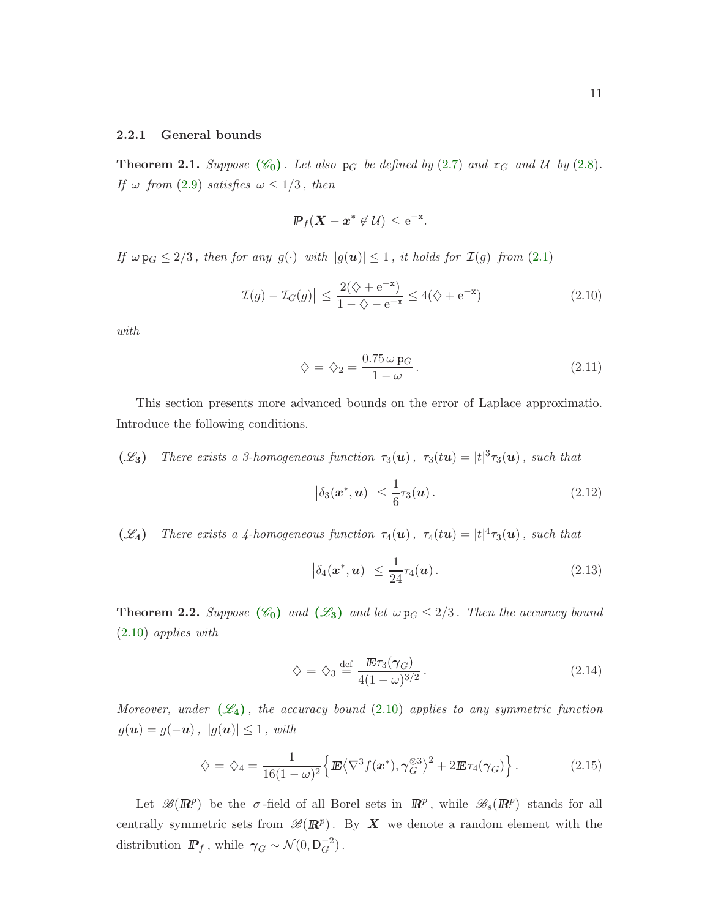#### <span id="page-10-0"></span>2.2.1 General bounds

<span id="page-10-1"></span>**Theorem 2.1.** Suppose  $(\mathscr{C}_0)$  $(\mathscr{C}_0)$  $(\mathscr{C}_0)$ . Let also  $p_G$  be defined by [\(2.7\)](#page-8-3) and  $r_G$  and U by [\(2.8\)](#page-8-2). If  $\omega$  from [\(2.9\)](#page-9-2) satisfies  $\omega \leq 1/3$ , then

$$
\mathbb{P}_f(\mathbf{X} - \mathbf{x}^* \notin \mathcal{U}) \leq e^{-x}.
$$

If  $\omega p_G \leq 2/3$ , then for any  $g(\cdot)$  with  $|g(u)| \leq 1$ , it holds for  $\mathcal{I}(g)$  from [\(2.1\)](#page-6-3)

$$
\left|\mathcal{I}(g) - \mathcal{I}_G(g)\right| \le \frac{2(\diamondsuit + e^{-x})}{1 - \diamondsuit - e^{-x}} \le 4(\diamondsuit + e^{-x})\tag{2.10}
$$

with

<span id="page-10-3"></span><span id="page-10-2"></span>
$$
\diamondsuit = \diamondsuit_2 = \frac{0.75 \omega \,\mathbf{p}_G}{1 - \omega} \,. \tag{2.11}
$$

This section presents more advanced bounds on the error of Laplace approximatio. Introduce the following conditions.

( $\mathscr{L}_3$ ) There exists a 3-homogeneous function  $\tau_3(\boldsymbol{u})$ ,  $\tau_3(t\boldsymbol{u}) = |t|^3 \tau_3(\boldsymbol{u})$ , such that

<span id="page-10-4"></span>
$$
\left|\delta_3(\boldsymbol{x}^*,\boldsymbol{u})\right| \leq \frac{1}{6}\tau_3(\boldsymbol{u}). \tag{2.12}
$$

( $\mathscr{L}_4$ ) There exists a 4-homogeneous function  $\tau_4(\boldsymbol{u})$ ,  $\tau_4(t\boldsymbol{u}) = |t|^4 \tau_3(\boldsymbol{u})$ , such that

<span id="page-10-7"></span>
$$
|\delta_4(\bm{x}^*,\bm{u})| \le \frac{1}{24}\tau_4(\bm{u}). \tag{2.13}
$$

<span id="page-10-5"></span>**Theorem 2.2.** Suppose  $(\mathscr{C}_0)$  $(\mathscr{C}_0)$  $(\mathscr{C}_0)$  and  $(\mathscr{L}_3)$  $(\mathscr{L}_3)$  $(\mathscr{L}_3)$  and let  $\omega p_G \leq 2/3$ . Then the accuracy bound [\(2.10\)](#page-10-3) applies with

<span id="page-10-8"></span><span id="page-10-6"></span>
$$
\diamondsuit = \diamondsuit_3 \stackrel{\text{def}}{=} \frac{\mathbb{E}\tau_3(\gamma_G)}{4(1-\omega)^{3/2}}.
$$
\n(2.14)

Moreover, under  $(\mathscr{L}_4)$  $(\mathscr{L}_4)$  $(\mathscr{L}_4)$ , the accuracy bound [\(2.10\)](#page-10-3) applies to any symmetric function  $g(\mathbf{u}) = g(-\mathbf{u}), |g(\mathbf{u})| \leq 1, with$ 

$$
\diamondsuit = \diamondsuit_4 = \frac{1}{16(1-\omega)^2} \Big\{ \mathbf{E} \langle \nabla^3 f(\mathbf{x}^*), \gamma_G^{\otimes 3} \rangle^2 + 2 \mathbf{E} \tau_4(\gamma_G) \Big\} \,. \tag{2.15}
$$

Let  $\mathscr{B}(\mathbb{R}^p)$  be the  $\sigma$ -field of all Borel sets in  $\mathbb{R}^p$ , while  $\mathscr{B}_s(\mathbb{R}^p)$  stands for all centrally symmetric sets from  $\mathscr{B}(I\!\!R^p)$ . By X we denote a random element with the distribution  $\mathbb{P}_f$ , while  $\gamma_G \sim \mathcal{N}(0, \mathsf{D}_G^{-2})$ .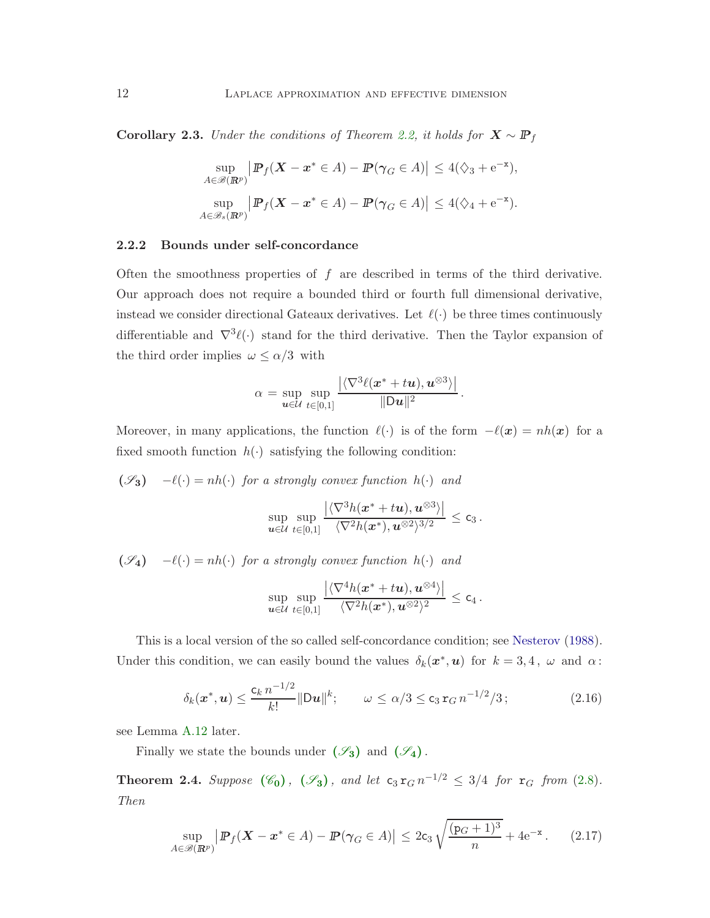Corollary 2.3. Under the conditions of Theorem [2.2,](#page-10-5) it holds for  $X \sim \mathbb{P}_f$ 

$$
\sup_{A \in \mathcal{B}(\mathbb{R}^p)} \left| \mathbb{P}_f(\mathbf{X} - \mathbf{x}^* \in A) - \mathbb{P}(\gamma_G \in A) \right| \le 4(\zeta_3 + e^{-\mathbf{x}}),
$$
  
\n
$$
\sup_{A \in \mathcal{B}_s(\mathbb{R}^p)} \left| \mathbb{P}_f(\mathbf{X} - \mathbf{x}^* \in A) - \mathbb{P}(\gamma_G \in A) \right| \le 4(\zeta_4 + e^{-\mathbf{x}}).
$$

#### <span id="page-11-0"></span>2.2.2 Bounds under self-concordance

Often the smoothness properties of  $f$  are described in terms of the third derivative. Our approach does not require a bounded third or fourth full dimensional derivative, instead we consider directional Gateaux derivatives. Let  $\ell(\cdot)$  be three times continuously differentiable and  $\nabla^3 \ell(\cdot)$  stand for the third derivative. Then the Taylor expansion of the third order implies  $\omega \le \alpha/3$  with

$$
\alpha = \sup_{\mathbf{u}\in \mathcal{U}} \sup_{t\in [0,1]} \frac{\left|\langle \nabla^3 \ell(\mathbf{x}^* + t\mathbf{u}), \mathbf{u}^{\otimes 3}\rangle\right|}{\|\mathbf{D}\mathbf{u}\|^2}.
$$

Moreover, in many applications, the function  $\ell(\cdot)$  is of the form  $-\ell(x) = nh(x)$  for a fixed smooth function  $h(\cdot)$  satisfying the following condition:

 $(\mathscr{S}_3)$   $-\ell(\cdot) = nh(\cdot)$  for a strongly convex function  $h(\cdot)$  and

$$
\sup_{\boldsymbol u\in\mathcal U}\sup_{t\in[0,1]}\frac{\left|\langle\nabla^3 h(\boldsymbol x^*+t\boldsymbol u),\boldsymbol u^{\otimes 3}\rangle\right|}{\langle\nabla^2 h(\boldsymbol x^*),\boldsymbol u^{\otimes 2}\rangle^{3/2}}\leq \mathsf{c}_3\,.
$$

 $(\mathscr{S}_4)$  – $\ell(\cdot) = nh(\cdot)$  for a strongly convex function  $h(\cdot)$  and

<span id="page-11-3"></span><span id="page-11-2"></span>
$$
\sup_{\bm{u}\in\mathcal{U}}\sup_{t\in[0,1]}\frac{\left|\langle\nabla^4h(\bm{x}^*+t\bm{u}),\bm{u}^{\otimes 4}\rangle\right|}{\langle\nabla^2h(\bm{x}^*),\bm{u}^{\otimes 2}\rangle^2}\leq \mathsf{c}_4\,.
$$

This is a local version of the so called self-concordance condition; see [Nesterov](#page-44-10) [\(1988](#page-44-10)). Under this condition, we can easily bound the values  $\delta_k(\mathbf{x}^*, \mathbf{u})$  for  $k = 3, 4$ ,  $\omega$  and  $\alpha$ :

$$
\delta_k(\mathbf{x}^*, \mathbf{u}) \le \frac{c_k n^{-1/2}}{k!} \|\mathbf{D}\mathbf{u}\|^k; \qquad \omega \le \alpha/3 \le c_3 \mathbf{r}_G n^{-1/2}/3; \tag{2.16}
$$

see Lemma [A.12](#page-31-2) later.

Finally we state the bounds under  $(\mathscr{S}_3)$  $(\mathscr{S}_3)$  $(\mathscr{S}_3)$  and  $(\mathscr{S}_4)$ .

<span id="page-11-1"></span>**Theorem 2.4.** [S](#page-11-0)uppose  $(\mathscr{C}_0)$  $(\mathscr{C}_0)$  $(\mathscr{C}_0)$ ,  $(\mathscr{S}_3)$ , and let  $c_3 r_G n^{-1/2} \leq 3/4$  for  $r_G$  from [\(2.8\)](#page-8-2). Then

$$
\sup_{A\in\mathscr{B}(\mathbb{R}^p)}\left|\mathbb{P}_f(\mathbf{X}-\mathbf{x}^*\in A)-\mathbb{P}(\gamma_G\in A)\right|\leq 2c_3\sqrt{\frac{(p_G+1)^3}{n}}+4\mathrm{e}^{-\mathbf{x}}.\tag{2.17}
$$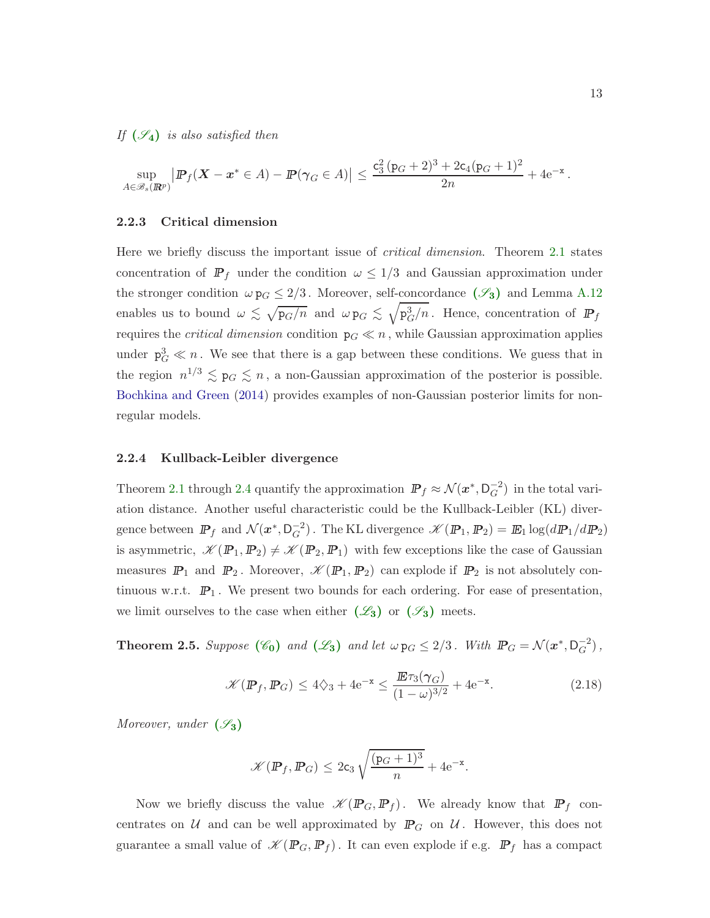If  $(\mathscr{S}_4)$  $(\mathscr{S}_4)$  $(\mathscr{S}_4)$  is also satisfied then

$$
\sup_{A\in\mathscr{B}_s(\mathbb{R}^p)}\left| \mathbb{P}_f(\mathbf{X}-\mathbf{x}^*\in A)-\mathbb{P}(\gamma_G\in A)\right|\leq \frac{c_3^2(p_G+2)^3+2c_4(p_G+1)^2}{2n}+4{\rm e}^{-x}\,.
$$

#### <span id="page-12-0"></span>2.2.3 Critical dimension

Here we briefly discuss the important issue of critical dimension. Theorem [2.1](#page-10-1) states concentration of  $\mathbb{P}_f$  under the condition  $\omega \leq 1/3$  and Gaussian approximation under the stronger condition  $\omega p_G \leq 2/3$ . Moreover, self-concordance  $(\mathscr{S}_3)$  $(\mathscr{S}_3)$  $(\mathscr{S}_3)$  and Lemma [A.12](#page-31-2) enables us to bound  $\omega \lesssim \sqrt{pq/n}$  and  $\omega p_G \lesssim \sqrt{p_G^3/n}$ . Hence, concentration of  $\mathbb{P}_f$ requires the *critical dimension* condition  $p_G \ll n$ , while Gaussian approximation applies under  $p_G^3 \ll n$ . We see that there is a gap between these conditions. We guess that in the region  $n^{1/3} \lesssim p_G \lesssim n$ , a non-Gaussian approximation of the posterior is possible. [Bochkina and Green](#page-43-5) [\(2014\)](#page-43-5) provides examples of non-Gaussian posterior limits for nonregular models.

#### <span id="page-12-1"></span>2.2.4 Kullback-Leibler divergence

Theorem [2.1](#page-10-1) through [2.4](#page-11-1) quantify the approximation  $\mathbb{P}_f \approx \mathcal{N}(x^*, \mathsf{D}_G^{-2})$  in the total variation distance. Another useful characteristic could be the Kullback-Leibler (KL) divergence between  $\mathbb{P}_f$  and  $\mathcal{N}(x^*, \mathsf{D}_G^{-2})$ . The KL divergence  $\mathscr{K}(\mathbb{P}_1, \mathbb{P}_2) = \mathbb{E}_1 \log(d\mathbb{P}_1/d\mathbb{P}_2)$ is asymmetric,  $\mathscr{K}(\mathbb{P}_1, \mathbb{P}_2) \neq \mathscr{K}(\mathbb{P}_2, \mathbb{P}_1)$  with few exceptions like the case of Gaussian measures  $\mathbb{P}_1$  and  $\mathbb{P}_2$ . Moreover,  $\mathscr{K}(\mathbb{P}_1, \mathbb{P}_2)$  can explode if  $\mathbb{P}_2$  is not absolutely continuous w.r.t.  $\mathbb{P}_1$ . We present two bounds for each ordering. For ease of presentation, we limit ourselves to the case when either  $(\mathscr{L}_3)$  $(\mathscr{L}_3)$  $(\mathscr{L}_3)$  or  $(\mathscr{S}_3)$  $(\mathscr{S}_3)$  $(\mathscr{S}_3)$  meets.

<span id="page-12-2"></span>**Theorem 2.5.** Suppose  $(\mathscr{C}_0)$  $(\mathscr{C}_0)$  $(\mathscr{C}_0)$  and  $(\mathscr{L}_3)$  $(\mathscr{L}_3)$  $(\mathscr{L}_3)$  and let  $\omega p_G \leq 2/3$ . With  $\mathbb{P}_G = \mathcal{N}(x^*, D_G^{-2})$ ,

$$
\mathcal{K}(\mathbb{P}_f, \mathbb{P}_G) \le 4\zeta_3 + 4e^{-x} \le \frac{\mathbb{E}\tau_3(\gamma_G)}{(1-\omega)^{3/2}} + 4e^{-x}.\tag{2.18}
$$

Moreover, under  $(\mathscr{S}_3)$  $(\mathscr{S}_3)$  $(\mathscr{S}_3)$ 

<span id="page-12-3"></span>
$$
\mathscr{K}(\mathbb{P}_f, \mathbb{P}_G) \leq 2\mathsf{c}_3\sqrt{\frac{(\mathsf{p}_G+1)^3}{n}} + 4\mathsf{e}^{-\mathsf{x}}.
$$

Now we briefly discuss the value  $\mathscr{K}(\mathbb{P}_G, \mathbb{P}_f)$ . We already know that  $\mathbb{P}_f$  concentrates on  $U$  and can be well approximated by  $\mathbb{P}_G$  on  $U$ . However, this does not guarantee a small value of  $\mathscr{K}(\mathbb{P}_G, \mathbb{P}_f)$ . It can even explode if e.g.  $\mathbb{P}_f$  has a compact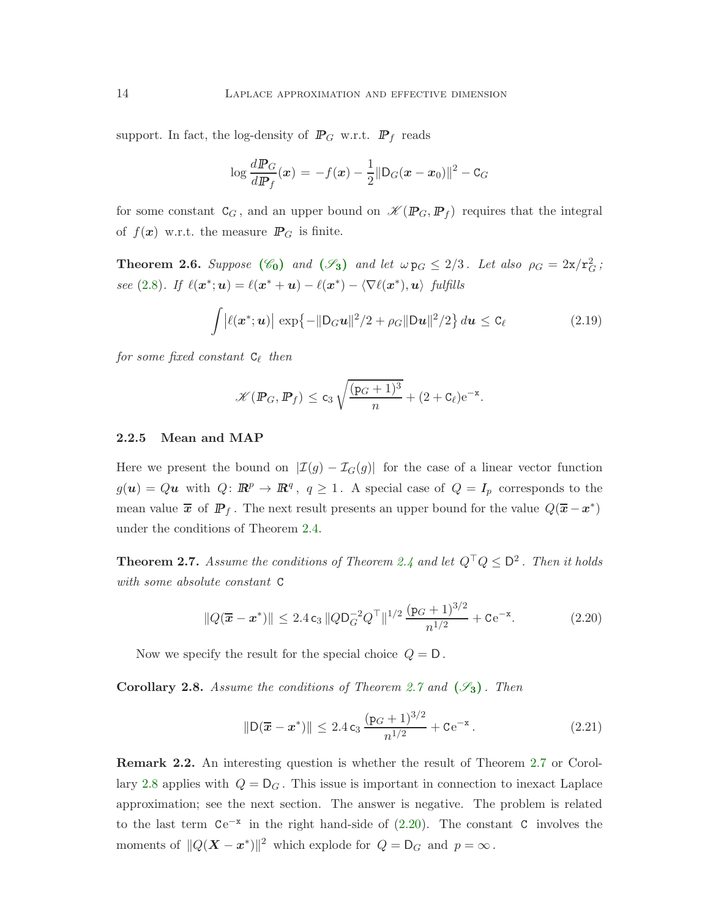support. In fact, the log-density of  $\mathbb{P}_G$  w.r.t.  $\mathbb{P}_f$  reads

$$
\log \frac{d\mathbf{P}_G}{d\mathbf{P}_f}(\mathbf{x}) = -f(\mathbf{x}) - \frac{1}{2} ||D_G(\mathbf{x} - \mathbf{x}_0)||^2 - C_G
$$

for some constant  $C_G$ , and an upper bound on  $\mathscr{K}(\mathbb{P}_G, \mathbb{P}_f)$  requires that the integral of  $f(x)$  w.r.t. the measure  $\mathbb{P}_G$  is finite.

<span id="page-13-1"></span>**Theorem 2.6.** [S](#page-11-0)uppose  $(\mathscr{C}_0)$  $(\mathscr{C}_0)$  $(\mathscr{C}_0)$  and  $(\mathscr{S}_3)$  and let  $\omega p_G \leq 2/3$ . Let also  $\rho_G = 2\pi/r_G^2$ ; see [\(2.8\)](#page-8-2). If  $\ell(\mathbf{x}^*; \mathbf{u}) = \ell(\mathbf{x}^* + \mathbf{u}) - \ell(\mathbf{x}^*) - \langle \nabla \ell(\mathbf{x}^*), \mathbf{u} \rangle$  fulfills

$$
\int |\ell(\mathbf{x}^*; \mathbf{u})| \exp\{-\|\mathbf{D}_G \mathbf{u}\|^2/2 + \rho_G \|\mathbf{D}\mathbf{u}\|^2/2\} d\mathbf{u} \leq \mathbf{C}_{\ell}
$$
 (2.19)

for some fixed constant  $C_{\ell}$  then

<span id="page-13-7"></span>
$$
\mathscr{K}(\mathbb{P}_G, \mathbb{P}_f) \le c_3 \sqrt{\frac{(p_G+1)^3}{n}} + (2+c_\ell)e^{-x}.
$$

#### <span id="page-13-0"></span>2.2.5 Mean and MAP

Here we present the bound on  $|\mathcal{I}(g) - \mathcal{I}_G(g)|$  for the case of a linear vector function  $g(\boldsymbol{u}) = Q\boldsymbol{u}$  with  $Q: \mathbb{R}^p \to \mathbb{R}^q$ ,  $q \geq 1$ . A special case of  $Q = I_p$  corresponds to the mean value  $\bar{x}$  of  $\mathbb{P}_f$ . The next result presents an upper bound for the value  $Q(\bar{x}-x^*)$ under the conditions of Theorem [2.4.](#page-11-1)

<span id="page-13-2"></span>**Theorem 2.7.** Assume the conditions of Theorem [2.4](#page-11-1) and let  $Q^{\top}Q \leq D^2$ . Then it holds with some absolute constant C

$$
||Q(\overline{x} - x^*)|| \le 2.4 c_3 ||QD_G^{-2}Q^\top||^{1/2} \frac{(p_G + 1)^{3/2}}{n^{1/2}} + Ce^{-x}.
$$
 (2.20)

Now we specify the result for the special choice  $Q = D$ .

<span id="page-13-3"></span>**Corollary 2.8.** Assume the conditions of Theorem [2.7](#page-13-2) and  $(\mathscr{S}_3)$  $(\mathscr{S}_3)$  $(\mathscr{S}_3)$ . Then

<span id="page-13-6"></span><span id="page-13-4"></span>
$$
\|\mathsf{D}(\overline{\bm{x}} - \bm{x}^*)\| \le 2.4 \, \mathsf{c}_3 \, \frac{(\mathsf{p}_G + 1)^{3/2}}{n^{1/2}} + \mathsf{C} \, \mathsf{e}^{-\mathsf{x}} \,. \tag{2.21}
$$

<span id="page-13-5"></span>Remark 2.2. An interesting question is whether the result of Theorem [2.7](#page-13-2) or Corol-lary [2.8](#page-13-3) applies with  $Q = D_G$ . This issue is important in connection to inexact Laplace approximation; see the next section. The answer is negative. The problem is related to the last term  $Ce^{-x}$  in the right hand-side of  $(2.20)$ . The constant C involves the moments of  $||Q(\mathbf{X} - \mathbf{x}^*)||^2$  which explode for  $Q = D_G$  and  $p = \infty$ .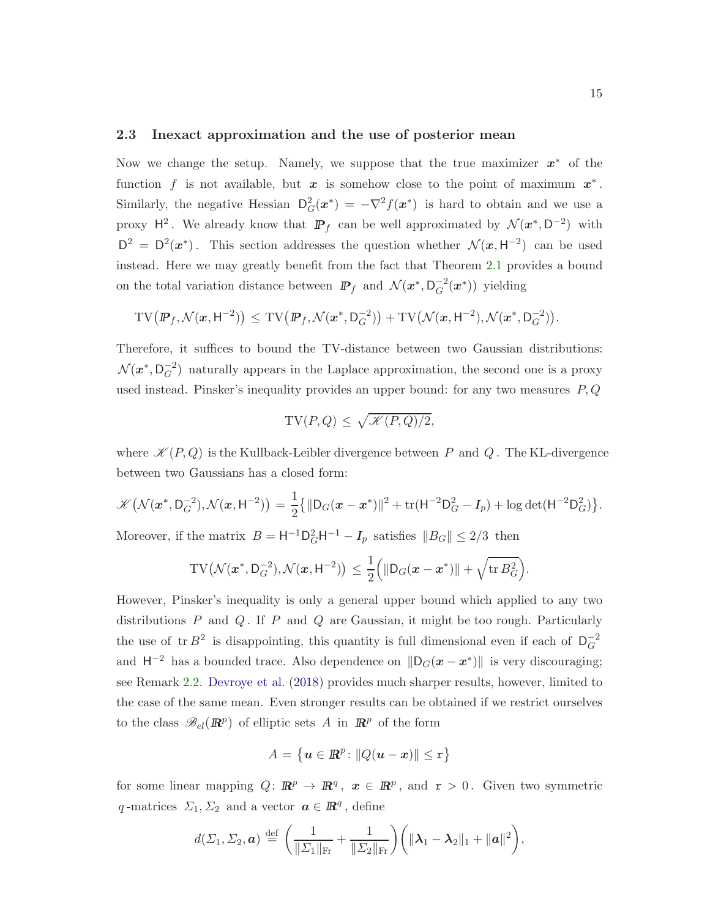#### <span id="page-14-0"></span>2.3 Inexact approximation and the use of posterior mean

Now we change the setup. Namely, we suppose that the true maximizer  $x^*$  of the function f is not available, but  $x$  is somehow close to the point of maximum  $x^*$ . Similarly, the negative Hessian  $D_G^2(x^*) = -\nabla^2 f(x^*)$  is hard to obtain and we use a proxy  $H^2$ . We already know that  $\mathbb{P}_f$  can be well approximated by  $\mathcal{N}(x^*, D^{-2})$  with  $D^2 = D^2(x^*)$ . This section addresses the question whether  $\mathcal{N}(x, H^{-2})$  can be used instead. Here we may greatly benefit from the fact that Theorem [2.1](#page-10-1) provides a bound on the total variation distance between  $\mathbb{P}_f$  and  $\mathcal{N}(x^*, \mathsf{D}_G^{-2}(x^*))$  yielding

$$
\mathrm{TV}\bigl(\mathbb{P}_f, \mathcal{N}(x, \mathsf{H}^{-2})\bigr) \, \leq \, \mathrm{TV}\bigl(\mathbb{P}_f, \mathcal{N}(x^*, \mathsf{D}_G^{-2})\bigr) + \mathrm{TV}\bigl(\mathcal{N}(x, \mathsf{H}^{-2}), \mathcal{N}(x^*, \mathsf{D}_G^{-2})\bigr).
$$

Therefore, it suffices to bound the TV-distance between two Gaussian distributions:  $\mathcal{N}(x^*, \mathsf{D}_G^{-2})$  naturally appears in the Laplace approximation, the second one is a proxy used instead. Pinsker's inequality provides an upper bound: for any two measures  $P, Q$ 

$$
TV(P,Q) \le \sqrt{\mathcal{K}(P,Q)/2},
$$

where  $\mathcal{K}(P,Q)$  is the Kullback-Leibler divergence between P and Q. The KL-divergence between two Gaussians has a closed form:

$$
\mathscr{K}\big(\mathcal{N}(\boldsymbol{x}^*,\mathsf{D}_G^{-2}),\mathcal{N}(\boldsymbol{x},\mathsf{H}^{-2})\big) = \frac{1}{2} \big\{ \|\mathsf{D}_G(\boldsymbol{x}-\boldsymbol{x}^*)\|^2 + \text{tr}(\mathsf{H}^{-2}\mathsf{D}_G^2 - I_p) + \log \det(\mathsf{H}^{-2}\mathsf{D}_G^2) \big\}.
$$

Moreover, if the matrix  $B = H^{-1}D_G^2H^{-1} - I_p$  satisfies  $||B_G|| \leq 2/3$  then

$$
\mathrm{TV}\big(\mathcal{N}(x^*,\mathsf{D}_G^{-2}),\mathcal{N}(x,\mathsf{H}^{-2})\big) \leq \frac{1}{2}\Big(\|\mathsf{D}_G(x-x^*)\| + \sqrt{\mathrm{tr}\,B_G^2}\Big).
$$

However, Pinsker's inequality is only a general upper bound which applied to any two distributions  $P$  and  $Q$ . If  $P$  and  $Q$  are Gaussian, it might be too rough. Particularly the use of  $tr B^2$  is disappointing, this quantity is full dimensional even if each of  $D_G^{-2}$ and  $H^{-2}$  has a bounded trace. Also dependence on  $\|D_G(\mathbf{x} - \mathbf{x}^*)\|$  is very discouraging; see Remark [2.2.](#page-13-5) [Devroye et al.](#page-43-6) [\(2018](#page-43-6)) provides much sharper results, however, limited to the case of the same mean. Even stronger results can be obtained if we restrict ourselves to the class  $\mathscr{B}_{el}(\mathbb{R}^p)$  of elliptic sets A in  $\mathbb{R}^p$  of the form

$$
A = \left\{ \boldsymbol{u} \in \mathbb{R}^p \colon \|Q(\boldsymbol{u} - \boldsymbol{x})\| \leq r \right\}
$$

for some linear mapping  $Q: \mathbb{R}^p \to \mathbb{R}^q$ ,  $x \in \mathbb{R}^p$ , and  $r > 0$ . Given two symmetric q-matrices  $\Sigma_1, \Sigma_2$  and a vector  $\mathbf{a} \in \mathbb{R}^q$ , define

$$
d(\Sigma_1, \Sigma_2, \boldsymbol{a}) \stackrel{\text{def}}{=} \left( \frac{1}{\|\Sigma_1\|_{\text{Fr}}} + \frac{1}{\|\Sigma_2\|_{\text{Fr}}} \right) \left( \|\boldsymbol{\lambda}_1 - \boldsymbol{\lambda}_2\|_1 + \|\boldsymbol{a}\|^2 \right),
$$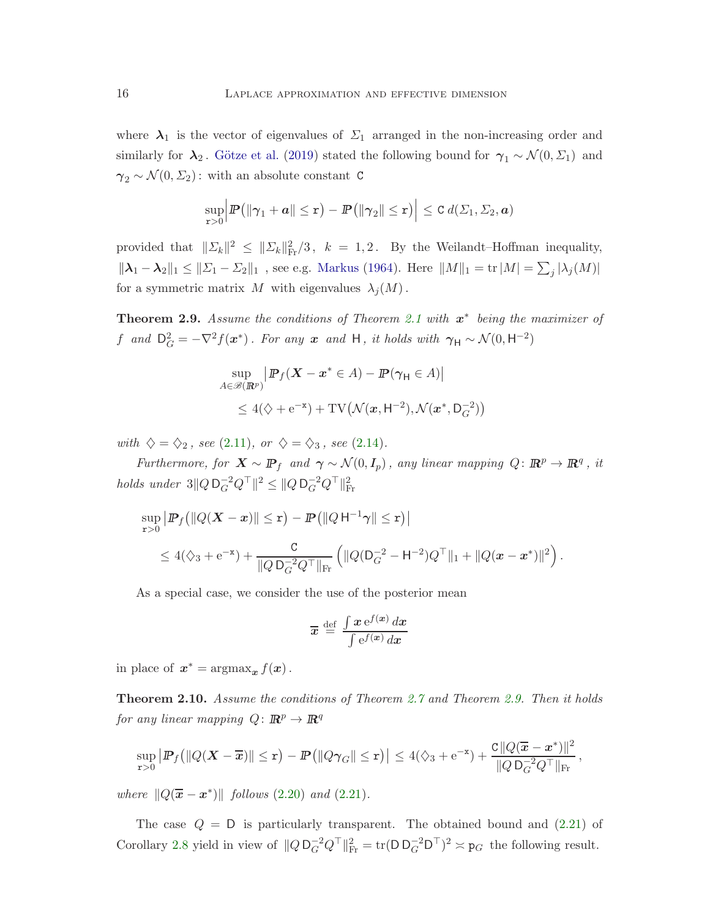where  $\lambda_1$  is the vector of eigenvalues of  $\Sigma_1$  arranged in the non-increasing order and similarly for  $\lambda_2$ . Götze et al. [\(2019](#page-43-7)) stated the following bound for  $\gamma_1 \sim \mathcal{N}(0, \Sigma_1)$  and  $\gamma_2 \sim \mathcal{N}(0, \Sigma_2)$ : with an absolute constant C

$$
\sup_{\mathbf{r}>0} \Big| \mathbf{P} \big( \|\boldsymbol{\gamma}_1 + \boldsymbol{a}\| \leq \mathbf{r} \big) - \mathbf{P} \big( \|\boldsymbol{\gamma}_2\| \leq \mathbf{r} \big) \Big| \leq C d(\varSigma_1, \varSigma_2, \boldsymbol{a})
$$

provided that  $||\Sigma_k||^2 \le ||\Sigma_k||_{\text{Fr}}^2/3$ ,  $k = 1, 2$ . By the Weilandt–Hoffman inequality,  $\|\lambda_1-\lambda_2\|_1\leq\|\Sigma_1-\Sigma_2\|_1$ , see e.g. [Markus](#page-44-11) [\(1964](#page-44-11)). Here  $\|M\|_1 = \text{tr}\,|M| = \sum_j |\lambda_j(M)|$ for a symmetric matrix M with eigenvalues  $\lambda_j(M)$ .

<span id="page-15-1"></span>**Theorem 2.9.** Assume the conditions of Theorem [2.1](#page-10-1) with  $x^*$  being the maximizer of f and  $D_G^2 = -\nabla^2 f(x^*)$ . For any x and H, it holds with  $\gamma_H \sim \mathcal{N}(0, H^{-2})$ 

$$
\sup_{A \in \mathcal{B}(\mathbb{R}^p)} \left| \mathbb{P}_f(\mathbf{X} - \mathbf{x}^* \in A) - \mathbb{P}(\gamma_{\mathsf{H}} \in A) \right|
$$
  
\$\leq 4(\diamondsuit + e^{-\mathbf{x}}) + \text{TV}(\mathcal{N}(\mathbf{x}, \mathsf{H}^{-2}), \mathcal{N}(\mathbf{x}^\*, \mathsf{D}\_G^{-2}))\$

with  $\diamondsuit = \diamondsuit_2$ , see [\(2.11\)](#page-10-2), or  $\diamondsuit = \diamondsuit_3$ , see [\(2.14\)](#page-10-6).

Furthermore, for  $X \sim \mathbb{P}_f$  and  $\gamma \sim \mathcal{N}(0, I_p)$ , any linear mapping  $Q: \mathbb{R}^p \to \mathbb{R}^q$ , it holds under  $3||Q D_G^{-2} Q^\top ||^2 \leq ||Q D_G^{-2} Q^\top ||_{\text{Fr}}^2$ 

$$
\sup_{\mathbf{r}>0} \left| \mathbf{P}_f \left( \left\| Q(\mathbf{X} - \mathbf{x}) \right\| \leq \mathbf{r} \right) - \mathbf{P} \left( \left\| Q \mathsf{H}^{-1} \gamma \right\| \leq \mathbf{r} \right) \right| \\ \leq 4(\Diamond_3 + e^{-\mathbf{x}}) + \frac{c}{\| Q \mathsf{D}_G^{-2} Q^\top \|_{\text{Fr}}} \left( \| Q(\mathsf{D}_G^{-2} - \mathsf{H}^{-2}) Q^\top \|_1 + \| Q(\mathbf{x} - \mathbf{x}^*) \|^2 \right).
$$

As a special case, we consider the use of the posterior mean

$$
\overline{x} \stackrel{\text{def}}{=} \frac{\int x e^{f(x)} dx}{\int e^{f(x)} dx}
$$

in place of  $x^* = \operatorname{argmax}_x f(x)$ .

<span id="page-15-0"></span>Theorem 2.10. Assume the conditions of Theorem [2.7](#page-13-2) and Theorem [2.9.](#page-15-1) Then it holds for any linear mapping  $Q: \mathbb{R}^p \to \mathbb{R}^q$ 

$$
\sup_{\mathbf{r}>0} \left| \mathbb{P}_f ( \| Q(\mathbf{X}-\overline{\mathbf{x}})\| \leq \mathbf{r} ) - \mathbb{P} \left( \| Q\gamma_G \| \leq \mathbf{r} \right) \right| \leq 4(\Diamond_3 + e^{-\mathbf{x}}) + \frac{C \| Q(\overline{\mathbf{x}}-\mathbf{x}^*)\|^2}{\| Q\, \mathsf{D}_G^{-2} Q^\top \|_{\mathrm{Fr}}},
$$

where  $||Q(\overline{x} - x^*)||$  follows [\(2.20\)](#page-13-4) and [\(2.21\)](#page-13-6).

The case  $Q = D$  is particularly transparent. The obtained bound and  $(2.21)$  of Corollary [2.8](#page-13-3) yield in view of  $||Q D_G^{-2} Q^\top||_{\text{Fr}}^2 = \text{tr}(D D_G^{-2} D^\top)^2 \approx p_G$  the following result.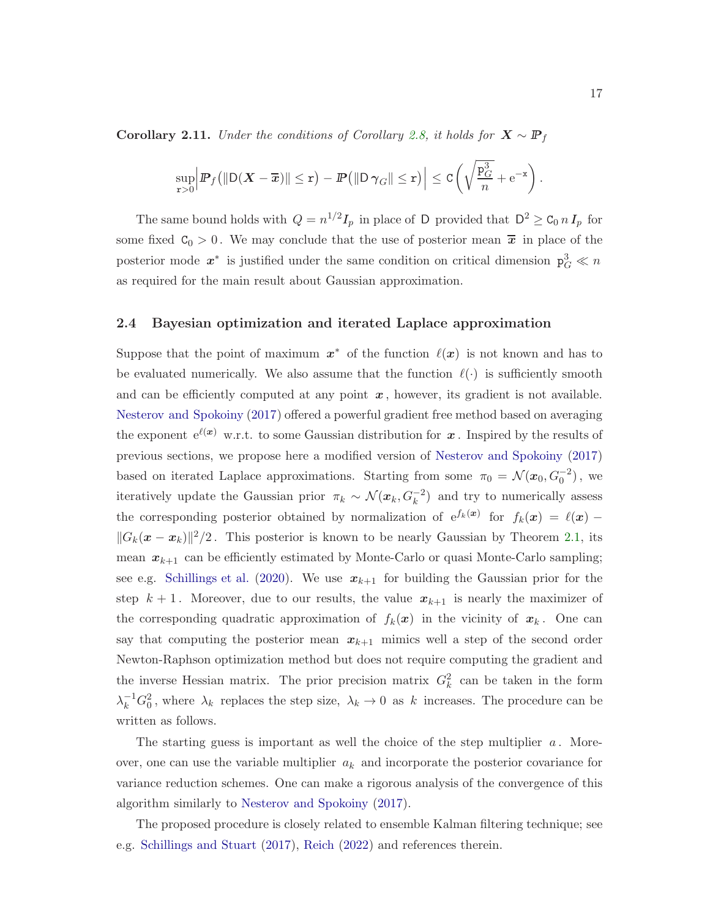Corollary 2.11. Under the conditions of Corollary [2.8,](#page-13-3) it holds for  $X \sim \mathbb{P}_f$ 

$$
\sup_{\mathbf{r}>0} \Big| \mathbf{P}_f \big( \| \mathsf{D} (\boldsymbol{X} - \overline{\boldsymbol{x}}) \| \leq \mathbf{r} \big) - \mathbf{P} \big( \| \mathsf{D} \, \boldsymbol{\gamma}_G \| \leq \mathbf{r} \big) \Big| \leq \mathtt{C} \bigg( \sqrt{\frac{\mathtt{p}_G^3}{n}} + \mathrm{e}^{-\mathbf{x}} \bigg) \, .
$$

The same bound holds with  $Q = n^{1/2}I_p$  in place of D provided that  $D^2 \ge C_0 n I_p$  for some fixed  $C_0 > 0$ . We may conclude that the use of posterior mean  $\bar{x}$  in place of the posterior mode  $x^*$  is justified under the same condition on critical dimension  $p_G^3 \ll n$ as required for the main result about Gaussian approximation.

#### <span id="page-16-0"></span>2.4 Bayesian optimization and iterated Laplace approximation

Suppose that the point of maximum  $x^*$  of the function  $\ell(x)$  is not known and has to be evaluated numerically. We also assume that the function  $\ell(\cdot)$  is sufficiently smooth and can be efficiently computed at any point  $x$ , however, its gradient is not available. [Nesterov and Spokoiny](#page-44-9) [\(2017](#page-44-9)) offered a powerful gradient free method based on averaging the exponent  $e^{\ell(x)}$  w.r.t. to some Gaussian distribution for x. Inspired by the results of previous sections, we propose here a modified version of [Nesterov and Spokoiny](#page-44-9) [\(2017](#page-44-9)) based on iterated Laplace approximations. Starting from some  $\pi_0 = \mathcal{N}(x_0, G_0^{-2})$ , we iteratively update the Gaussian prior  $\pi_k \sim \mathcal{N}(x_k, G_k^{-2})$  and try to numerically assess the corresponding posterior obtained by normalization of  $e^{f_k(x)}$  for  $f_k(x) = \ell(x)$  $||G_k(x - x_k)||^2/2$ . This posterior is known to be nearly Gaussian by Theorem [2.1,](#page-10-1) its mean  $x_{k+1}$  can be efficiently estimated by Monte-Carlo or quasi Monte-Carlo sampling; see e.g. [Schillings et al.](#page-45-2) [\(2020\)](#page-45-2). We use  $x_{k+1}$  for building the Gaussian prior for the step  $k + 1$ . Moreover, due to our results, the value  $x_{k+1}$  is nearly the maximizer of the corresponding quadratic approximation of  $f_k(x)$  in the vicinity of  $x_k$ . One can say that computing the posterior mean  $x_{k+1}$  mimics well a step of the second order Newton-Raphson optimization method but does not require computing the gradient and the inverse Hessian matrix. The prior precision matrix  $G_k^2$  can be taken in the form  $\lambda_k^{-1} G_0^2$ , where  $\lambda_k$  replaces the step size,  $\lambda_k \to 0$  as k increases. The procedure can be written as follows.

The starting guess is important as well the choice of the step multiplier  $a$ . Moreover, one can use the variable multiplier  $a_k$  and incorporate the posterior covariance for variance reduction schemes. One can make a rigorous analysis of the convergence of this algorithm similarly to [Nesterov and Spokoiny](#page-44-9) [\(2017](#page-44-9)).

The proposed procedure is closely related to ensemble Kalman filtering technique; see e.g. [Schillings and Stuart](#page-45-4) [\(2017](#page-45-4)), [Reich](#page-44-12) [\(2022](#page-44-12)) and references therein.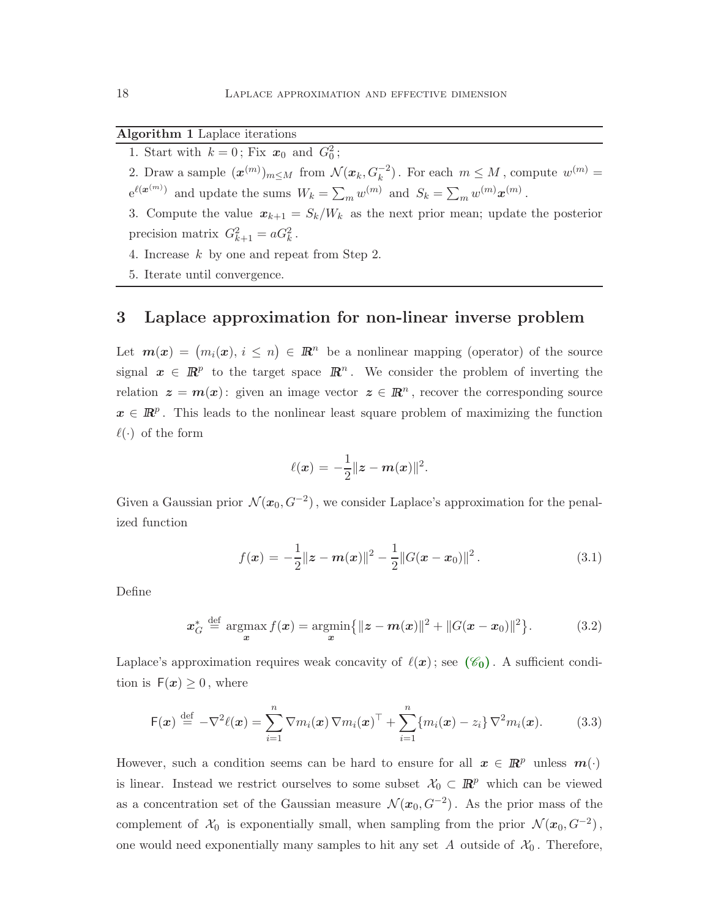#### Algorithm 1 Laplace iterations

1. Start with  $k = 0$ ; Fix  $x_0$  and  $G_0^2$ ;

2. Draw a sample  $(\boldsymbol{x}^{(m)})_{m \leq M}$  from  $\mathcal{N}(\boldsymbol{x}_k, G_k^{-2})$ . For each  $m \leq M$ , compute  $w^{(m)} =$  $e^{\ell(\boldsymbol{x}^{(m)})}$  and update the sums  $W_k = \sum_m w^{(m)}$  and  $S_k = \sum_m w^{(m)} \boldsymbol{x}^{(m)}$ .

3. Compute the value  $x_{k+1} = S_k/W_k$  as the next prior mean; update the posterior precision matrix  $G_{k+1}^2 = aG_k^2$ .

- 4. Increase k by one and repeat from Step 2.
- 5. Iterate until convergence.

### <span id="page-17-0"></span>3 Laplace approximation for non-linear inverse problem

Let  $m(x) = (m_i(x), i \leq n) \in \mathbb{R}^n$  be a nonlinear mapping (operator) of the source signal  $x \in \mathbb{R}^p$  to the target space  $\mathbb{R}^n$ . We consider the problem of inverting the relation  $z = m(x)$ : given an image vector  $z \in \mathbb{R}^n$ , recover the corresponding source  $x \in \mathbb{R}^p$ . This leads to the nonlinear least square problem of maximizing the function  $\ell(\cdot)$  of the form

<span id="page-17-3"></span><span id="page-17-2"></span>
$$
\ell(\bm{x}) = -\frac{1}{2}\|\bm{z} - \bm{m}(\bm{x})\|^2.
$$

Given a Gaussian prior  $\mathcal{N}(x_0, G^{-2})$ , we consider Laplace's approximation for the penalized function

<span id="page-17-1"></span>
$$
f(\boldsymbol{x}) = -\frac{1}{2} ||\boldsymbol{z} - \boldsymbol{m}(\boldsymbol{x})||^2 - \frac{1}{2} ||G(\boldsymbol{x} - \boldsymbol{x}_0)||^2.
$$
 (3.1)

Define

$$
x_G^* \stackrel{\text{def}}{=} \underset{x}{\text{argmax}} f(x) = \underset{x}{\text{argmin}} \{ \|z - m(x)\|^2 + \|G(x - x_0)\|^2 \}.
$$
 (3.2)

Laplace's approximation requires weak concavity of  $\ell(x)$ ; see  $(\mathscr{C}_0)$  $(\mathscr{C}_0)$  $(\mathscr{C}_0)$ . A sufficient condition is  $F(x) \geq 0$ , where

$$
\mathsf{F}(\boldsymbol{x}) \stackrel{\text{def}}{=} -\nabla^2 \ell(\boldsymbol{x}) = \sum_{i=1}^n \nabla m_i(\boldsymbol{x}) \nabla m_i(\boldsymbol{x})^\top + \sum_{i=1}^n \{m_i(\boldsymbol{x}) - z_i\} \nabla^2 m_i(\boldsymbol{x}). \tag{3.3}
$$

However, such a condition seems can be hard to ensure for all  $x \in \mathbb{R}^p$  unless  $m(\cdot)$ is linear. Instead we restrict ourselves to some subset  $\mathcal{X}_0 \subset \mathbb{R}^p$  which can be viewed as a concentration set of the Gaussian measure  $\mathcal{N}(x_0, G^{-2})$ . As the prior mass of the complement of  $\mathcal{X}_0$  is exponentially small, when sampling from the prior  $\mathcal{N}(x_0, G^{-2})$ , one would need exponentially many samples to hit any set A outside of  $\mathcal{X}_0$ . Therefore,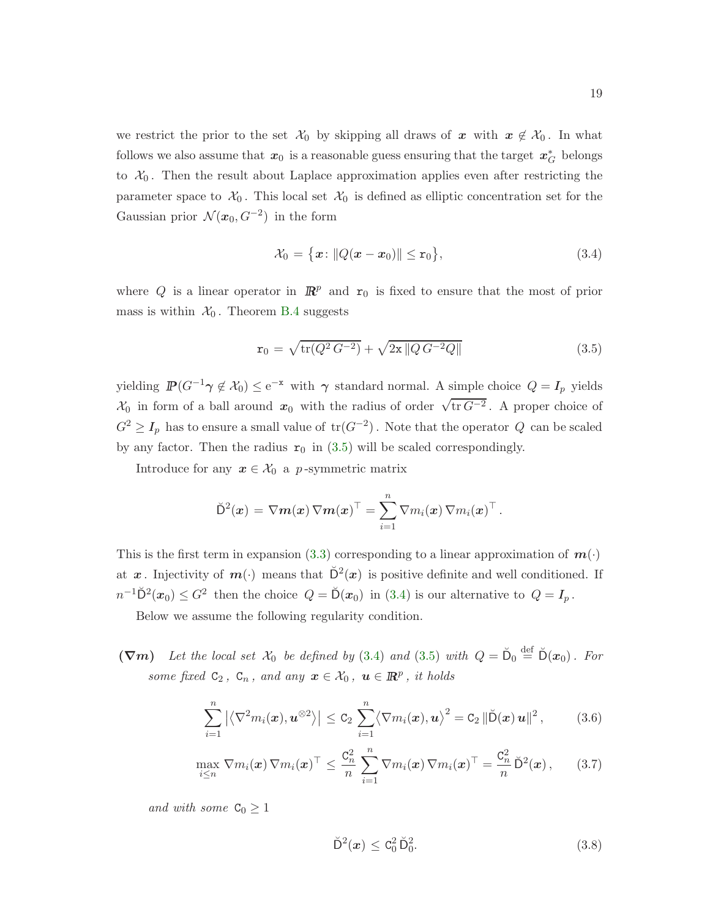we restrict the prior to the set  $\mathcal{X}_0$  by skipping all draws of x with  $x \notin \mathcal{X}_0$ . In what follows we also assume that  $x_0$  is a reasonable guess ensuring that the target  $x_G^*$  belongs to  $\mathcal{X}_0$ . Then the result about Laplace approximation applies even after restricting the parameter space to  $\mathcal{X}_0$ . This local set  $\mathcal{X}_0$  is defined as elliptic concentration set for the Gaussian prior  $\mathcal{N}(x_0, G^{-2})$  in the form

<span id="page-18-1"></span>
$$
\mathcal{X}_0 = \{x : ||Q(x - x_0)|| \le r_0\},\tag{3.4}
$$

where Q is a linear operator in  $\mathbb{R}^p$  and  $r_0$  is fixed to ensure that the most of prior mass is within  $\mathcal{X}_0$ . Theorem [B.4](#page-40-1) suggests

<span id="page-18-0"></span>
$$
\mathbf{r}_0 = \sqrt{\text{tr}(Q^2 G^{-2})} + \sqrt{2\mathbf{x} ||Q G^{-2} Q||}
$$
\n(3.5)

yielding  $\mathbb{P}(G^{-1}\gamma \notin \mathcal{X}_0) \leq e^{-x}$  with  $\gamma$  standard normal. A simple choice  $Q = I_p$  yields  $\mathcal{X}_0$  in form of a ball around  $x_0$  with the radius of order  $\sqrt{\text{tr }G^{-2}}$ . A proper choice of  $G^2 \geq I_p$  has to ensure a small value of  $tr(G^{-2})$ . Note that the operator  $Q$  can be scaled by any factor. Then the radius  $r_0$  in [\(3.5\)](#page-18-0) will be scaled correspondingly.

Introduce for any  $x \in \mathcal{X}_0$  a p-symmetric matrix

$$
\breve{\mathsf{D}}^2(\boldsymbol{x}) = \nabla \boldsymbol{m}(\boldsymbol{x}) \, \nabla \boldsymbol{m}(\boldsymbol{x})^\top = \sum_{i=1}^n \nabla m_i(\boldsymbol{x}) \, \nabla m_i(\boldsymbol{x})^\top \, .
$$

This is the first term in expansion [\(3.3\)](#page-17-1) corresponding to a linear approximation of  $m(\cdot)$ at  $x$ . Injectivity of  $m(\cdot)$  means that  $\mathbb{D}^2(x)$  is positive definite and well conditioned. If  $n^{-1}D^2(x_0) \leq G^2$  then the choice  $Q = D(x_0)$  in [\(3.4\)](#page-18-1) is our alternative to  $Q = I_p$ .

Below we assume the following regularity condition.

 $(\nabla m)$  Let the local set  $\mathcal{X}_0$  be defined by [\(3.4\)](#page-18-1) and [\(3.5\)](#page-18-0) with  $Q = \check{D}_0 \stackrel{\text{def}}{=} \check{D}(x_0)$ . For some fixed  $C_2$ ,  $C_n$ , and any  $\boldsymbol{x} \in \mathcal{X}_0$ ,  $\boldsymbol{u} \in \mathbb{R}^p$ , it holds

<span id="page-18-2"></span>
$$
\sum_{i=1}^{n} |\langle \nabla^2 m_i(\boldsymbol{x}), \boldsymbol{u}^{\otimes 2} \rangle| \leq C_2 \sum_{i=1}^{n} \langle \nabla m_i(\boldsymbol{x}), \boldsymbol{u} \rangle^2 = C_2 ||\breve{D}(\boldsymbol{x}) \boldsymbol{u}||^2, \qquad (3.6)
$$

$$
\max_{i\leq n} \nabla m_i(\boldsymbol{x}) \nabla m_i(\boldsymbol{x})^\top \leq \frac{\mathcal{C}_n^2}{n} \sum_{i=1}^n \nabla m_i(\boldsymbol{x}) \nabla m_i(\boldsymbol{x})^\top = \frac{\mathcal{C}_n^2}{n} \breve{\mathcal{D}}^2(\boldsymbol{x}), \qquad (3.7)
$$

and with some  $C_0 \geq 1$ 

<span id="page-18-4"></span><span id="page-18-3"></span>
$$
\breve{\mathsf{D}}^2(x) \leq \mathsf{C}_0^2 \breve{\mathsf{D}}_0^2. \tag{3.8}
$$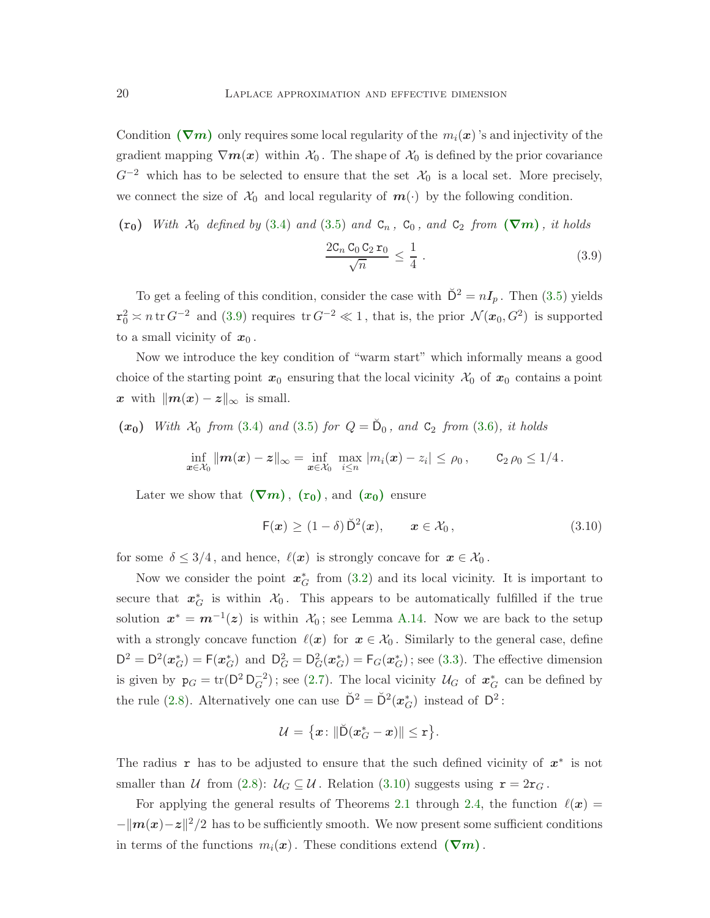Condition ( $\nabla$ [m](#page-18-0)) only requires some local regularity of the  $m_i(x)$ 's and injectivity of the gradient mapping  $\nabla m(x)$  within  $\mathcal{X}_0$ . The shape of  $\mathcal{X}_0$  is defined by the prior covariance  $G^{-2}$  which has to be selected to ensure that the set  $\mathcal{X}_0$  is a local set. More precisely, we connect the size of  $\mathcal{X}_0$  and local regularity of  $m(\cdot)$  by the following condition.

 $(r_0)$  With  $\mathcal{X}_0$  $\mathcal{X}_0$  $\mathcal{X}_0$  defined by [\(3.4\)](#page-18-1) and [\(3.5\)](#page-18-0) and  $C_n$ ,  $C_0$ , and  $C_2$  from  $(\nabla m)$ , it holds

<span id="page-19-0"></span>
$$
\frac{2C_n C_0 C_2 r_0}{\sqrt{n}} \le \frac{1}{4} \,. \tag{3.9}
$$

To get a feeling of this condition, consider the case with  $\tilde{D}^2 = nI_p$ . Then [\(3.5\)](#page-18-0) yields  $\mathbf{r}_0^2 \approx n \, \text{tr} \, G^{-2}$  and [\(3.9\)](#page-19-0) requires  $\text{tr} \, G^{-2} \ll 1$ , that is, the prior  $\mathcal{N}(x_0, G^2)$  is supported to a small vicinity of  $x_0$ .

Now we introduce the key condition of "warm start" which informally means a good choice of the starting point  $x_0$  ensuring that the local vicinity  $\mathcal{X}_0$  of  $x_0$  contains a point x with  $\|\mathbf{m}(\mathbf{x}) - \mathbf{z}\|_{\infty}$  is small.

 $(x_0)$  With  $\mathcal{X}_0$  from [\(3.4\)](#page-18-1) and [\(3.5\)](#page-18-0) for  $Q = \tilde{D}_0$ , and  $C_2$  from [\(3.6\)](#page-18-2), it holds

$$
\inf_{\bm{x}\in\mathcal{X}_0} \|\bm{m}(\bm{x}) - \bm{z}\|_{\infty} = \inf_{\bm{x}\in\mathcal{X}_0} \max_{i\leq n} |m_i(\bm{x}) - z_i| \leq \rho_0, \qquad C_2 \,\rho_0 \leq 1/4.
$$

Late[r](#page-18-3) we show that  $(\nabla m)$  $(\nabla m)$  $(\nabla m)$ ,  $(\mathbf{r}_0)$ , and  $(\mathbf{x}_0)$  $(\mathbf{x}_0)$  $(\mathbf{x}_0)$  ensure

<span id="page-19-1"></span>
$$
\mathsf{F}(\boldsymbol{x}) \ge (1-\delta) \breve{\mathsf{D}}^2(\boldsymbol{x}), \qquad \boldsymbol{x} \in \mathcal{X}_0, \tag{3.10}
$$

for some  $\delta \leq 3/4$ , and hence,  $\ell(x)$  is strongly concave for  $x \in \mathcal{X}_0$ .

Now we consider the point  $x_G^*$  from [\(3.2\)](#page-17-2) and its local vicinity. It is important to secure that  $x_G^*$  is within  $\mathcal{X}_0$ . This appears to be automatically fulfilled if the true solution  $x^* = m^{-1}(z)$  is within  $\mathcal{X}_0$ ; see Lemma [A.14.](#page-35-1) Now we are back to the setup with a strongly concave function  $\ell(x)$  for  $x \in \mathcal{X}_0$ . Similarly to the general case, define  $D^2 = D^2(\boldsymbol{x}_G^*) = F(\boldsymbol{x}_G^*)$  and  $D_G^2 = D_G^2(\boldsymbol{x}_G^*) = F_G(\boldsymbol{x}_G^*)$ ; see [\(3.3\)](#page-17-1). The effective dimension is given by  $p_G = \text{tr}(D^2 D_G^{-2})$ ; see [\(2.7\)](#page-8-3). The local vicinity  $\mathcal{U}_G$  of  $\mathbf{x}_G^*$  can be defined by the rule [\(2.8\)](#page-8-2). Alternatively one can use  $\check{D}^2 = \check{D}^2(\boldsymbol{x}_{\boldsymbol{G}}^*)$  instead of  $D^2$ :

$$
\mathcal{U} = \big\{x \colon \lVert \breve{\mathsf{D}}(x_G^* - x) \rVert \leq \mathtt{r} \big\}.
$$

The radius r has to be adjusted to ensure that the such defined vicinity of  $x^*$  is not smaller than U from [\(2.8\)](#page-8-2):  $U_G \subseteq U$ . Relation [\(3.10\)](#page-19-1) suggests using  $\mathbf{r} = 2\mathbf{r}_G$ .

For applying the general results of Theorems [2.1](#page-10-1) through [2.4,](#page-11-1) the function  $\ell(x)$  =  $-\|\mathbf{m}(\mathbf{x})-\mathbf{z}\|^2/2$  has to be sufficiently smooth. We now present some sufficient conditions in ter[m](#page-18-0)s of the functions  $m_i(x)$ . These conditions extend  $(\nabla m)$ .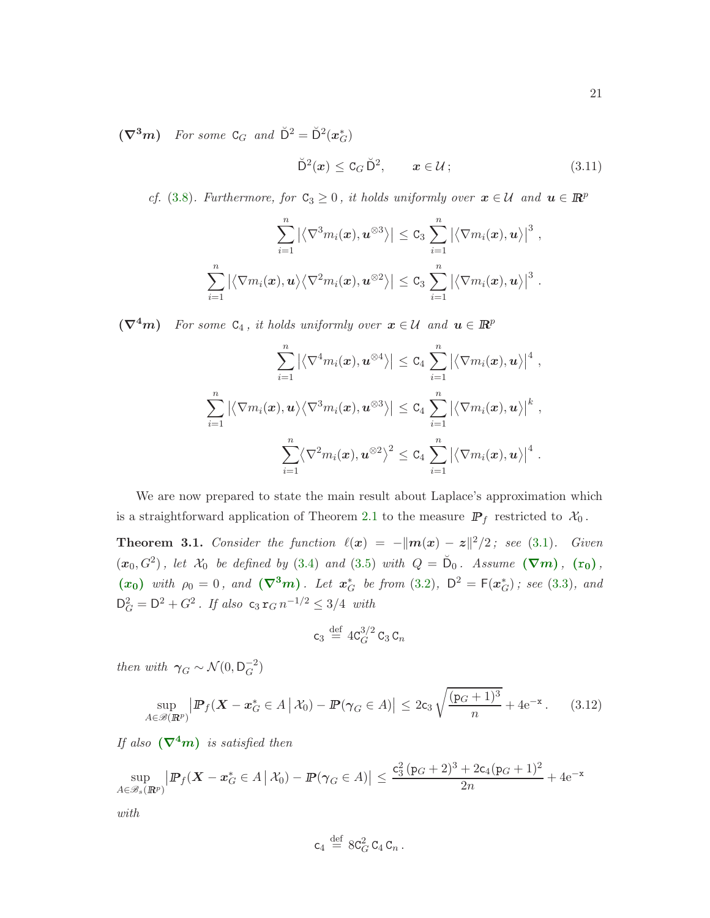$(\nabla^3 m)$  For some C<sub>G</sub> and  $\breve{\mathsf{D}}^2 = \breve{\mathsf{D}}^2(\boldsymbol{x}_{G}^*)$ 

<span id="page-20-1"></span>
$$
\breve{\mathsf{D}}^2(\boldsymbol{x}) \leq \mathtt{C}_G \breve{\mathsf{D}}^2, \qquad \boldsymbol{x} \in \mathcal{U};\tag{3.11}
$$

cf. [\(3.8\)](#page-18-3). Furthermore, for  $C_3 \geq 0$ , it holds uniformly over  $x \in \mathcal{U}$  and  $u \in \mathbb{R}^p$ 

$$
\sum_{i=1}^n \left| \left\langle \nabla^3 m_i(\boldsymbol{x}), \boldsymbol{u}^{\otimes 3} \right\rangle \right| \leq C_3 \sum_{i=1}^n \left| \left\langle \nabla m_i(\boldsymbol{x}), \boldsymbol{u} \right\rangle \right|^3,
$$
  

$$
\sum_{i=1}^n \left| \left\langle \nabla m_i(\boldsymbol{x}), \boldsymbol{u} \right\rangle \left\langle \nabla^2 m_i(\boldsymbol{x}), \boldsymbol{u}^{\otimes 2} \right\rangle \right| \leq C_3 \sum_{i=1}^n \left| \left\langle \nabla m_i(\boldsymbol{x}), \boldsymbol{u} \right\rangle \right|^3.
$$

 $(\nabla^4 m)$  For some  $C_4$ , it holds uniformly over  $x \in \mathcal{U}$  and  $u \in \mathbb{R}^p$ 

$$
\sum_{i=1}^n \left| \left\langle \nabla^4 m_i(\boldsymbol{x}), \boldsymbol{u}^{\otimes 4} \right\rangle \right| \leq C_4 \sum_{i=1}^n \left| \left\langle \nabla m_i(\boldsymbol{x}), \boldsymbol{u} \right\rangle \right|^4,
$$
  

$$
\sum_{i=1}^n \left| \left\langle \nabla m_i(\boldsymbol{x}), \boldsymbol{u} \right\rangle \left\langle \nabla^3 m_i(\boldsymbol{x}), \boldsymbol{u}^{\otimes 3} \right\rangle \right| \leq C_4 \sum_{i=1}^n \left| \left\langle \nabla m_i(\boldsymbol{x}), \boldsymbol{u} \right\rangle \right|^k,
$$
  

$$
\sum_{i=1}^n \left\langle \nabla^2 m_i(\boldsymbol{x}), \boldsymbol{u}^{\otimes 2} \right\rangle^2 \leq C_4 \sum_{i=1}^n \left| \left\langle \nabla m_i(\boldsymbol{x}), \boldsymbol{u} \right\rangle \right|^4.
$$

We are now prepared to state the main result about Laplace's approximation which is a straightforward application of Theorem [2.1](#page-10-1) to the measure  $\mathbb{P}_f$  restricted to  $\mathcal{X}_0$ .

<span id="page-20-0"></span>**Theorem 3.1.** Consider the function  $\ell(x) = -||m(x) - z||^2/2$ ; see [\(3.1\)](#page-17-3). Given  $(x_0, G^2)$ , let  $\mathcal{X}_0$  $\mathcal{X}_0$  $\mathcal{X}_0$  be defined by [\(3.4\)](#page-18-1) and [\(3.5\)](#page-18-0) with  $Q = \breve{D}_0$  $Q = \breve{D}_0$  $Q = \breve{D}_0$ . Assume  $(\nabla m)$ ,  $(r_0)$ , ([x](#page-19-0)<sub>0</sub>) with  $\rho_0 = 0$ , and  $(\nabla^3 m)$  $(\nabla^3 m)$  $(\nabla^3 m)$ . Let  $x_G^*$  be from [\(3.2\)](#page-17-2),  $D^2 = F(x_G^*)$ ; see [\(3.3\)](#page-17-1), and  $D_G^2 = D^2 + G^2$ . If also  $c_3 r_G n^{-1/2} \leq 3/4$  with

<span id="page-20-2"></span>
$$
\mathsf{c}_3 \stackrel{\text{def}}{=} 4\mathsf{C}_G^{3/2} \mathsf{C}_3 \mathsf{C}_n
$$

then with  $\gamma_G \sim \mathcal{N}(0, \mathsf{D}_G^{-2})$ 

$$
\sup_{A\in\mathscr{B}(\mathbb{R}^p)}\left|\mathbb{P}_{f}(\mathbf{X}-\mathbf{x}_G^*\in A\,\big|\,\mathcal{X}_0)-\mathbb{P}(\gamma_G\in A)\right|\leq 2\mathsf{c}_3\sqrt{\frac{(\mathsf{p}_G+1)^3}{n}}+4\mathrm{e}^{-\mathsf{x}}\,. \tag{3.12}
$$

If also  $(\nabla^4 m)$  $(\nabla^4 m)$  $(\nabla^4 m)$  is satisfied then

$$
\sup_{A \in \mathcal{B}_s(\mathbb{R}^p)} \left| \mathbb{P}_f(\mathbf{X} - \mathbf{x}_G^* \in A \, \big| \, \mathcal{X}_0) - \mathbb{P}(\gamma_G \in A) \right| \le \frac{c_3^2 (p_G + 2)^3 + 2c_4 (p_G + 1)^2}{2n} + 4e^{-x}
$$

with

$$
\mathsf{c}_4 \stackrel{\text{def}}{=} 8\mathsf{C}_G^2 \mathsf{C}_4 \mathsf{C}_n \,.
$$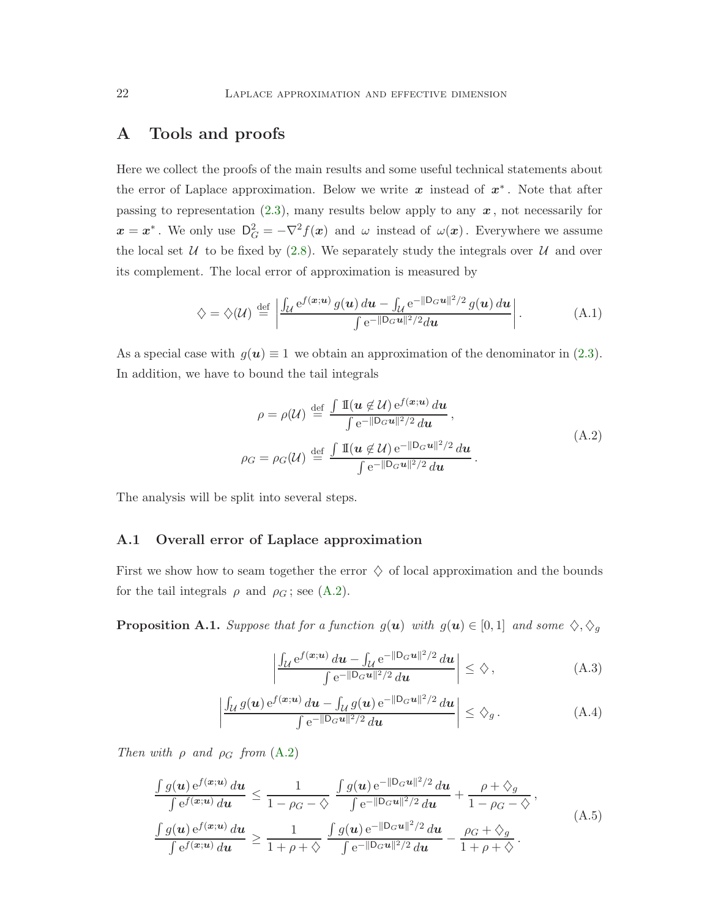# <span id="page-21-0"></span>A Tools and proofs

Here we collect the proofs of the main results and some useful technical statements about the error of Laplace approximation. Below we write  $x$  instead of  $x^*$ . Note that after passing to representation  $(2.3)$ , many results below apply to any  $x$ , not necessarily for  $x = x^*$ . We only use  $D_G^2 = -\nabla^2 f(x)$  and  $\omega$  instead of  $\omega(x)$ . Everywhere we assume the local set  $U$  to be fixed by [\(2.8\)](#page-8-2). We separately study the integrals over  $U$  and over its complement. The local error of approximation is measured by

$$
\diamondsuit = \diamondsuit(\mathcal{U}) \stackrel{\text{def}}{=} \left| \frac{\int_{\mathcal{U}} e^{f(\boldsymbol{x}; \boldsymbol{u})} g(\boldsymbol{u}) \, d\boldsymbol{u} - \int_{\mathcal{U}} e^{-\|\mathbf{D}_{G}\boldsymbol{u}\|^2/2} g(\boldsymbol{u}) \, d\boldsymbol{u}}{\int e^{-\|\mathbf{D}_{G}\boldsymbol{u}\|^2/2} d\boldsymbol{u}} \right|.
$$
 (A.1)

As a special case with  $g(u) \equiv 1$  we obtain an approximation of the denominator in [\(2.3\)](#page-7-3). In addition, we have to bound the tail integrals

<span id="page-21-6"></span><span id="page-21-2"></span>
$$
\rho = \rho(\mathcal{U}) \stackrel{\text{def}}{=} \frac{\int \mathbb{I}(\boldsymbol{u} \notin \mathcal{U}) e^{f(\boldsymbol{x}; \boldsymbol{u})} d\boldsymbol{u}}{\int e^{-\|\mathbf{D}_{G}\boldsymbol{u}\|^{2}/2} d\boldsymbol{u}},
$$
\n
$$
\rho_{G} = \rho_{G}(\mathcal{U}) \stackrel{\text{def}}{=} \frac{\int \mathbb{I}(\boldsymbol{u} \notin \mathcal{U}) e^{-\|\mathbf{D}_{G}\boldsymbol{u}\|^{2}/2} d\boldsymbol{u}}{\int e^{-\|\mathbf{D}_{G}\boldsymbol{u}\|^{2}/2} d\boldsymbol{u}}.
$$
\n(A.2)

<span id="page-21-1"></span>The analysis will be split into several steps.

#### A.1 Overall error of Laplace approximation

First we show how to seam together the error  $\diamondsuit$  of local approximation and the bounds for the tail integrals  $\rho$  and  $\rho_G$ ; see [\(A.2\)](#page-21-2).

**Proposition A.1.** Suppose that for a function  $g(u)$  with  $g(u) \in [0,1]$  and some  $\diamondsuit, \diamondsuit_g$ 

<span id="page-21-4"></span><span id="page-21-3"></span>
$$
\left| \frac{\int_{\mathcal{U}} e^{f(\boldsymbol{x}; \boldsymbol{u})} d\boldsymbol{u} - \int_{\mathcal{U}} e^{-\|\mathsf{D}_{G}\boldsymbol{u}\|^2/2} d\boldsymbol{u}}{\int e^{-\|\mathsf{D}_{G}\boldsymbol{u}\|^2/2} d\boldsymbol{u}} \right| \leq \diamondsuit ,\tag{A.3}
$$

<span id="page-21-5"></span>
$$
\left| \frac{\int_{\mathcal{U}} g(\boldsymbol{u}) e^{f(\boldsymbol{x};\boldsymbol{u})} d\boldsymbol{u} - \int_{\mathcal{U}} g(\boldsymbol{u}) e^{-\|\mathsf{D}_{G}\boldsymbol{u}\|^2/2} d\boldsymbol{u}}{\int e^{-\|\mathsf{D}_{G}\boldsymbol{u}\|^2/2} d\boldsymbol{u}} \right| \leq \hat{\diamondsuit}_g.
$$
 (A.4)

Then with  $\rho$  and  $\rho_G$  from  $(A.2)$ 

$$
\frac{\int g(\mathbf{u}) e^{f(\mathbf{x};\mathbf{u})} d\mathbf{u}}{\int e^{f(\mathbf{x};\mathbf{u})} d\mathbf{u}} \leq \frac{1}{1 - \rho_G - \diamondsuit} \frac{\int g(\mathbf{u}) e^{-\|\mathbf{D}_G \mathbf{u}\|^2/2} d\mathbf{u}}{\int e^{-\|\mathbf{D}_G \mathbf{u}\|^2/2} d\mathbf{u}} + \frac{\rho + \diamondsuit_g}{1 - \rho_G - \diamondsuit},
$$
\n(A.5)\n
$$
\frac{\int g(\mathbf{u}) e^{f(\mathbf{x};\mathbf{u})} d\mathbf{u}}{\int e^{f(\mathbf{x};\mathbf{u})} d\mathbf{u}} \geq \frac{1}{1 + \rho + \diamondsuit} \frac{\int g(\mathbf{u}) e^{-\|\mathbf{D}_G \mathbf{u}\|^2/2} d\mathbf{u}}{\int e^{-\|\mathbf{D}_G \mathbf{u}\|^2/2} d\mathbf{u}} - \frac{\rho_G + \diamondsuit_g}{1 + \rho + \diamondsuit}.
$$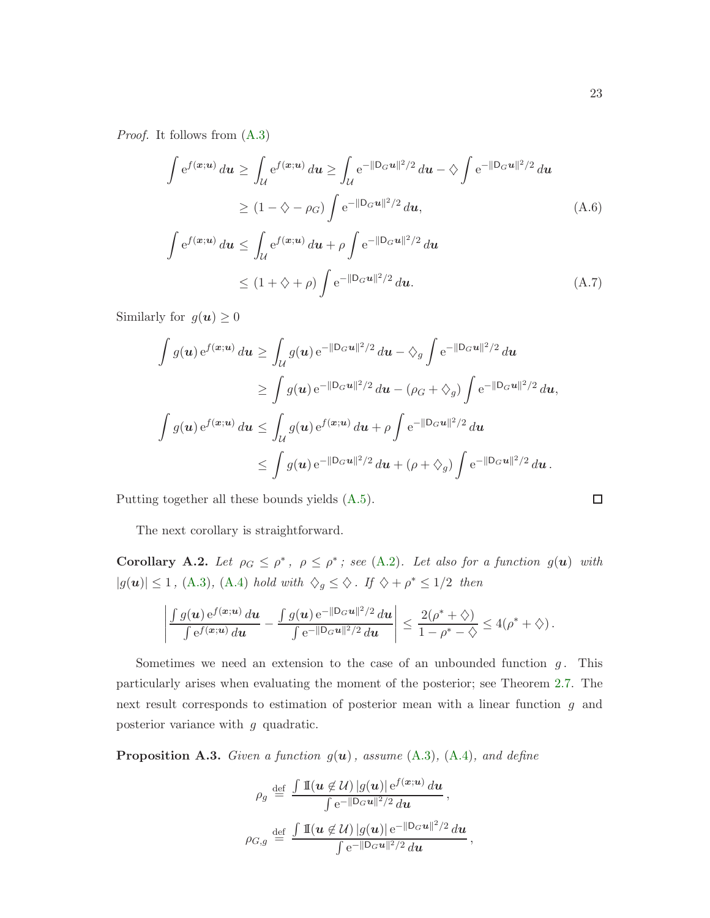Proof. It follows from [\(A.3\)](#page-21-3)

<span id="page-22-0"></span>
$$
\int e^{f(\boldsymbol{x};\boldsymbol{u})} d\boldsymbol{u} \ge \int_{\mathcal{U}} e^{f(\boldsymbol{x};\boldsymbol{u})} d\boldsymbol{u} \ge \int_{\mathcal{U}} e^{-\|\mathbf{D}_{G}\boldsymbol{u}\|^{2}/2} d\boldsymbol{u} - \diamondsuit \int e^{-\|\mathbf{D}_{G}\boldsymbol{u}\|^{2}/2} d\boldsymbol{u}
$$
  
\n
$$
\ge (1 - \diamondsuit - \rho_{G}) \int e^{-\|\mathbf{D}_{G}\boldsymbol{u}\|^{2}/2} d\boldsymbol{u}, \tag{A.6}
$$
  
\n
$$
\int e^{f(\boldsymbol{x};\boldsymbol{u})} d\boldsymbol{u} \le \int_{\mathcal{U}} e^{f(\boldsymbol{x};\boldsymbol{u})} d\boldsymbol{u} + \rho \int e^{-\|\mathbf{D}_{G}\boldsymbol{u}\|^{2}/2} d\boldsymbol{u}
$$
  
\n
$$
\le (1 + \diamondsuit + \rho) \int e^{-\|\mathbf{D}_{G}\boldsymbol{u}\|^{2}/2} d\boldsymbol{u}. \tag{A.7}
$$

Similarly for  $g(\boldsymbol{u}) \geq 0$ 

<span id="page-22-1"></span>
$$
\int g(\mathbf{u}) e^{f(\mathbf{x}; \mathbf{u})} d\mathbf{u} \ge \int_{\mathcal{U}} g(\mathbf{u}) e^{-\|\mathbf{D}_{G}\mathbf{u}\|^{2}/2} d\mathbf{u} - \diamondsuit_{g} \int e^{-\|\mathbf{D}_{G}\mathbf{u}\|^{2}/2} d\mathbf{u}
$$
\n
$$
\ge \int g(\mathbf{u}) e^{-\|\mathbf{D}_{G}\mathbf{u}\|^{2}/2} d\mathbf{u} - (\rho_{G} + \diamondsuit_{g}) \int e^{-\|\mathbf{D}_{G}\mathbf{u}\|^{2}/2} d\mathbf{u},
$$
\n
$$
\int g(\mathbf{u}) e^{f(\mathbf{x}; \mathbf{u})} d\mathbf{u} \le \int_{\mathcal{U}} g(\mathbf{u}) e^{f(\mathbf{x}; \mathbf{u})} d\mathbf{u} + \rho \int e^{-\|\mathbf{D}_{G}\mathbf{u}\|^{2}/2} d\mathbf{u}
$$
\n
$$
\le \int g(\mathbf{u}) e^{-\|\mathbf{D}_{G}\mathbf{u}\|^{2}/2} d\mathbf{u} + (\rho + \diamondsuit_{g}) \int e^{-\|\mathbf{D}_{G}\mathbf{u}\|^{2}/2} d\mathbf{u}.
$$

Putting together all these bounds yields [\(A.5\)](#page-21-4).

The next corollary is straightforward.

<span id="page-22-2"></span>**Corollary A.2.** Let  $\rho_G \leq \rho^*$ ,  $\rho \leq \rho^*$ ; see [\(A.2\)](#page-21-2). Let also for a function  $g(\boldsymbol{u})$  with  $|g(\boldsymbol{u})| \leq 1$ , [\(A.3\)](#page-21-3), [\(A.4\)](#page-21-5) hold with  $\Diamond_g \leq \Diamond$ . If  $\Diamond + \rho^* \leq 1/2$  then

$$
\left|\frac{\int g(\boldsymbol{u})\,\mathrm{e}^{f(\boldsymbol{x};\boldsymbol{u})}\,d\boldsymbol{u}}{\int \mathrm{e}^{f(\boldsymbol{x};\boldsymbol{u})}\,d\boldsymbol{u}}-\frac{\int g(\boldsymbol{u})\,\mathrm{e}^{-\|\mathsf{D}_G\boldsymbol{u}\|^2/2}\,d\boldsymbol{u}}{\int \mathrm{e}^{-\|\mathsf{D}_G\boldsymbol{u}\|^2/2}\,d\boldsymbol{u}}\right|\leq \frac{2(\rho^*+\diamondsuit)}{1-\rho^*-\diamondsuit}\leq 4(\rho^*+\diamondsuit)\,.
$$

Sometimes we need an extension to the case of an unbounded function  $g$ . This particularly arises when evaluating the moment of the posterior; see Theorem [2.7.](#page-13-2) The next result corresponds to estimation of posterior mean with a linear function g and posterior variance with g quadratic.

**Proposition A.3.** Given a function  $g(u)$ , assume  $(A.3)$ ,  $(A.4)$ , and define

$$
\rho_g \stackrel{\text{def}}{=} \frac{\int \mathbb{I}(\boldsymbol{u} \not\in \mathcal{U}) |g(\boldsymbol{u})| e^{f(\boldsymbol{x}; \boldsymbol{u})} d\boldsymbol{u}}{\int e^{-\|\mathcal{D}_G \boldsymbol{u}\|^2/2} d\boldsymbol{u}},
$$

$$
\rho_{G,g} \stackrel{\text{def}}{=} \frac{\int \mathbb{I}(\boldsymbol{u} \not\in \mathcal{U}) |g(\boldsymbol{u})| e^{-\|\mathcal{D}_G \boldsymbol{u}\|^2/2} d\boldsymbol{u}}{\int e^{-\|\mathcal{D}_G \boldsymbol{u}\|^2/2} d\boldsymbol{u}},
$$

$$
\Box
$$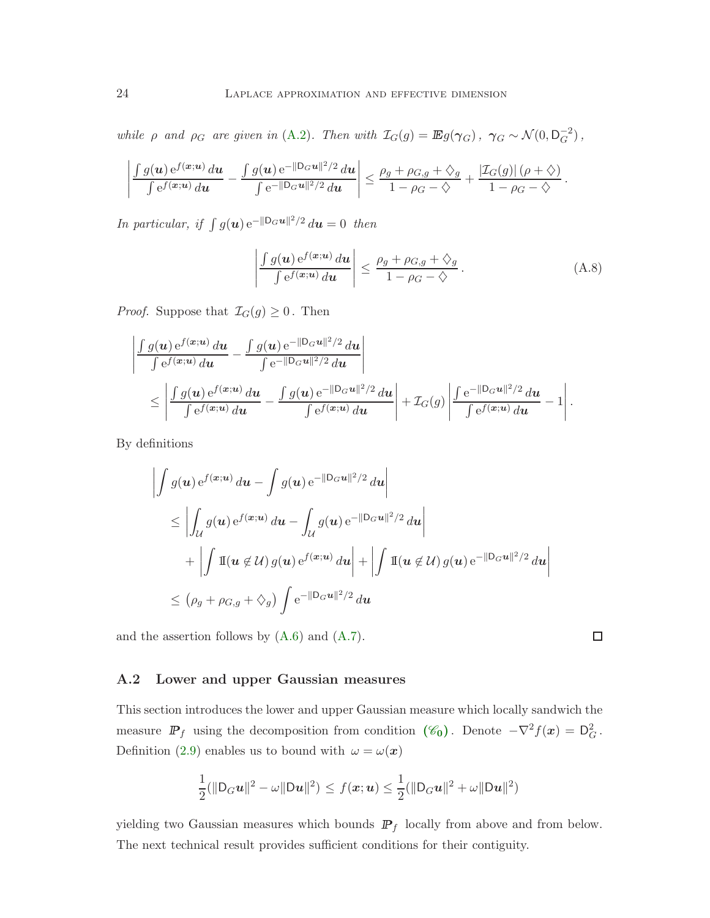while  $\rho$  and  $\rho_G$  are given in [\(A.2\)](#page-21-2). Then with  $\mathcal{I}_G(g) = \mathbb{E}g(\gamma_G)$ ,  $\gamma_G \sim \mathcal{N}(0, \mathsf{D}_G^{-2})$ ,

$$
\left|\frac{\int g(\boldsymbol{u}) e^{f(\boldsymbol{x};\boldsymbol{u})} d\boldsymbol{u}}{\int e^{f(\boldsymbol{x};\boldsymbol{u})} d\boldsymbol{u}} - \frac{\int g(\boldsymbol{u}) e^{-\|\mathsf{D}_G \boldsymbol{u}\|^2/2} d\boldsymbol{u}}{\int e^{-\|\mathsf{D}_G \boldsymbol{u}\|^2/2} d\boldsymbol{u}}\right| \leq \frac{\rho_g + \rho_{G,g} + \diamondsuit_g}{1 - \rho_G - \diamondsuit} + \frac{|\mathcal{I}_G(g)|\left(\rho + \diamondsuit\right)}{1 - \rho_G - \diamondsuit}.
$$

In particular, if  $\int g(\boldsymbol{u}) e^{-\|\mathsf{D}_G\boldsymbol{u}\|^2/2} d\boldsymbol{u} = 0$  then

<span id="page-23-1"></span>
$$
\left| \frac{\int g(\boldsymbol{u}) e^{f(\boldsymbol{x};\boldsymbol{u})} d\boldsymbol{u}}{\int e^{f(\boldsymbol{x};\boldsymbol{u})} d\boldsymbol{u}} \right| \leq \frac{\rho_g + \rho_{G,g} + \diamondsuit_g}{1 - \rho_G - \diamondsuit}.
$$
\n(A.8)

*Proof.* Suppose that  $\mathcal{I}_G(g) \geq 0$ . Then

$$
\frac{\int g(\boldsymbol{u}) e^{f(\boldsymbol{x};\boldsymbol{u})} d\boldsymbol{u}}{\int e^{f(\boldsymbol{x};\boldsymbol{u})} d\boldsymbol{u}} - \frac{\int g(\boldsymbol{u}) e^{-\|\mathbf{D}_{G}\boldsymbol{u}\|^{2}/2} d\boldsymbol{u}}{\int e^{-\|\mathbf{D}_{G}\boldsymbol{u}\|^{2}/2} d\boldsymbol{u}}\n\n\leq \left| \frac{\int g(\boldsymbol{u}) e^{f(\boldsymbol{x};\boldsymbol{u})} d\boldsymbol{u}}{\int e^{f(\boldsymbol{x};\boldsymbol{u})} d\boldsymbol{u}} - \frac{\int g(\boldsymbol{u}) e^{-\|\mathbf{D}_{G}\boldsymbol{u}\|^{2}/2} d\boldsymbol{u}}{\int e^{f(\boldsymbol{x};\boldsymbol{u})} d\boldsymbol{u}} \right| + \mathcal{I}_{G}(g) \left| \frac{\int e^{-\|\mathbf{D}_{G}\boldsymbol{u}\|^{2}/2} d\boldsymbol{u}}{\int e^{f(\boldsymbol{x};\boldsymbol{u})} d\boldsymbol{u}} - 1 \right|.
$$

By definitions

 $\overline{\phantom{a}}$ I I I  $\overline{\phantom{a}}$ 

$$
\left| \int g(\mathbf{u}) e^{f(\mathbf{x}; \mathbf{u})} d\mathbf{u} - \int g(\mathbf{u}) e^{-\|\mathbf{D}_{G}\mathbf{u}\|^{2}/2} d\mathbf{u} \right|
$$
  
\n
$$
\leq \left| \int_{\mathcal{U}} g(\mathbf{u}) e^{f(\mathbf{x}; \mathbf{u})} d\mathbf{u} - \int_{\mathcal{U}} g(\mathbf{u}) e^{-\|\mathbf{D}_{G}\mathbf{u}\|^{2}/2} d\mathbf{u} \right|
$$
  
\n
$$
+ \left| \int \mathbb{I}(\mathbf{u} \notin \mathcal{U}) g(\mathbf{u}) e^{f(\mathbf{x}; \mathbf{u})} d\mathbf{u} \right| + \left| \int \mathbb{I}(\mathbf{u} \notin \mathcal{U}) g(\mathbf{u}) e^{-\|\mathbf{D}_{G}\mathbf{u}\|^{2}/2} d\mathbf{u} \right|
$$
  
\n
$$
\leq (\rho_{g} + \rho_{G,g} + \diamondsuit_{g}) \int e^{-\|\mathbf{D}_{G}\mathbf{u}\|^{2}/2} d\mathbf{u}
$$

<span id="page-23-0"></span>and the assertion follows by  $(A.6)$  and  $(A.7)$ .

#### A.2 Lower and upper Gaussian measures

This section introduces the lower and upper Gaussian measure which locally sandwich the measure  $\mathbb{P}_f$  using the decomposition from condition  $(\mathscr{C}_0)$  $(\mathscr{C}_0)$  $(\mathscr{C}_0)$ . Denote  $-\nabla^2 f(x) = D_G^2$ . Definition [\(2.9\)](#page-9-2) enables us to bound with  $\omega = \omega(\boldsymbol{x})$ 

$$
\frac{1}{2}(\|\mathsf{D}_G\mathbf{u}\|^2 - \omega \|\mathsf{D}\mathbf{u}\|^2) \leq f(\mathbf{x}; \mathbf{u}) \leq \frac{1}{2}(\|\mathsf{D}_G\mathbf{u}\|^2 + \omega \|\mathsf{D}\mathbf{u}\|^2)
$$

yielding two Gaussian measures which bounds  $\mathbb{P}_f$  locally from above and from below. The next technical result provides sufficient conditions for their contiguity.

 $\Box$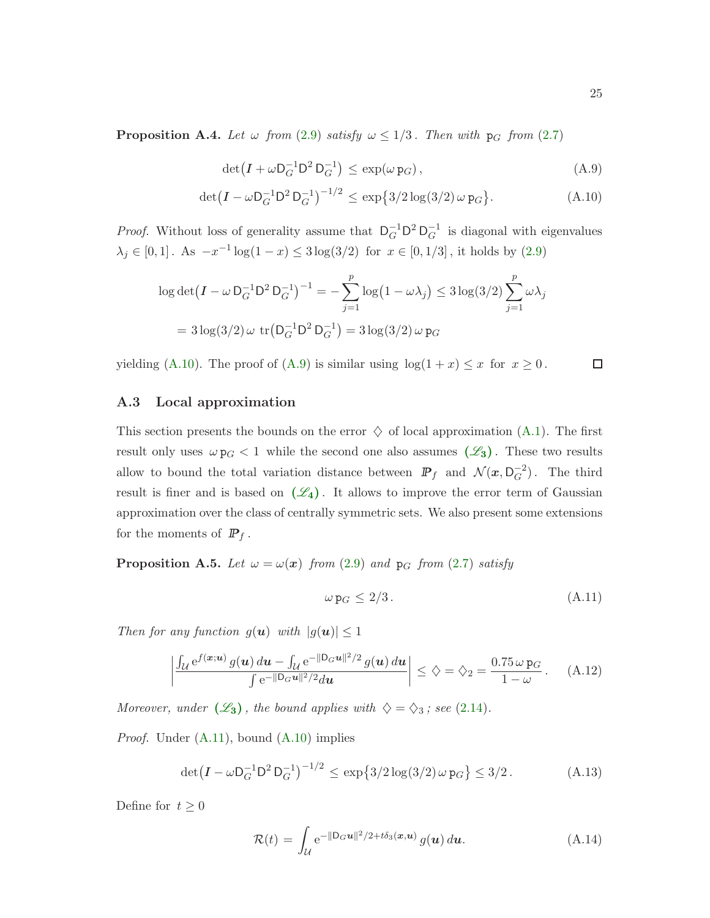**Proposition A.4.** Let  $\omega$  from [\(2.9\)](#page-9-2) satisfy  $\omega \leq 1/3$ . Then with p<sub>G</sub> from [\(2.7\)](#page-8-3)

<span id="page-24-2"></span>
$$
\det(I + \omega \mathsf{D}_G^{-1} \mathsf{D}^2 \mathsf{D}_G^{-1}) \le \exp(\omega \, \mathsf{p}_G),\tag{A.9}
$$

$$
\det(I - \omega \mathsf{D}_G^{-1} \mathsf{D}^2 \mathsf{D}_G^{-1})^{-1/2} \le \exp\{3/2 \log(3/2) \omega \mathsf{p}_G\}.
$$
 (A.10)

*Proof.* Without loss of generality assume that  $D_G^{-1}D^2D_G^{-1}$  is diagonal with eigenvalues  $\lambda_j \in [0,1]$ . As  $-x^{-1} \log(1-x) \leq 3 \log(3/2)$  for  $x \in [0,1/3]$ , it holds by  $(2.9)$ 

$$
\log \det(I - \omega \mathsf{D}_G^{-1} \mathsf{D}^2 \mathsf{D}_G^{-1})^{-1} = -\sum_{j=1}^p \log(1 - \omega \lambda_j) \le 3 \log(3/2) \sum_{j=1}^p \omega \lambda_j
$$
  
=  $3 \log(3/2) \omega \operatorname{tr}(\mathsf{D}_G^{-1} \mathsf{D}^2 \mathsf{D}_G^{-1}) = 3 \log(3/2) \omega \mathsf{p}_G$ 

<span id="page-24-0"></span>yielding [\(A.10\)](#page-24-1). The proof of [\(A.9\)](#page-24-2) is similar using  $\log(1 + x) \leq x$  for  $x \geq 0$ .

# <span id="page-24-1"></span> $\Box$

#### A.3 Local approximation

This section presents the bounds on the error  $\diamondsuit$  of local approximation [\(A.1\)](#page-21-6). The first result only uses  $\omega p_G < 1$  while the second one also assumes  $(\mathscr{L}_3)$  $(\mathscr{L}_3)$  $(\mathscr{L}_3)$ . These two results allow to bound the total variation distance between  $\mathbb{P}_f$  and  $\mathcal{N}(x, \mathsf{D}_G^{-2})$ . The third result is finer and is based on  $(\mathscr{L}_4)$  $(\mathscr{L}_4)$  $(\mathscr{L}_4)$ . It allows to improve the error term of Gaussian approximation over the class of centrally symmetric sets. We also present some extensions for the moments of  $\mathbb{P}_f$ .

<span id="page-24-6"></span>**Proposition A.5.** Let  $\omega = \omega(x)$  from [\(2.9\)](#page-9-2) and p<sub>G</sub> from [\(2.7\)](#page-8-3) satisfy

<span id="page-24-5"></span><span id="page-24-4"></span><span id="page-24-3"></span>
$$
\omega p_G \le 2/3. \tag{A.11}
$$

Then for any function  $g(\mathbf{u})$  with  $|g(\mathbf{u})| \leq 1$ 

$$
\left| \frac{\int_{\mathcal{U}} e^{f(\bm{x};\bm{u})} g(\bm{u}) d\bm{u} - \int_{\mathcal{U}} e^{-\|\mathbf{D}_{G}\bm{u}\|^{2}/2} g(\bm{u}) d\bm{u}}{\int e^{-\|\mathbf{D}_{G}\bm{u}\|^{2}/2} d\bm{u}} \right| \leq \hat{\gamma} = \hat{\gamma}_{2} = \frac{0.75 \,\omega \,\mathbf{p}_{G}}{1-\omega} \, . \tag{A.12}
$$

Moreover, under  $(\mathscr{L}_3)$  $(\mathscr{L}_3)$  $(\mathscr{L}_3)$ , the bound applies with  $\diamondsuit = \diamondsuit_3$ ; see [\(2.14\)](#page-10-6).

Proof. Under [\(A.11\)](#page-24-3), bound [\(A.10\)](#page-24-1) implies

$$
\det(I - \omega \mathsf{D}_G^{-1} \mathsf{D}^2 \mathsf{D}_G^{-1})^{-1/2} \le \exp\{3/2 \log(3/2) \omega \mathsf{p}_G\} \le 3/2. \tag{A.13}
$$

Define for  $\,t\geq 0\,$ 

<span id="page-24-7"></span>
$$
\mathcal{R}(t) = \int_{\mathcal{U}} e^{-\|\mathsf{D}_{G}\boldsymbol{u}\|^{2}/2 + t\delta_{3}(\boldsymbol{x}, \boldsymbol{u})} g(\boldsymbol{u}) d\boldsymbol{u}.
$$
 (A.14)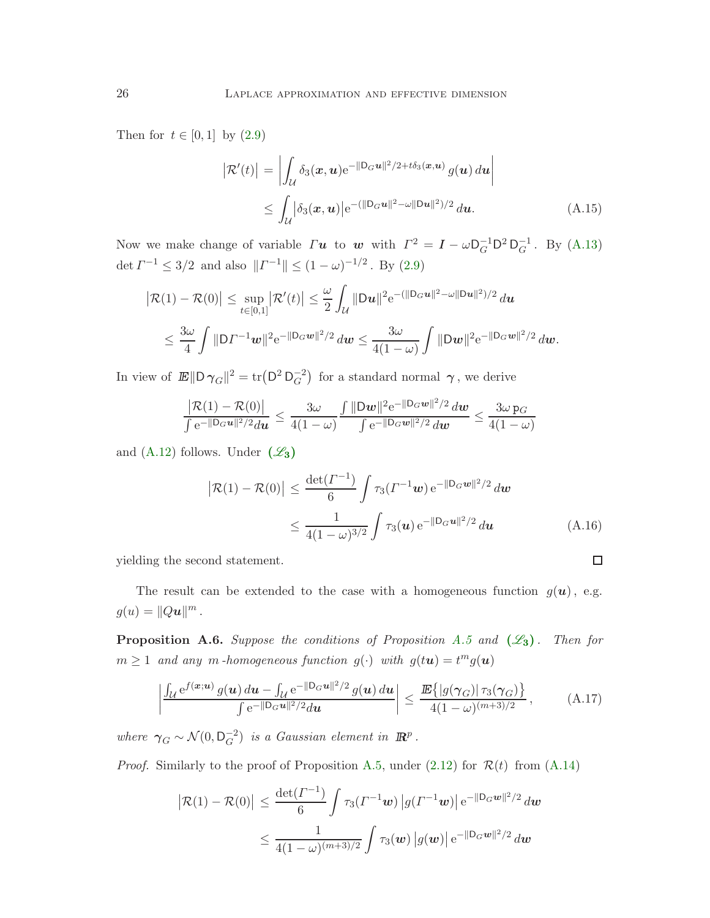Then for  $t \in [0,1]$  by  $(2.9)$ 

<span id="page-25-2"></span>
$$
\left| \mathcal{R}'(t) \right| = \left| \int_{\mathcal{U}} \delta_3(\mathbf{x}, \mathbf{u}) e^{-\|\mathbf{D}_G \mathbf{u}\|^2 / 2 + t \delta_3(\mathbf{x}, \mathbf{u})} g(\mathbf{u}) d\mathbf{u} \right|
$$
  
\n
$$
\leq \int_{\mathcal{U}} \left| \delta_3(\mathbf{x}, \mathbf{u}) e^{-\left( \|\mathbf{D}_G \mathbf{u}\|^2 - \omega \|\mathbf{D} \mathbf{u}\|^2 \right) / 2} d\mathbf{u}.
$$
 (A.15)

Now we make change of variable  $\Gamma u$  to w with  $\Gamma^2 = I - \omega \mathsf{D}_G^{-1} \mathsf{D}^2 \mathsf{D}_G^{-1}$ . By [\(A.13\)](#page-24-4) det  $\Gamma^{-1} \leq 3/2$  and also  $||\Gamma^{-1}|| \leq (1 - \omega)^{-1/2}$ . By [\(2.9\)](#page-9-2)

$$
\begin{aligned} \left| \mathcal{R}(1) - \mathcal{R}(0) \right| &\leq \sup_{t \in [0,1]} \left| \mathcal{R}'(t) \right| \leq \frac{\omega}{2} \int_{\mathcal{U}} \| \mathbf{D} \mathbf{u} \|^2 e^{-(\|\mathbf{D}_G \mathbf{u}\|^2 - \omega \|\mathbf{D} \mathbf{u}\|^2)/2} \, d\mathbf{u} \\ &\leq \frac{3\omega}{4} \int \| \mathbf{D} \Gamma^{-1} \mathbf{w} \|^2 e^{-\|\mathbf{D}_G \mathbf{w}\|^2/2} \, d\mathbf{w} \leq \frac{3\omega}{4(1-\omega)} \int \| \mathbf{D} \mathbf{w} \|^2 e^{-\|\mathbf{D}_G \mathbf{w}\|^2/2} \, d\mathbf{w} . \end{aligned}
$$

In view of  $\mathbb{E} \|\mathsf{D}\,\gamma_G\|^2 = \text{tr}(\mathsf{D}^2\,\mathsf{D}_G^{-2})$  for a standard normal  $\gamma$ , we derive

$$
\frac{\big| \mathcal{R}(1) - \mathcal{R}(0) \big|}{\int e^{-\|D_G u\|^2/2} d\bm{u}} \leq \frac{3\omega}{4(1-\omega)} \frac{\int \|D\bm{w}\|^2 e^{-\|D_G \bm{w}\|^2/2} \, d\bm{w}}{\int e^{-\|D_G \bm{w}\|^2/2} \, d\bm{w}} \leq \frac{3\omega}{4(1-\omega)}
$$

and  $(A.12)$  follows. Under  $(\mathscr{L}_3)$  $(\mathscr{L}_3)$  $(\mathscr{L}_3)$ 

$$
\left| \mathcal{R}(1) - \mathcal{R}(0) \right| \le \frac{\det(\Gamma^{-1})}{6} \int \tau_3(\Gamma^{-1} \mathbf{w}) e^{-\|\mathbf{D}_G \mathbf{w}\|^2/2} d\mathbf{w}
$$
  
 
$$
\le \frac{1}{4(1-\omega)^{3/2}} \int \tau_3(\mathbf{u}) e^{-\|\mathbf{D}_G \mathbf{u}\|^2/2} d\mathbf{u}
$$
 (A.16)

<span id="page-25-3"></span><span id="page-25-0"></span> $\Box$ 

yielding the second statement.

The result can be extended to the case with a homogeneous function  $g(u)$ , e.g.  $g(u) = ||Q\boldsymbol{u}||^m$ .

<span id="page-25-1"></span>**Proposition A.6.** Suppose the conditions of Proposition [A.5](#page-24-6) and  $(\mathscr{L}_3)$  $(\mathscr{L}_3)$  $(\mathscr{L}_3)$ . Then for  $m \geq 1$  and any m-homogeneous function  $g(\cdot)$  with  $g(t\mathbf{u}) = t^m g(\mathbf{u})$ 

$$
\left| \frac{\int_{\mathcal{U}} e^{f(\mathbf{x}; \mathbf{u})} g(\mathbf{u}) d\mathbf{u} - \int_{\mathcal{U}} e^{-\|\mathbf{D}_G \mathbf{u}\|^2/2} g(\mathbf{u}) d\mathbf{u}}{\int e^{-\|\mathbf{D}_G \mathbf{u}\|^2/2} d\mathbf{u}} \right| \le \frac{\mathbb{E}\{|g(\gamma_G)| \tau_3(\gamma_G)\}}{4(1-\omega)^{(m+3)/2}}, \tag{A.17}
$$

where  $\gamma_G \sim \mathcal{N}(0, \mathsf{D}_G^{-2})$  is a Gaussian element in  $\mathbb{R}^p$ .

*Proof.* Similarly to the proof of Proposition [A.5,](#page-24-6) under  $(2.12)$  for  $\mathcal{R}(t)$  from  $(A.14)$ 

$$
\left| \mathcal{R}(1) - \mathcal{R}(0) \right| \leq \frac{\det(\Gamma^{-1})}{6} \int \tau_3(\Gamma^{-1} \mathbf{w}) \left| g(\Gamma^{-1} \mathbf{w}) \right| e^{-\|\mathbf{D}_G \mathbf{w}\|^2/2} d\mathbf{w}
$$
  

$$
\leq \frac{1}{4(1-\omega)^{(m+3)/2}} \int \tau_3(\mathbf{w}) \left| g(\mathbf{w}) \right| e^{-\|\mathbf{D}_G \mathbf{w}\|^2/2} d\mathbf{w}
$$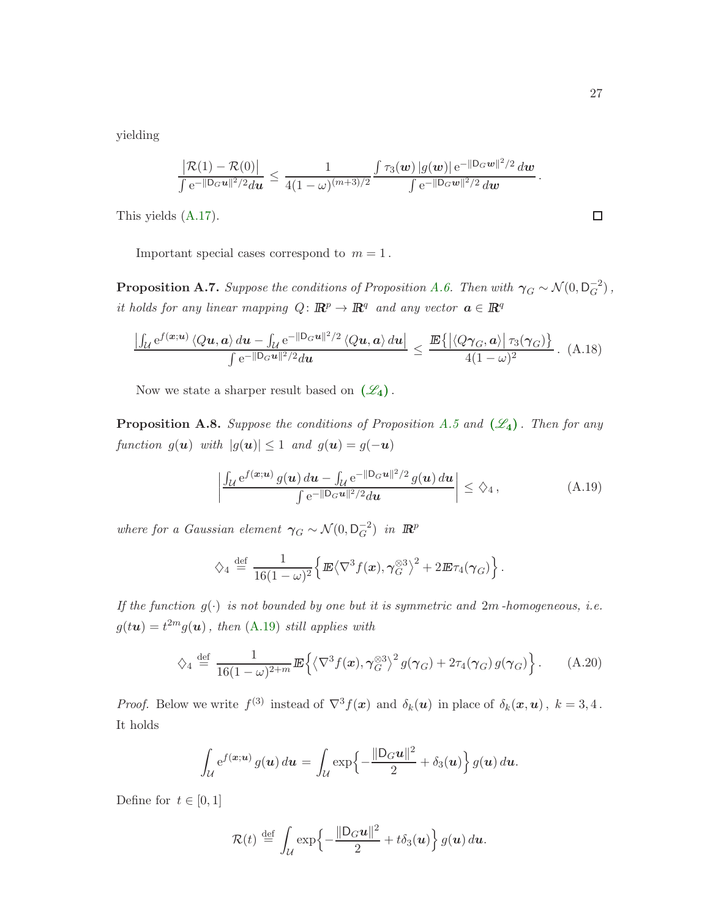yielding

$$
\frac{|\mathcal{R}(1) - \mathcal{R}(0)|}{\int e^{-\|\mathbf{D}_{G}\mathbf{u}\|^{2}/2} d\mathbf{u}} \leq \frac{1}{4(1-\omega)^{(m+3)/2}} \frac{\int \tau_{3}(\mathbf{w}) |g(\mathbf{w})| e^{-\|\mathbf{D}_{G}\mathbf{w}\|^{2}/2} d\mathbf{w}}{\int e^{-\|\mathbf{D}_{G}\mathbf{w}\|^{2}/2} d\mathbf{w}}.
$$
\n(A.17).

This yields [\(A.17\)](#page-25-0).

Important special cases correspond to  $m = 1$ .

<span id="page-26-2"></span>**Proposition A.7.** Suppose the conditions of Proposition [A.6.](#page-25-1) Then with  $\gamma_G \sim \mathcal{N}(0, \mathsf{D}_G^{-2})$ , it holds for any linear mapping  $Q: \mathbb{R}^p \to \mathbb{R}^q$  and any vector  $\mathbf{a} \in \mathbb{R}^q$ 

$$
\frac{\left|\int_{\mathcal{U}} e^{f(\boldsymbol{x};\boldsymbol{u})} \left\langle Q\boldsymbol{u},\boldsymbol{a}\right\rangle d\boldsymbol{u} - \int_{\mathcal{U}} e^{-\|\mathbf{D}_{G}\boldsymbol{u}\|^{2}/2} \left\langle Q\boldsymbol{u},\boldsymbol{a}\right\rangle d\boldsymbol{u}\right|}{\int e^{-\|\mathbf{D}_{G}\boldsymbol{u}\|^{2}/2} d\boldsymbol{u}} \leq \frac{\mathbb{E}\left\{\left|\left\langle Q\boldsymbol{\gamma}_{G},\boldsymbol{a}\right\rangle\right|\tau_{3}(\boldsymbol{\gamma}_{G})\right\}}{4(1-\omega)^{2}}. (A.18)
$$

Now we state a sharper result based on  $(\mathscr{L}_4)$  $(\mathscr{L}_4)$  $(\mathscr{L}_4)$ .

**Proposition A.8.** Suppose the conditions of Proposition [A.5](#page-24-6) and  $(\mathscr{L}_4)$  $(\mathscr{L}_4)$  $(\mathscr{L}_4)$ . Then for any function  $g(\mathbf{u})$  with  $|g(\mathbf{u})| \leq 1$  and  $g(\mathbf{u}) = g(-\mathbf{u})$ 

<span id="page-26-3"></span><span id="page-26-0"></span>
$$
\left| \frac{\int_{\mathcal{U}} e^{f(\boldsymbol{x}; \boldsymbol{u})} g(\boldsymbol{u}) d\boldsymbol{u} - \int_{\mathcal{U}} e^{-\|\mathbf{D}_G \boldsymbol{u}\|^2/2} g(\boldsymbol{u}) d\boldsymbol{u}}{\int e^{-\|\mathbf{D}_G \boldsymbol{u}\|^2/2} d\boldsymbol{u}} \right| \leq \zeta_4,
$$
\n(A.19)

where for a Gaussian element  $\gamma_G \sim \mathcal{N}(0, \mathsf{D}_G^{-2})$  in  $\mathbb{R}^p$ 

<span id="page-26-1"></span>
$$
\diamondsuit_4 \stackrel{\text{def}}{=} \frac{1}{16(1-\omega)^2} \Big\{ \mathbb{E} \langle \nabla^3 f(x), \gamma_G^{\otimes 3} \rangle^2 + 2 \mathbb{E} \tau_4(\gamma_G) \Big\} \, .
$$

If the function  $g(\cdot)$  is not bounded by one but it is symmetric and  $2m$ -homogeneous, i.e.  $g(t\boldsymbol{u}) = t^{2m} g(\boldsymbol{u})$ , then [\(A.19\)](#page-26-0) still applies with

$$
\diamondsuit_4 \stackrel{\text{def}}{=} \frac{1}{16(1-\omega)^{2+m}} \mathbb{E}\left\{ \left\langle \nabla^3 f(\boldsymbol{x}), \gamma_G^{\otimes 3} \right\rangle^2 g(\boldsymbol{\gamma}_G) + 2\tau_4(\boldsymbol{\gamma}_G) g(\boldsymbol{\gamma}_G) \right\}.
$$
 (A.20)

*Proof.* Below we write  $f^{(3)}$  instead of  $\nabla^3 f(x)$  and  $\delta_k(\boldsymbol{u})$  in place of  $\delta_k(\boldsymbol{x}, \boldsymbol{u})$ ,  $k = 3, 4$ . It holds

$$
\int_{\mathcal{U}} e^{f(\boldsymbol{x}; \boldsymbol{u})} g(\boldsymbol{u}) d\boldsymbol{u} = \int_{\mathcal{U}} \exp \left\{-\frac{\|\mathsf{D}_G \boldsymbol{u}\|^2}{2} + \delta_3(\boldsymbol{u})\right\} g(\boldsymbol{u}) d\boldsymbol{u}.
$$

Define for  $t \in [0,1]$ 

$$
\mathcal{R}(t) \stackrel{\text{def}}{=} \int_{\mathcal{U}} \exp\left\{-\frac{\|\mathsf{D}_G \boldsymbol{u}\|^2}{2} + t \delta_3(\boldsymbol{u})\right\} g(\boldsymbol{u}) d\boldsymbol{u}.
$$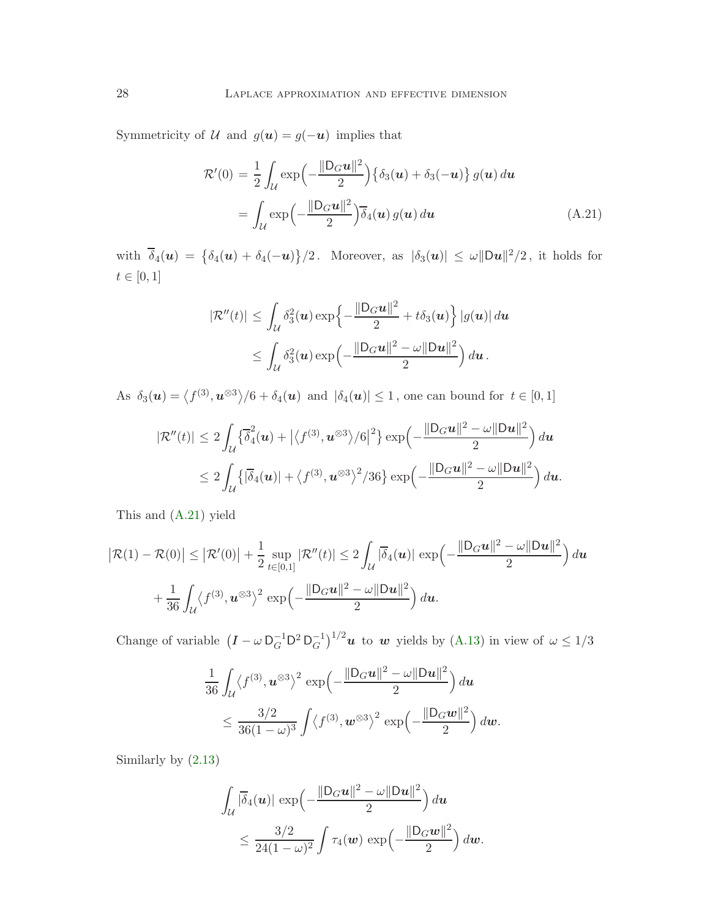Symmetricity of  $\mathcal U$  and  $g(u) = g(-u)$  implies that

<span id="page-27-0"></span>
$$
\mathcal{R}'(0) = \frac{1}{2} \int_{\mathcal{U}} \exp\left(-\frac{\|\mathcal{D}_G \mathbf{u}\|^2}{2}\right) \left\{\delta_3(\mathbf{u}) + \delta_3(-\mathbf{u})\right\} g(\mathbf{u}) d\mathbf{u}
$$

$$
= \int_{\mathcal{U}} \exp\left(-\frac{\|\mathcal{D}_G \mathbf{u}\|^2}{2}\right) \overline{\delta}_4(\mathbf{u}) g(\mathbf{u}) d\mathbf{u}
$$
(A.21)

with  $\overline{\delta}_4(\boldsymbol{u}) = {\delta_4(\boldsymbol{u}) + \delta_4(-\boldsymbol{u})}/2$ . Moreover, as  $|\delta_3(\boldsymbol{u})| \leq \omega ||\mathsf{D}\boldsymbol{u}||^2/2$ , it holds for  $t \in [0, 1]$ 

$$
|\mathcal{R}''(t)| \leq \int_{\mathcal{U}} \delta_3^2(\boldsymbol{u}) \exp\left\{-\frac{\|\mathsf{D}_G\boldsymbol{u}\|^2}{2} + t\delta_3(\boldsymbol{u})\right\} |g(\boldsymbol{u})| d\boldsymbol{u}
$$
  
\$\leq \int\_{\mathcal{U}} \delta\_3^2(\boldsymbol{u}) \exp\left(-\frac{\|\mathsf{D}\_G\boldsymbol{u}\|^2 - \omega \|\mathsf{D}\boldsymbol{u}\|^2}{2}\right) d\boldsymbol{u}\$.

As  $\delta_3(\boldsymbol{u}) = \langle f^{(3)}, \boldsymbol{u}^{\otimes 3} \rangle / 6 + \delta_4(\boldsymbol{u})$  and  $|\delta_4(\boldsymbol{u})| \le 1$ , one can bound for  $t \in [0, 1]$ 

$$
|\mathcal{R}''(t)| \leq 2\int_{\mathcal{U}} \left\{ \overline{\delta}_4^2(\boldsymbol{u}) + \left| \left\langle f^{(3)}, \boldsymbol{u}^{\otimes 3} \right\rangle / 6 \right|^2 \right\} \exp\left(-\frac{\|\mathsf{D}_G\boldsymbol{u}\|^2 - \omega \|\mathsf{D}\boldsymbol{u}\|^2}{2}\right) d\boldsymbol{u}
$$
  
\$\leq 2 \int\_{\mathcal{U}} \left\{ \left| \overline{\delta}\_4(\boldsymbol{u}) \right| + \left\langle f^{(3)}, \boldsymbol{u}^{\otimes 3} \right\rangle^2 / 36 \right\} \exp\left(-\frac{\|\mathsf{D}\_G\boldsymbol{u}\|^2 - \omega \|\mathsf{D}\boldsymbol{u}\|^2}{2}\right) d\boldsymbol{u}\$.

This and [\(A.21\)](#page-27-0) yield

$$
\left| \mathcal{R}(1) - \mathcal{R}(0) \right| \leq \left| \mathcal{R}'(0) \right| + \frac{1}{2} \sup_{t \in [0,1]} \left| \mathcal{R}''(t) \right| \leq 2 \int_{\mathcal{U}} |\overline{\delta}_4(u)| \, \exp\left( -\frac{\|D_G u\|^2 - \omega \|Du\|^2}{2} \right) du + \frac{1}{36} \int_{\mathcal{U}} \left\langle f^{(3)}, u^{\otimes 3} \right\rangle^2 \exp\left( -\frac{\|D_G u\|^2 - \omega \|Du\|^2}{2} \right) du.
$$

Change of variable  $(I - \omega D_G^{-1} D^2 D_G^{-1})^{1/2} u$  to w yields by [\(A.13\)](#page-24-4) in view of  $\omega \le 1/3$ 

$$
\frac{1}{36} \int_{\mathcal{U}} \langle f^{(3)}, \boldsymbol{u}^{\otimes 3} \rangle^2 \exp\left(-\frac{\|\mathsf{D}_G\boldsymbol{u}\|^2 - \omega \|\mathsf{D}\boldsymbol{u}\|^2}{2}\right) d\boldsymbol{u}
$$
  
\$\leq \frac{3/2}{36(1-\omega)^3} \int \langle f^{(3)}, \boldsymbol{w}^{\otimes 3} \rangle^2 \exp\left(-\frac{\|\mathsf{D}\_G\boldsymbol{w}\|^2}{2}\right) d\boldsymbol{w}\$.

Similarly by [\(2.13\)](#page-10-7)

$$
\int_{\mathcal{U}} |\overline{\delta}_4(\boldsymbol{u})| \, \exp\left(-\frac{\|\mathsf{D}_G\boldsymbol{u}\|^2 - \omega \|\mathsf{D}\boldsymbol{u}\|^2}{2}\right) d\boldsymbol{u}
$$
\n
$$
\leq \frac{3/2}{24(1-\omega)^2} \int \tau_4(\boldsymbol{w}) \, \exp\left(-\frac{\|\mathsf{D}_G\boldsymbol{w}\|^2}{2}\right) d\boldsymbol{w}.
$$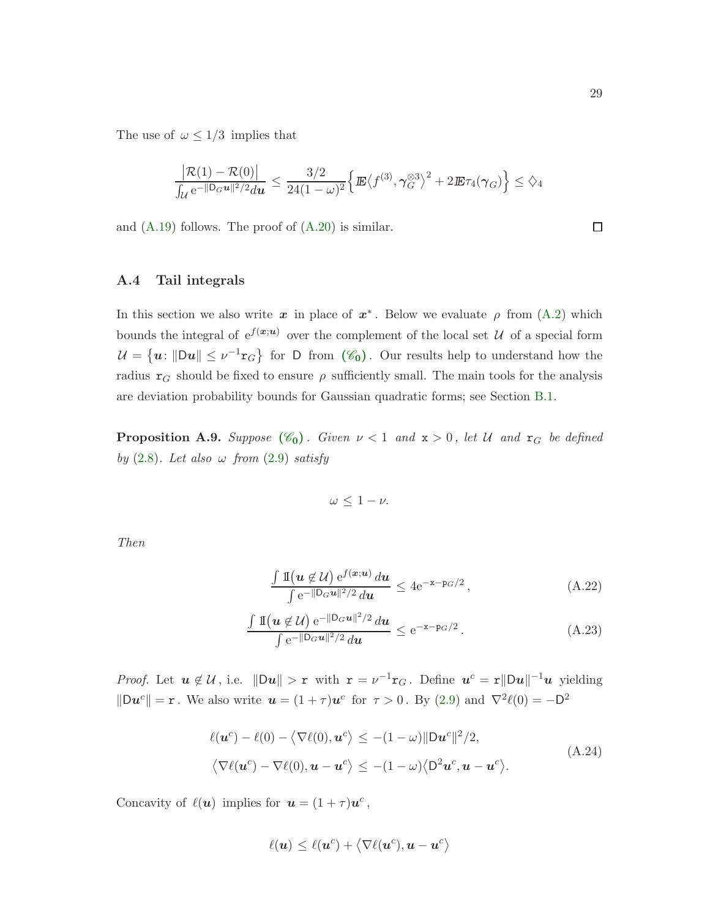The use of  $\omega \leq 1/3$  implies that

$$
\frac{\big|\mathcal{R}(1)-\mathcal{R}(0)\big|}{\int_{\mathcal{U}} e^{-\|D_G u\|^2/2} du} \leq \frac{3/2}{24(1-\omega)^2} \Big\{ \mathbb{E}\big\langle f^{(3)}, \gamma_G^{\otimes 3}\big\rangle^2 + 2\mathbb{E} \tau_4(\gamma_G) \Big\} \leq \diamondsuit_4
$$

<span id="page-28-0"></span>and  $(A.19)$  follows. The proof of  $(A.20)$  is similar.

#### A.4 Tail integrals

In this section we also write  $x$  in place of  $x^*$ . Below we evaluate  $\rho$  from  $(A.2)$  which bounds the integral of  $e^{f(x;u)}$  over the complement of the local set U of a special form  $\mathcal{U} = \{u : ||Du|| \leq \nu^{-1}r_G\}$  for D from  $(\mathscr{C}_0)$  $(\mathscr{C}_0)$  $(\mathscr{C}_0)$ . Our results help to understand how the radius  $r_G$  should be fixed to ensure  $\rho$  sufficiently small. The main tools for the analysis are deviation probability bounds for Gaussian quadratic forms; see Section [B.1.](#page-37-1)

<span id="page-28-4"></span>**Proposition A.9.** Suppose  $(\mathscr{C}_0)$  $(\mathscr{C}_0)$  $(\mathscr{C}_0)$ . Given  $\nu < 1$  and  $x > 0$ , let U and  $r_G$  be defined by  $(2.8)$ . Let also  $\omega$  from  $(2.9)$  satisfy

<span id="page-28-3"></span>
$$
\omega\leq 1-\nu.
$$

Then

<span id="page-28-2"></span>
$$
\frac{\int \mathbb{I}(u \notin \mathcal{U}) e^{f(x;u)} du}{\int e^{-\|\mathsf{D}_G u\|^2/2} du} \le 4e^{-x - \mathsf{p}_G/2}, \tag{A.22}
$$

$$
\frac{\int \mathbb{1}(u \notin \mathcal{U}) e^{-\|\mathsf{D}_G u\|^2/2} du}{\int e^{-\|\mathsf{D}_G u\|^2/2} du} \le e^{-x - p_G/2}.
$$
\n(A.23)

*Proof.* Let  $u \notin \mathcal{U}$ , i.e.  $\|\mathbf{D}u\| > r$  with  $\mathbf{r} = \nu^{-1}\mathbf{r}_G$ . Define  $u^c = r\|\mathbf{D}u\|^{-1}u$  yielding  $\|\mathbf{D}\mathbf{u}^c\| = \mathbf{r}$ . We also write  $\mathbf{u} = (1+\tau)\mathbf{u}^c$  for  $\tau > 0$ . By [\(2.9\)](#page-9-2) and  $\nabla^2 \ell(0) = -\mathbf{D}^2$ 

$$
\ell(\mathbf{u}^c) - \ell(0) - \langle \nabla \ell(0), \mathbf{u}^c \rangle \le -(1 - \omega) \|\mathbf{D}\mathbf{u}^c\|^2 / 2,
$$
  

$$
\langle \nabla \ell(\mathbf{u}^c) - \nabla \ell(0), \mathbf{u} - \mathbf{u}^c \rangle \le -(1 - \omega) \langle \mathbf{D}^2 \mathbf{u}^c, \mathbf{u} - \mathbf{u}^c \rangle.
$$
 (A.24)

Concavity of  $\ell(\boldsymbol{u})$  implies for  $\boldsymbol{u} = (1+\tau)\boldsymbol{u}^c$ ,

<span id="page-28-1"></span>
$$
\ell(\boldsymbol{u}) \leq \ell(\boldsymbol{u}^c) + \left\langle \nabla \ell(\boldsymbol{u}^c), \boldsymbol{u} - \boldsymbol{u}^c \right\rangle
$$

 $\Box$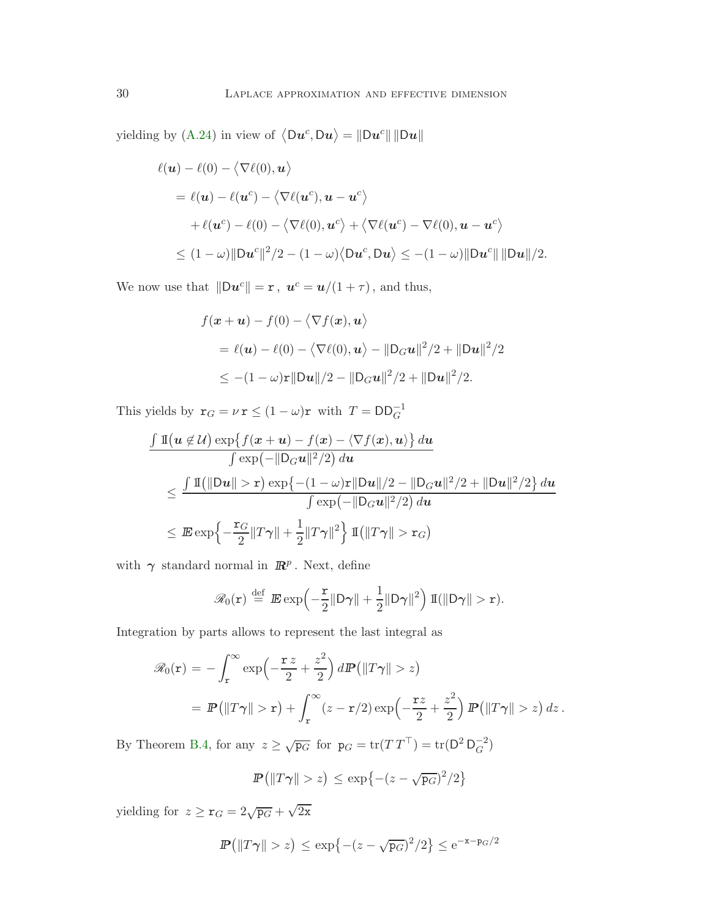yielding by [\(A.24\)](#page-28-1) in view of  $\langle Du^c, Du \rangle = ||Du^c|| ||Du||$ 

$$
\ell(\mathbf{u}) - \ell(0) - \langle \nabla \ell(0), \mathbf{u} \rangle
$$
  
=  $\ell(\mathbf{u}) - \ell(\mathbf{u}^c) - \langle \nabla \ell(\mathbf{u}^c), \mathbf{u} - \mathbf{u}^c \rangle$   
+  $\ell(\mathbf{u}^c) - \ell(0) - \langle \nabla \ell(0), \mathbf{u}^c \rangle + \langle \nabla \ell(\mathbf{u}^c) - \nabla \ell(0), \mathbf{u} - \mathbf{u}^c \rangle$   
 $\leq (1 - \omega) \|\mathbf{D}\mathbf{u}^c\|^2 / 2 - (1 - \omega) \langle \mathbf{D}\mathbf{u}^c, \mathbf{D}\mathbf{u} \rangle \leq -(1 - \omega) \|\mathbf{D}\mathbf{u}^c\| \|\mathbf{D}\mathbf{u}\| / 2.$ 

We now use that  $\|\mathbf{D}\mathbf{u}^c\| = \mathbf{r}$ ,  $\mathbf{u}^c = \mathbf{u}/(1+\tau)$ , and thus,

$$
f(\mathbf{x} + \mathbf{u}) - f(0) - \langle \nabla f(\mathbf{x}), \mathbf{u} \rangle
$$
  
=  $\ell(\mathbf{u}) - \ell(0) - \langle \nabla \ell(0), \mathbf{u} \rangle - ||\mathbf{D}_G \mathbf{u}||^2 / 2 + ||\mathbf{D}\mathbf{u}||^2 / 2$   
 $\leq -(1 - \omega)\mathbf{r}||\mathbf{D}\mathbf{u}||/2 - ||\mathbf{D}_G \mathbf{u}||^2 / 2 + ||\mathbf{D}\mathbf{u}||^2 / 2.$ 

This yields by  $\mathbf{r}_G = \nu \mathbf{r} \le (1 - \omega)\mathbf{r}$  with  $T = \mathsf{DD}_G^{-1}$ 

$$
\frac{\int \mathbb{I}\left(\boldsymbol{u} \notin \mathcal{U}\right) \exp\left\{f(\boldsymbol{x} + \boldsymbol{u}) - f(\boldsymbol{x}) - \langle \nabla f(\boldsymbol{x}), \boldsymbol{u} \rangle\right\} d\boldsymbol{u}}{\int \exp\left(-\|\mathbf{D}_G \boldsymbol{u}\|^2/2\right) d\boldsymbol{u}}\n\leq \frac{\int \mathbb{I}\left(\|\mathbf{D}\boldsymbol{u}\| > \mathbf{r}\right) \exp\left\{-\left(1 - \omega\right)\mathbf{r}\|\mathbf{D}\boldsymbol{u}\|/2 - \|\mathbf{D}_G \boldsymbol{u}\|^2/2 + \|\mathbf{D}\boldsymbol{u}\|^2/2\right\} d\boldsymbol{u}}{\int \exp\left(-\|\mathbf{D}_G \boldsymbol{u}\|^2/2\right) d\boldsymbol{u}}\n\leq \mathbb{E} \exp\left\{-\frac{\mathbf{r}_G}{2}\|\mathbf{T}\boldsymbol{\gamma}\| + \frac{1}{2}\|\mathbf{T}\boldsymbol{\gamma}\|^2\right\} \mathbb{I}\left(\|\mathbf{T}\boldsymbol{\gamma}\| > \mathbf{r}_G\right)
$$

with  $\gamma$  standard normal in  $\mathbb{R}^p$ . Next, define

$$
\mathscr{R}_0(\mathbf{r}) \stackrel{\text{def}}{=} \mathbb{E} \exp\left(-\frac{\mathbf{r}}{2} \|\mathsf{D}\boldsymbol{\gamma}\| + \frac{1}{2} \|\mathsf{D}\boldsymbol{\gamma}\|^2\right) \mathbb{I}(\|\mathsf{D}\boldsymbol{\gamma}\| > \mathbf{r}).
$$

Integration by parts allows to represent the last integral as

$$
\mathscr{R}_0(\mathbf{r}) = -\int_{\mathbf{r}}^{\infty} \exp\left(-\frac{\mathbf{r} \, z}{2} + \frac{z^2}{2}\right) d\mathbf{P}\left(\|T\gamma\| > z\right)
$$
  
=  $\mathbf{P}\left(\|T\gamma\| > \mathbf{r}\right) + \int_{\mathbf{r}}^{\infty} (z - \mathbf{r}/2) \exp\left(-\frac{\mathbf{r} \, z}{2} + \frac{z^2}{2}\right) \mathbf{P}\left(\|T\gamma\| > z\right) dz$ .

By Theorem [B.4,](#page-40-1) for any  $z \ge \sqrt{p_G}$  for  $p_G = \text{tr}(TT^\top) = \text{tr}(D^2 D_G^{-2})$ 

$$
\mathbb{P}\left(\|T\gamma\| > z\right) \le \exp\left\{-(z-\sqrt{\mathbf{p}_G})^2/2\right\}
$$

yielding for  $z \ge \mathbf{r}_G = 2\sqrt{\mathbf{p}_G} + \sqrt{2\mathbf{x}}$ 

$$
\mathbb{P}\left(\|T\gamma\| > z\right) \le \exp\left\{-(z-\sqrt{\mathbf{p}_G})^2/2\right\} \le e^{-x-\mathbf{p}_G/2}
$$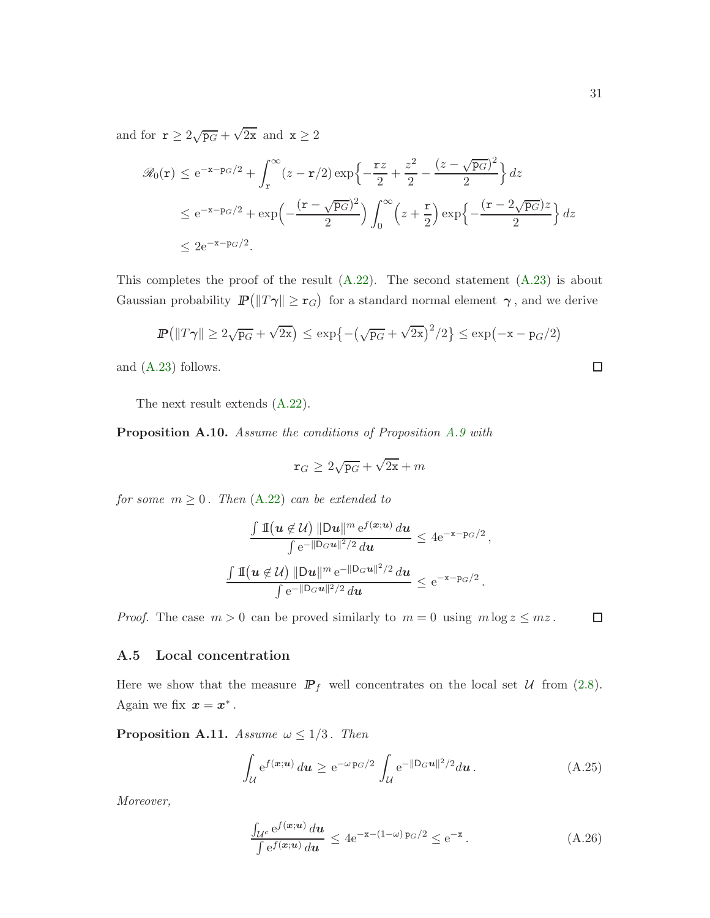and for  $\mathbf{r} \ge 2\sqrt{\mathbf{p}_G} + \sqrt{2\mathbf{x}}$  and  $\mathbf{x} \ge 2$ 

$$
\mathcal{R}_0(\mathbf{r}) \le e^{-\mathbf{x} - \mathbf{p}_G/2} + \int_{\mathbf{r}}^{\infty} (z - \mathbf{r}/2) \exp\left\{-\frac{\mathbf{r}z}{2} + \frac{z^2}{2} - \frac{(z - \sqrt{\mathbf{p}_G})^2}{2}\right\} dz
$$
  
\n
$$
\le e^{-\mathbf{x} - \mathbf{p}_G/2} + \exp\left(-\frac{(\mathbf{r} - \sqrt{\mathbf{p}_G})^2}{2}\right) \int_0^{\infty} \left(z + \frac{\mathbf{r}}{2}\right) \exp\left\{-\frac{(\mathbf{r} - 2\sqrt{\mathbf{p}_G})z}{2}\right\} dz
$$
  
\n
$$
\le 2e^{-\mathbf{x} - \mathbf{p}_G/2}.
$$

This completes the proof of the result  $(A.22)$ . The second statement  $(A.23)$  is about Gaussian probability  $\mathbb{P}(|T\gamma| \geq r_G)$  for a standard normal element  $\gamma$ , and we derive

$$
\mathbb{P}\left(\|T\gamma\| \ge 2\sqrt{\mathbf{p}_G} + \sqrt{2\mathbf{x}}\right) \le \exp\left\{-\left(\sqrt{\mathbf{p}_G} + \sqrt{2\mathbf{x}}\right)^2/2\right\} \le \exp(-\mathbf{x} - \mathbf{p}_G/2)
$$

and [\(A.23\)](#page-28-3) follows.

The next result extends [\(A.22\)](#page-28-2).

<span id="page-30-4"></span>Proposition A.10. Assume the conditions of Proposition [A.9](#page-28-4) with

$$
\mathtt{r}_G \geq 2\sqrt{\mathtt{p}_G} + \sqrt{2\mathtt{x}} + m
$$

for some  $m \geq 0$ . Then  $(A.22)$  can be extended to

$$
\frac{\int \mathbb{I}(u \notin \mathcal{U}) \|\mathsf{D}u\|^{m} e^{f(x;u)} du}{\int e^{-\|\mathsf{D}_G u\|^2/2} du} \leq 4e^{-x-\mathsf{p}_G/2},
$$
  

$$
\frac{\int \mathbb{I}(u \notin \mathcal{U}) \|\mathsf{D}u\|^{m} e^{-\|\mathsf{D}_G u\|^2/2} du}{\int e^{-\|\mathsf{D}_G u\|^2/2} du} \leq e^{-x-\mathsf{p}_G/2}.
$$

<span id="page-30-0"></span>*Proof.* The case  $m > 0$  can be proved similarly to  $m = 0$  using  $m \log z \leq mz$ .

#### A.5 Local concentration

Here we show that the measure  $\mathbb{P}_f$  well concentrates on the local set U from [\(2.8\)](#page-8-2). Again we fix  $x = x^*$ .

<span id="page-30-1"></span>**Proposition A.11.** Assume  $\omega \leq 1/3$ . Then

$$
\int_{\mathcal{U}} e^{f(\boldsymbol{x}; \boldsymbol{u})} d\boldsymbol{u} \ge e^{-\omega_{\mathbf{p}_G}/2} \int_{\mathcal{U}} e^{-\|\mathbf{D}_G \boldsymbol{u}\|^2/2} d\boldsymbol{u}.
$$
\n(A.25)

Moreover,

<span id="page-30-3"></span>
$$
\frac{\int_{\mathcal{U}^c} e^{f(\boldsymbol{x}; \boldsymbol{u})} d\boldsymbol{u}}{\int e^{f(\boldsymbol{x}; \boldsymbol{u})} d\boldsymbol{u}} \le 4e^{-\mathbf{x} - (1-\omega)\,\mathrm{p}_G/2} \le e^{-\mathbf{x}}.
$$
\n(A.26)

 $\Box$ 

<span id="page-30-2"></span> $\Box$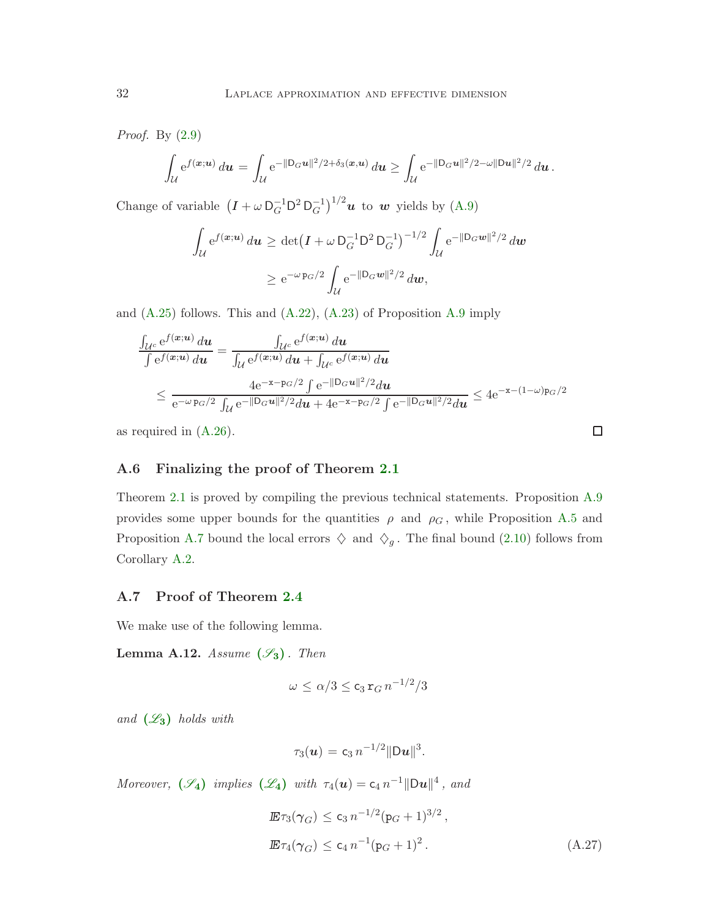Proof. By [\(2.9\)](#page-9-2)

$$
\int_{\mathcal{U}} \mathrm{e}^{f({\bm x}; {\bm u})} \, d{\bm u} = \int_{\mathcal{U}} \mathrm{e}^{-\|{\mathsf D}_{G}{\bm u}\|^2/2 + \delta_3({\bm x},{\bm u})} \, d{\bm u} \geq \int_{\mathcal{U}} \mathrm{e}^{-\|{\mathsf D}_{G}{\bm u}\|^2/2 - \omega \|{\mathsf D}{\bm u}\|^2/2} \, d{\bm u} \, .
$$

Change of variable  $(I + \omega \, D_G^{-1} D^2 D_G^{-1})^{1/2} u$  to w yields by [\(A.9\)](#page-24-2)

$$
\int_{\mathcal{U}} e^{f(\mathbf{x}; \mathbf{u})} d\mathbf{u} \ge \det \left( I + \omega \, \mathsf{D}_G^{-1} \mathsf{D}^2 \, \mathsf{D}_G^{-1} \right)^{-1/2} \int_{\mathcal{U}} e^{-\|\mathsf{D}_G \mathbf{w}\|^2/2} \, d\mathbf{w}
$$
\n
$$
\ge e^{-\omega \, \mathsf{p}_G/2} \int_{\mathcal{U}} e^{-\|\mathsf{D}_G \mathbf{w}\|^2/2} \, d\mathbf{w},
$$

and  $(A.25)$  follows. This and  $(A.22)$ ,  $(A.23)$  of Proposition [A.9](#page-28-4) imply

$$
\frac{\int_{\mathcal{U}^c} e^{f(\mathbf{x}; \mathbf{u})} d\mathbf{u}}{\int e^{f(\mathbf{x}; \mathbf{u})} d\mathbf{u}} = \frac{\int_{\mathcal{U}^c} e^{f(\mathbf{x}; \mathbf{u})} d\mathbf{u}}{\int_{\mathcal{U}} e^{f(\mathbf{x}; \mathbf{u})} d\mathbf{u} + \int_{\mathcal{U}^c} e^{f(\mathbf{x}; \mathbf{u})} d\mathbf{u}}
$$
\n
$$
\leq \frac{4e^{-x - p_G/2} \int e^{-\|\mathbf{D}_G \mathbf{u}\|^2/2} d\mathbf{u}}{e^{-\omega p_G/2} \int_{\mathcal{U}} e^{-\|\mathbf{D}_G \mathbf{u}\|^2/2} d\mathbf{u} + 4e^{-x - p_G/2} \int e^{-\|\mathbf{D}_G \mathbf{u}\|^2/2} d\mathbf{u}} \leq 4e^{-x - (1 - \omega)p_G/2}
$$

<span id="page-31-0"></span>as required in [\(A.26\)](#page-30-3).

#### A.6 Finalizing the proof of Theorem [2.1](#page-10-1)

Theorem [2.1](#page-10-1) is proved by compiling the previous technical statements. Proposition [A.9](#page-28-4) provides some upper bounds for the quantities  $\rho$  and  $\rho_G$ , while Proposition [A.5](#page-24-6) and Proposition [A.7](#page-26-2) bound the local errors  $\Diamond$  and  $\Diamond_g$ . The final bound [\(2.10\)](#page-10-3) follows from Corollary [A.2.](#page-22-2)

#### <span id="page-31-1"></span>A.7 Proof of Theorem [2.4](#page-11-1)

We make use of the following lemma.

<span id="page-31-2"></span>**Lemma A.12.** Assume  $(\mathscr{S}_3)$  $(\mathscr{S}_3)$  $(\mathscr{S}_3)$ . Then

$$
\omega \leq \alpha/3 \leq \mathsf{c}_3 \mathsf{r}_G n^{-1/2}/3
$$

and  $(\mathscr{L}_3)$  $(\mathscr{L}_3)$  $(\mathscr{L}_3)$  holds with

$$
\tau_3(\bm{u}) = c_3 n^{-1/2} ||D\bm{u}||^3.
$$

Moreover,  $(\mathscr{S}_4)$  $(\mathscr{S}_4)$  $(\mathscr{S}_4)$  implies  $(\mathscr{L}_4)$  $(\mathscr{L}_4)$  $(\mathscr{L}_4)$  with  $\tau_4(\mathbf{u}) = c_4 n^{-1} ||\mathbf{D}\mathbf{u}||^4$ , and

<span id="page-31-3"></span>
$$
\mathbb{E}\tau_3(\gamma_G) \le c_3 n^{-1/2} (p_G + 1)^{3/2},
$$
  

$$
\mathbb{E}\tau_4(\gamma_G) \le c_4 n^{-1} (p_G + 1)^2.
$$
 (A.27)

 $\Box$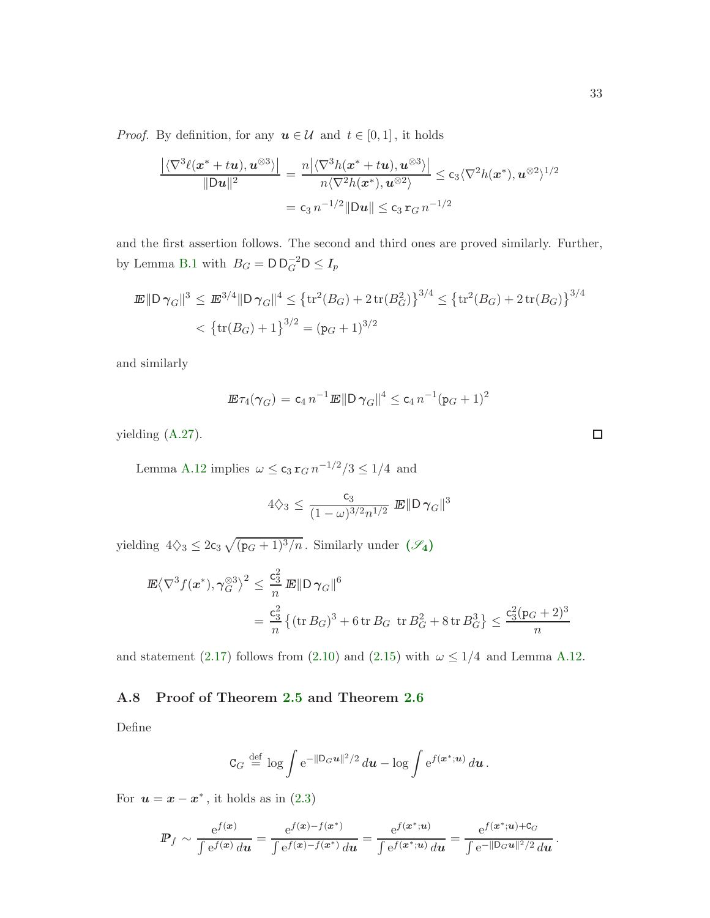*Proof.* By definition, for any  $u \in \mathcal{U}$  and  $t \in [0, 1]$ , it holds

$$
\frac{\left|\langle\nabla^3 \ell(\mathbf{x}^* + t\mathbf{u}), \mathbf{u}^{\otimes 3}\rangle\right|}{\|\mathbf{D}\mathbf{u}\|^2} = \frac{n\left|\langle\nabla^3 h(\mathbf{x}^* + t\mathbf{u}), \mathbf{u}^{\otimes 3}\rangle\right|}{n\langle\nabla^2 h(\mathbf{x}^*), \mathbf{u}^{\otimes 2}\rangle} \leq c_3 \langle\nabla^2 h(\mathbf{x}^*), \mathbf{u}^{\otimes 2}\rangle^{1/2}
$$

$$
= c_3 n^{-1/2} \|\mathbf{D}\mathbf{u}\| \leq c_3 \mathbf{r}_G n^{-1/2}
$$

and the first assertion follows. The second and third ones are proved similarly. Further, by Lemma [B.1](#page-37-2) with  $B_G = \mathsf{D} \mathsf{D}_G^{-2} \mathsf{D} \leq I_p$ 

$$
\mathbb{E} ||D \gamma_G||^3 \le \mathbb{E}^{3/4} ||D \gamma_G||^4 \le \left\{ \text{tr}^2(B_G) + 2 \text{tr}(B_G^2) \right\}^{3/4} \le \left\{ \text{tr}^2(B_G) + 2 \text{tr}(B_G) \right\}^{3/4}
$$

$$
< \left\{ \text{tr}(B_G) + 1 \right\}^{3/2} = (\mathbf{p}_G + 1)^{3/2}
$$

and similarly

$$
\mathbb{E}\tau_4(\gamma_G) = c_4 n^{-1} \mathbb{E} \|D\gamma_G\|^4 \le c_4 n^{-1} (p_G + 1)^2
$$

yielding [\(A.27\)](#page-31-3).

Lemma [A.12](#page-31-2) implies  $\omega \leq c_3 r_G n^{-1/2}/3 \leq 1/4$  and

$$
4\zeta_3 \le \frac{c_3}{(1-\omega)^{3/2}n^{1/2}} \mathbb{E} \|D\gamma_G\|^3
$$

yielding  $4\Diamond_3 \leq 2c_3 \sqrt{(p_G+1)^3/n}$ . [S](#page-11-0)imilarly under  $(\mathscr{S}_4)$ 

$$
\mathbb{E}\left\langle \nabla^3 f(x^*), \gamma_G^{\otimes 3} \right\rangle^2 \le \frac{c_3^2}{n} \mathbb{E} \|D\gamma_G\|^6
$$
  
=  $\frac{c_3^2}{n} \left\{ (\text{tr } B_G)^3 + 6 \text{ tr } B_G \text{ tr } B_G^2 + 8 \text{ tr } B_G^3 \right\} \le \frac{c_3^2 (p_G + 2)^3}{n}$ 

<span id="page-32-0"></span>and statement [\(2.17\)](#page-11-2) follows from [\(2.10\)](#page-10-3) and [\(2.15\)](#page-10-8) with  $\omega \leq 1/4$  and Lemma [A.12.](#page-31-2)

#### A.8 Proof of Theorem [2.5](#page-12-2) and Theorem [2.6](#page-13-1)

Define

$$
\mathtt{C}_G \stackrel{\text{def}}{=} \log \int \mathrm{e}^{-\|\mathtt{D}_G \boldsymbol{u}\|^2/2} \, d\boldsymbol{u} - \log \int \mathrm{e}^{f(\boldsymbol{x}^*; \boldsymbol{u})} \, d\boldsymbol{u} \, .
$$

For  $u = x - x^*$ , it holds as in  $(2.3)$ 

$$
\mathbb{P}_f \sim \frac{e^{f(\mathbf{x})}}{\int e^{f(\mathbf{x})} d\mathbf{u}} = \frac{e^{f(\mathbf{x}) - f(\mathbf{x}^*)}}{\int e^{f(\mathbf{x}) - f(\mathbf{x}^*)} d\mathbf{u}} = \frac{e^{f(\mathbf{x}^*; \mathbf{u})}}{\int e^{f(\mathbf{x}^*; \mathbf{u})} d\mathbf{u}} = \frac{e^{f(\mathbf{x}^*; \mathbf{u}) + C_G}}{\int e^{-\|\mathbf{D}_G \mathbf{u}\|^2/2} d\mathbf{u}}
$$

 $\Box$ 

.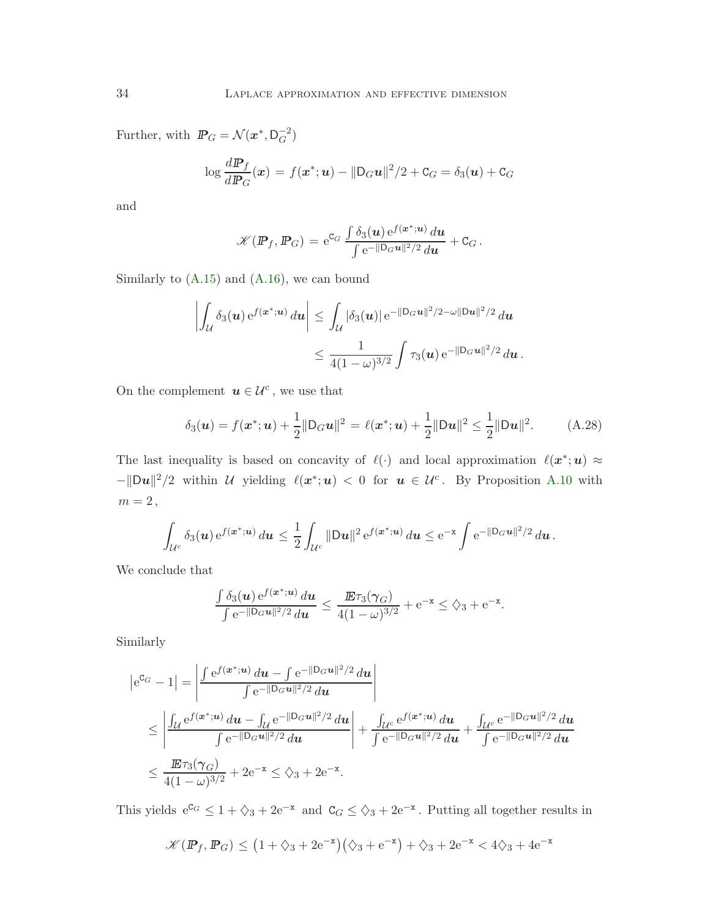Further, with  $\mathbb{P}_G = \mathcal{N}(x^*, \mathsf{D}_G^{-2})$ 

$$
\log \frac{d\mathbf{P}_f}{d\mathbf{P}_G}(\mathbf{x}) = f(\mathbf{x}^*; \mathbf{u}) - ||\mathbf{D}_G \mathbf{u}||^2/2 + \mathbf{C}_G = \delta_3(\mathbf{u}) + \mathbf{C}_G
$$

and

$$
\mathscr{K}(\mathbb{P}_f, \mathbb{P}_G) = e^{c_G} \, \frac{\int \delta_3(\boldsymbol{u}) \, e^{f(\boldsymbol{x}^*;\boldsymbol{u})} \, d\boldsymbol{u}}{\int e^{-\|\mathsf{D}_G \boldsymbol{u}\|^2/2} \, d\boldsymbol{u}} + \mathtt{C}_G \, .
$$

Similarly to  $(A.15)$  and  $(A.16)$ , we can bound

$$
\left| \int_{\mathcal{U}} \delta_3(u) e^{f(\boldsymbol{x}^*; \boldsymbol{u})} du \right| \leq \int_{\mathcal{U}} |\delta_3(u)| e^{-\|\mathsf{D}_G \boldsymbol{u}\|^2/2 - \omega \|\mathsf{D} \boldsymbol{u}\|^2/2} du
$$
  

$$
\leq \frac{1}{4(1-\omega)^{3/2}} \int \tau_3(u) e^{-\|\mathsf{D}_G \boldsymbol{u}\|^2/2} du.
$$

On the complement  $u \in \mathcal{U}^c$ , we use that

<span id="page-33-0"></span>
$$
\delta_3(\mathbf{u}) = f(\mathbf{x}^*; \mathbf{u}) + \frac{1}{2} \|\mathbf{D}_G \mathbf{u}\|^2 = \ell(\mathbf{x}^*; \mathbf{u}) + \frac{1}{2} \|\mathbf{D}\mathbf{u}\|^2 \le \frac{1}{2} \|\mathbf{D}\mathbf{u}\|^2.
$$
 (A.28)

The last inequality is based on concavity of  $\ell(\cdot)$  and local approximation  $\ell(\mathbf{x}^*; \mathbf{u}) \approx$  $-||Du||^2/2$  within U yielding  $\ell(x^*; u) < 0$  for  $u \in U^c$ . By Proposition [A.10](#page-30-4) with  $m=2\,,$ 

$$
\int_{\mathcal{U}^c} \delta_3(u) e^{f(\boldsymbol{x}^*; \boldsymbol{u})} du \leq \frac{1}{2} \int_{\mathcal{U}^c} ||D\boldsymbol{u}||^2 e^{f(\boldsymbol{x}^*; \boldsymbol{u})} du \leq e^{-\boldsymbol{x}} \int e^{-||D_G \boldsymbol{u}||^2/2} du.
$$

We conclude that

$$
\frac{\int \delta_3(\boldsymbol{u}) e^{f(\boldsymbol{x}^*;\boldsymbol{u})} d\boldsymbol{u}}{\int e^{-\|\mathsf{D}_G\boldsymbol{u}\|^2/2} d\boldsymbol{u}} \leq \frac{\mathbf{E} \tau_3(\boldsymbol{\gamma}_G)}{4(1-\omega)^{3/2}} + e^{-\mathbf{x}} \leq \zeta_3 + e^{-\mathbf{x}}.
$$

Similarly

$$
|e^{C_G} - 1| = \left| \frac{\int e^{f(\boldsymbol{x}^*, \boldsymbol{u})} d\boldsymbol{u} - \int e^{-\|\mathbf{D}_G \boldsymbol{u}\|^2/2} d\boldsymbol{u}}{\int e^{-\|\mathbf{D}_G \boldsymbol{u}\|^2/2} d\boldsymbol{u}} \right|
$$
  
\n
$$
\leq \left| \frac{\int_{\mathcal{U}} e^{f(\boldsymbol{x}^*, \boldsymbol{u})} d\boldsymbol{u} - \int_{\mathcal{U}} e^{-\|\mathbf{D}_G \boldsymbol{u}\|^2/2} d\boldsymbol{u}}{\int e^{-\|\mathbf{D}_G \boldsymbol{u}\|^2/2} d\boldsymbol{u}} \right| + \frac{\int_{\mathcal{U}^c} e^{f(\boldsymbol{x}^*, \boldsymbol{u})} d\boldsymbol{u}}{\int e^{-\|\mathbf{D}_G \boldsymbol{u}\|^2/2} d\boldsymbol{u}} + \frac{\int_{\mathcal{U}^c} e^{-\|\mathbf{D}_G \boldsymbol{u}\|^2/2} d\boldsymbol{u}}{\int e^{-\|\mathbf{D}_G \boldsymbol{u}\|^2/2} d\boldsymbol{u}}
$$
  
\n
$$
\leq \frac{\mathbf{E} \tau_3(\gamma_G)}{4(1-\omega)^{3/2}} + 2e^{-\mathbf{x}} \leq \zeta_3 + 2e^{-\mathbf{x}}.
$$

This yields  $e^{C_G} \leq 1 + \zeta_3 + 2e^{-x}$  and  $C_G \leq \zeta_3 + 2e^{-x}$ . Putting all together results in

$$
\mathcal{K}(\mathbb{P}_f, \mathbb{P}_G) \le (1 + \diamondsuit_3 + 2e^{-x})(\diamondsuit_3 + e^{-x}) + \diamondsuit_3 + 2e^{-x} < 4\diamondsuit_3 + 4e^{-x}
$$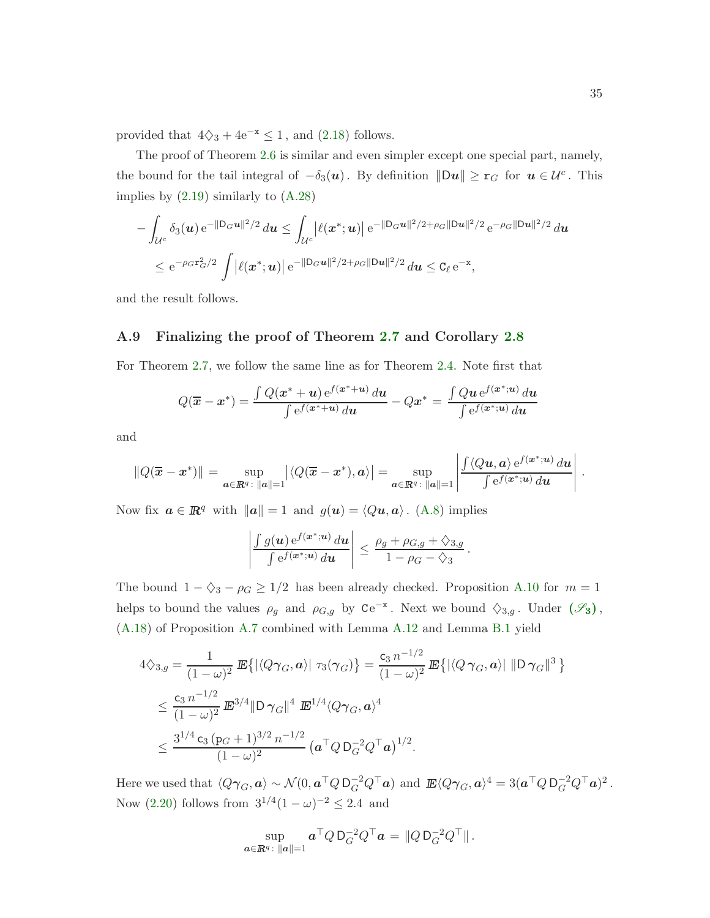provided that  $4\diamondsuit_3 + 4e^{-x} \leq 1$ , and [\(2.18\)](#page-12-3) follows.

The proof of Theorem [2.6](#page-13-1) is similar and even simpler except one special part, namely, the bound for the tail integral of  $-\delta_3(u)$ . By definition  $\|\mathbf{D}u\| \geq r_G$  for  $u \in \mathcal{U}^c$ . This implies by  $(2.19)$  similarly to  $(A.28)$ 

$$
-\int_{\mathcal{U}^c} \delta_3(\mathbf{u}) e^{-\|\mathbf{D}_G\mathbf{u}\|^2/2} d\mathbf{u} \le \int_{\mathcal{U}^c} \left| \ell(\mathbf{x}^*; \mathbf{u}) \right| e^{-\|\mathbf{D}_G\mathbf{u}\|^2/2 + \rho_G \|\mathbf{D}\mathbf{u}\|^2/2} e^{-\rho_G \|\mathbf{D}\mathbf{u}\|^2/2} d\mathbf{u}
$$
  

$$
\le e^{-\rho_G \mathbf{x}_G^2/2} \int \left| \ell(\mathbf{x}^*; \mathbf{u}) \right| e^{-\|\mathbf{D}_G\mathbf{u}\|^2/2 + \rho_G \|\mathbf{D}\mathbf{u}\|^2/2} d\mathbf{u} \le C_\ell e^{-\mathbf{x}},
$$

<span id="page-34-0"></span>and the result follows.

#### A.9 Finalizing the proof of Theorem [2.7](#page-13-2) and Corollary [2.8](#page-13-3)

For Theorem [2.7,](#page-13-2) we follow the same line as for Theorem [2.4.](#page-11-1) Note first that

$$
Q(\overline{\boldsymbol{x}} - \boldsymbol{x}^*) = \frac{\int Q(\boldsymbol{x}^* + \boldsymbol{u}) e^{f(\boldsymbol{x}^* + \boldsymbol{u})} d\boldsymbol{u}}{\int e^{f(\boldsymbol{x}^* + \boldsymbol{u})} d\boldsymbol{u}} - Q\boldsymbol{x}^* = \frac{\int Q\boldsymbol{u} e^{f(\boldsymbol{x}^* + \boldsymbol{u})} d\boldsymbol{u}}{\int e^{f(\boldsymbol{x}^* + \boldsymbol{u})} d\boldsymbol{u}}
$$

and

$$
||Q(\overline{\mathbf{x}} - \mathbf{x}^*)|| = \sup_{\mathbf{a} \in \mathbb{R}^q : ||\mathbf{a}|| = 1} |\langle Q(\overline{\mathbf{x}} - \mathbf{x}^*), \mathbf{a} \rangle| = \sup_{\mathbf{a} \in \mathbb{R}^q : ||\mathbf{a}|| = 1} \left| \frac{\int \langle Q\mathbf{u}, \mathbf{a} \rangle e^{f(\mathbf{x}^*, \mathbf{u})} d\mathbf{u}}{\int e^{f(\mathbf{x}^*, \mathbf{u})} d\mathbf{u}} \right|.
$$

Now fix  $a \in \mathbb{R}^q$  with  $\|\boldsymbol{a}\| = 1$  and  $g(\boldsymbol{u}) = \langle Q\boldsymbol{u}, \boldsymbol{a}\rangle$ . [\(A.8\)](#page-23-1) implies

$$
\left|\frac{\int g(\boldsymbol{u}) e^{f(\boldsymbol{x}^*, \boldsymbol{u})} d\boldsymbol{u}}{\int e^{f(\boldsymbol{x}^*, \boldsymbol{u})} d\boldsymbol{u}}\right| \leq \frac{\rho_g + \rho_{G,g} + \lozenge_{3,g}}{1 - \rho_G - \lozenge_3}.
$$

The bound  $1 - \zeta_3 - \rho_G \geq 1/2$  has been already checked. Proposition [A.10](#page-30-4) for  $m = 1$ helps to bound the values  $\rho_g$  and  $\rho_{G,g}$  by  $Ce^{-x}$ . Next we bound  $\Diamond_{3,g}$ . Under  $(\mathscr{S}_3)$  $(\mathscr{S}_3)$  $(\mathscr{S}_3)$ , [\(A.18\)](#page-26-3) of Proposition [A.7](#page-26-2) combined with Lemma [A.12](#page-31-2) and Lemma [B.1](#page-37-2) yield

$$
4\Diamond_{3,g} = \frac{1}{(1-\omega)^2} \mathbb{E}\left\{ |\langle Q\gamma_G, \mathbf{a} \rangle| \ \tau_3(\gamma_G) \right\} = \frac{c_3 n^{-1/2}}{(1-\omega)^2} \mathbb{E}\left\{ |\langle Q\gamma_G, \mathbf{a} \rangle| \ ||\mathbf{D}\gamma_G\|^3 \right\}
$$
  

$$
\leq \frac{c_3 n^{-1/2}}{(1-\omega)^2} \mathbb{E}^{3/4} \|\mathbf{D}\gamma_G\|^4 \mathbb{E}^{1/4} \langle Q\gamma_G, \mathbf{a} \rangle^4
$$
  

$$
\leq \frac{3^{1/4} c_3 (p_G+1)^{3/2} n^{-1/2}}{(1-\omega)^2} (\mathbf{a}^\top Q \mathbf{D}_G^{-2} Q^\top \mathbf{a})^{1/2}.
$$

Here we used that  $\langle Q \gamma_G, \mathbf{a} \rangle \sim \mathcal{N}(0, \mathbf{a}^\top Q \mathsf{D}_G^{-2} Q^\top \mathbf{a})$  and  $\mathbb{E} \langle Q \gamma_G, \mathbf{a} \rangle^4 = 3(\mathbf{a}^\top Q \mathsf{D}_G^{-2} Q^\top \mathbf{a})^2$ . Now  $(2.20)$  follows from  $3^{1/4}(1-\omega)^{-2} \leq 2.4$  and

$$
\sup_{\bm{a}\in\mathbb{R}^q\colon\|\bm{a}\|=1}\bm{a}^\top Q\,\mathsf{D}_G^{-2} Q^\top \bm{a} = \|Q\,\mathsf{D}_G^{-2} Q^\top\|.
$$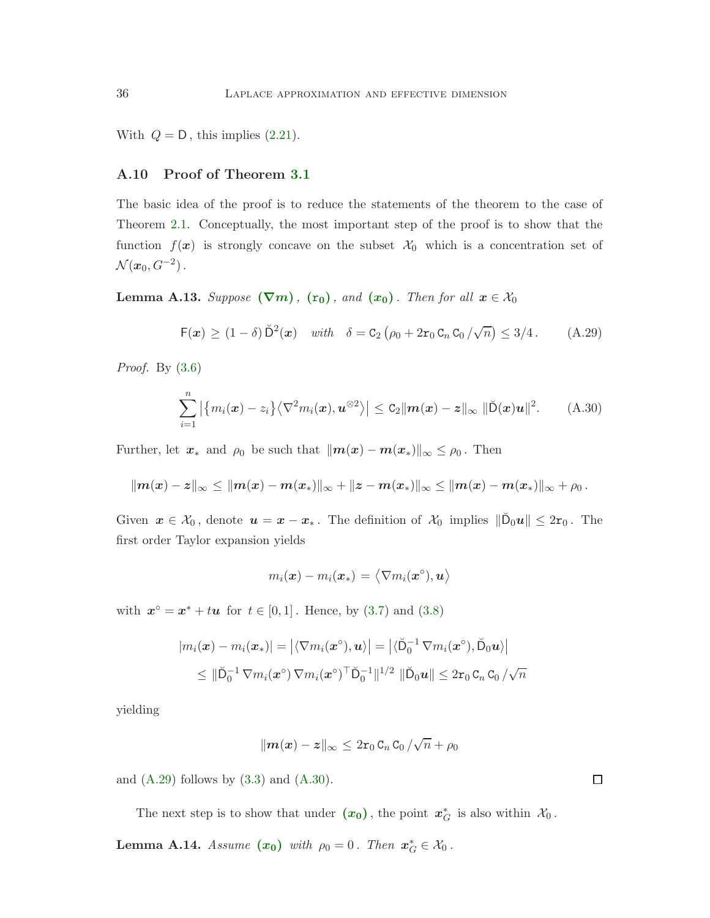<span id="page-35-0"></span>With  $Q = D$ , this implies  $(2.21)$ .

#### A.10 Proof of Theorem [3.1](#page-20-0)

The basic idea of the proof is to reduce the statements of the theorem to the case of Theorem [2.1.](#page-10-1) Conceptually, the most important step of the proof is to show that the function  $f(x)$  is strongly concave on the subset  $\mathcal{X}_0$  which is a concentration set of  $\mathcal{N}(x_0, G^{-2})$ .

<span id="page-35-4"></span>**Le[m](#page-18-0)ma A.13.** Suppose  $(\nabla m)$ ,  $(\mathbf{r}_0)$  $(\mathbf{r}_0)$  $(\mathbf{r}_0)$ , and  $(\mathbf{x}_0)$  $(\mathbf{x}_0)$  $(\mathbf{x}_0)$ . Then for all  $\mathbf{x} \in \mathcal{X}_0$ 

<span id="page-35-2"></span>
$$
\mathsf{F}(\boldsymbol{x}) \geq (1-\delta) \breve{\mathsf{D}}^2(\boldsymbol{x}) \quad \text{with} \quad \delta = \mathsf{C}_2 \left( \rho_0 + 2 \mathsf{r}_0 \mathsf{C}_n \mathsf{C}_0 / \sqrt{n} \right) \leq 3/4 \,. \tag{A.29}
$$

*Proof.* By  $(3.6)$ 

$$
\sum_{i=1}^n \left| \left\{ m_i(\boldsymbol{x}) - z_i \right\} \left\langle \nabla^2 m_i(\boldsymbol{x}), \boldsymbol{u}^{\otimes 2} \right\rangle \right| \leq C_2 \| \boldsymbol{m}(\boldsymbol{x}) - \boldsymbol{z} \|_{\infty} \| \breve{\mathsf{D}}(\boldsymbol{x}) \boldsymbol{u} \|^2. \tag{A.30}
$$

Further, let  $x_*$  and  $\rho_0$  be such that  $\|\boldsymbol{m}(x) - \boldsymbol{m}(x_*)\|_{\infty} \leq \rho_0$ . Then

$$
\|m(x)-z\|_{\infty} \leq \|m(x)-m(x_{*})\|_{\infty} + \|z-m(x_{*})\|_{\infty} \leq \|m(x)-m(x_{*})\|_{\infty} + \rho_{0}.
$$

Given  $x \in \mathcal{X}_0$ , denote  $u = x - x_*$ . The definition of  $\mathcal{X}_0$  implies  $\|\breve{\mathsf{D}}_0 u\| \leq 2\mathsf{r}_0$ . The first order Taylor expansion yields

<span id="page-35-3"></span>
$$
m_i(\bm{x}) - m_i(\bm{x}_*) = \left\langle \nabla m_i(\bm{x}^\circ), \bm{u} \right\rangle
$$

with  $x^{\circ} = x^* + tu$  for  $t \in [0, 1]$ . Hence, by [\(3.7\)](#page-18-4) and [\(3.8\)](#page-18-3)

$$
|m_i(\boldsymbol{x}) - m_i(\boldsymbol{x}_*)| = \left| \langle \nabla m_i(\boldsymbol{x}^\circ), \boldsymbol{u} \rangle \right| = \left| \langle \breve{\mathsf{D}}_0^{-1} \nabla m_i(\boldsymbol{x}^\circ), \breve{\mathsf{D}}_0 \boldsymbol{u} \rangle \right|
$$
  
\$\leq\$ 
$$
\|\breve{\mathsf{D}}_0^{-1} \nabla m_i(\boldsymbol{x}^\circ) \nabla m_i(\boldsymbol{x}^\circ)^\top \breve{\mathsf{D}}_0^{-1} \|^{1/2} \|\breve{\mathsf{D}}_0 \boldsymbol{u}\| \leq 2 \mathsf{r}_0 \, \mathsf{C}_n \, \mathsf{C}_0 / \sqrt{n}
$$

yielding

$$
\|\boldsymbol{m}(\boldsymbol{x})-\boldsymbol{z}\|_{\infty}\leq2\mathtt{r}_{0}\,\mathtt{C}_{n}\,\mathtt{C}_{0}\,/\sqrt{n}+\rho_{0}
$$

and  $(A.29)$  follows by  $(3.3)$  and  $(A.30)$ .

The ne[x](#page-19-0)t step is to show that under  $(x_0)$ , the point  $x_G^*$  is also within  $\mathcal{X}_0$ .

<span id="page-35-1"></span>**Lemma A.14.** Assume  $(x_0)$  $(x_0)$  $(x_0)$  with  $\rho_0 = 0$ . Then  $x_G^* \in \mathcal{X}_0$ .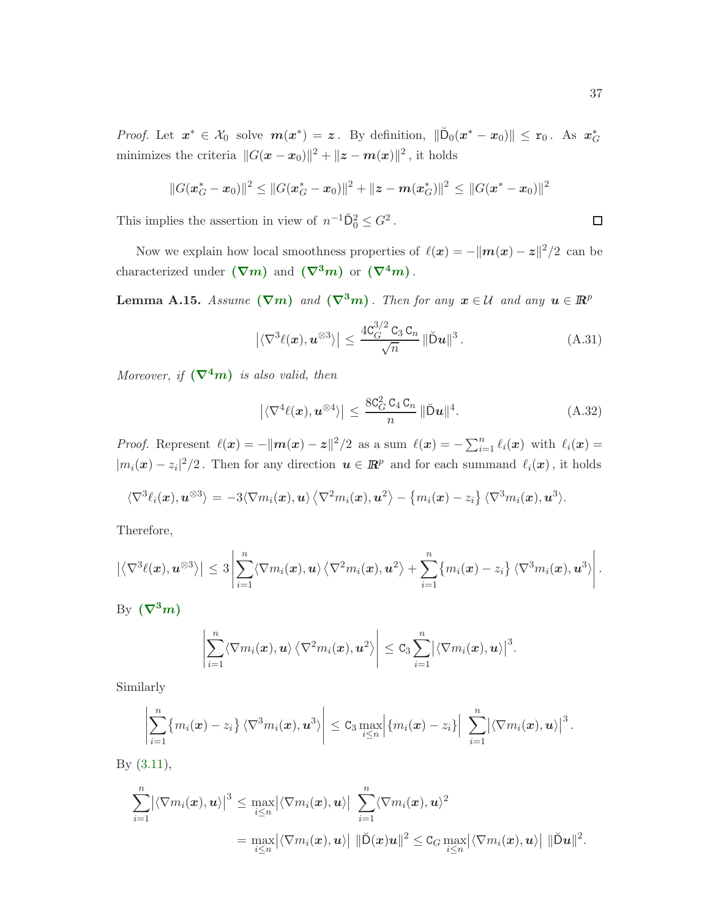*Proof.* Let  $x^* \in \mathcal{X}_0$  solve  $m(x^*) = z$ . By definition,  $\|\breve{D}_0(x^* - x_0)\| \leq r_0$ . As  $x_G^*$ minimizes the criteria  $||G(x - x_0)||^2 + ||z - m(x)||^2$ , it holds

$$
||G(\mathbf{x}_{G}^{*}-\mathbf{x}_{0})||^{2} \leq ||G(\mathbf{x}_{G}^{*}-\mathbf{x}_{0})||^{2} + ||\mathbf{z}-\boldsymbol{m}(\mathbf{x}_{G}^{*})||^{2} \leq ||G(\mathbf{x}^{*}-\mathbf{x}_{0})||^{2}
$$

This implies the assertion in view of  $n^{-1}D_0^2 \leq G^2$ .

Now we explain how local smoothness properties of  $\ell(\mathbf{x}) = -\|\mathbf{m}(\mathbf{x}) - \mathbf{z}\|^2/2$  can be characterized under  $(\nabla m)$  $(\nabla m)$  $(\nabla m)$  and  $(\nabla^3 m)$  or  $(\nabla^4 m)$ .

**Le[m](#page-19-1)ma A.15.** Assume  $(\nabla m)$  and  $(\nabla^3 m)$ . Then for any  $x \in \mathcal{U}$  and any  $u \in \mathbb{R}^p$ 

$$
\left| \langle \nabla^3 \ell(x), \mathbf{u}^{\otimes 3} \rangle \right| \le \frac{4C_G^{3/2} C_3 C_n}{\sqrt{n}} \|\breve{\mathbf{D}}\mathbf{u}\|^3. \tag{A.31}
$$

Moreover, if  $(\nabla^4 m)$  $(\nabla^4 m)$  $(\nabla^4 m)$  is also valid, then

<span id="page-36-1"></span>
$$
\left| \langle \nabla^4 \ell(\boldsymbol{x}), \boldsymbol{u}^{\otimes 4} \rangle \right| \le \frac{8c_G^2 c_4 c_n}{n} \|\breve{\mathbf{D}} \boldsymbol{u}\|^4. \tag{A.32}
$$

*Proof.* Represent  $\ell(x) = -||m(x) - z||^2/2$  as a sum  $\ell(x) = -\sum_{i=1}^n \ell_i(x)$  with  $\ell_i(x) =$  $|m_i(\bm{x}) - z_i|^2/2$ . Then for any direction  $\bm{u} \in \mathbb{R}^p$  and for each summand  $\ell_i(\bm{x})$ , it holds

$$
\langle \nabla^3 \ell_i(\boldsymbol{x}), \boldsymbol{u}^{\otimes 3} \rangle = -3 \langle \nabla m_i(\boldsymbol{x}), \boldsymbol{u} \rangle \langle \nabla^2 m_i(\boldsymbol{x}), \boldsymbol{u}^2 \rangle - \{m_i(\boldsymbol{x}) - z_i\} \langle \nabla^3 m_i(\boldsymbol{x}), \boldsymbol{u}^3 \rangle.
$$

Therefore,

$$
\left|\left\langle \nabla^3 \ell(\boldsymbol{x}), \boldsymbol{u}^{\otimes 3} \right\rangle\right| \leq 3 \left|\sum_{i=1}^n \left\langle \nabla m_i(\boldsymbol{x}), \boldsymbol{u} \right\rangle \left\langle \nabla^2 m_i(\boldsymbol{x}), \boldsymbol{u}^2 \right\rangle + \sum_{i=1}^n \left\{ m_i(\boldsymbol{x}) - z_i \right\} \left\langle \nabla^3 m_i(\boldsymbol{x}), \boldsymbol{u}^3 \right\rangle \right|.
$$

By  $(\nabla^3 m)$  $(\nabla^3 m)$  $(\nabla^3 m)$ 

$$
\left|\sum_{i=1}^n \langle \nabla m_i(\boldsymbol{x}), \boldsymbol{u} \rangle \langle \nabla^2 m_i(\boldsymbol{x}), \boldsymbol{u}^2 \rangle \right| \leq C_3 \sum_{i=1}^n \left| \langle \nabla m_i(\boldsymbol{x}), \boldsymbol{u} \rangle \right|^3.
$$

Similarly

$$
\left|\sum_{i=1}^n \{m_i(\boldsymbol{x})-z_i\}\, \langle \nabla^3 m_i(\boldsymbol{x}),\boldsymbol{u}^3\rangle\right| \leq C_3 \max_{i\leq n} \left|\{m_i(\boldsymbol{x})-z_i\}\right| \, \sum_{i=1}^n \left|\langle \nabla m_i(\boldsymbol{x}),\boldsymbol{u}\rangle\right|^3.
$$

By [\(3.11\)](#page-20-1),

$$
\sum_{i=1}^n \bigl| \langle \nabla m_i(\boldsymbol{x}), \boldsymbol{u} \rangle \bigr|^3 \leq \max_{i \leq n} \bigl| \langle \nabla m_i(\boldsymbol{x}), \boldsymbol{u} \rangle \bigr| \sum_{i=1}^n \langle \nabla m_i(\boldsymbol{x}), \boldsymbol{u} \rangle^2
$$
  
= 
$$
\max_{i \leq n} \bigl| \langle \nabla m_i(\boldsymbol{x}), \boldsymbol{u} \rangle \bigr| \, \|\breve{\mathsf{D}}(\boldsymbol{x})\boldsymbol{u}\|^2 \leq \mathsf{C}_G \max_{i \leq n} \bigl| \langle \nabla m_i(\boldsymbol{x}), \boldsymbol{u} \rangle \bigr| \, \|\breve{\mathsf{D}}\boldsymbol{u}\|^2.
$$

<span id="page-36-0"></span> $\Box$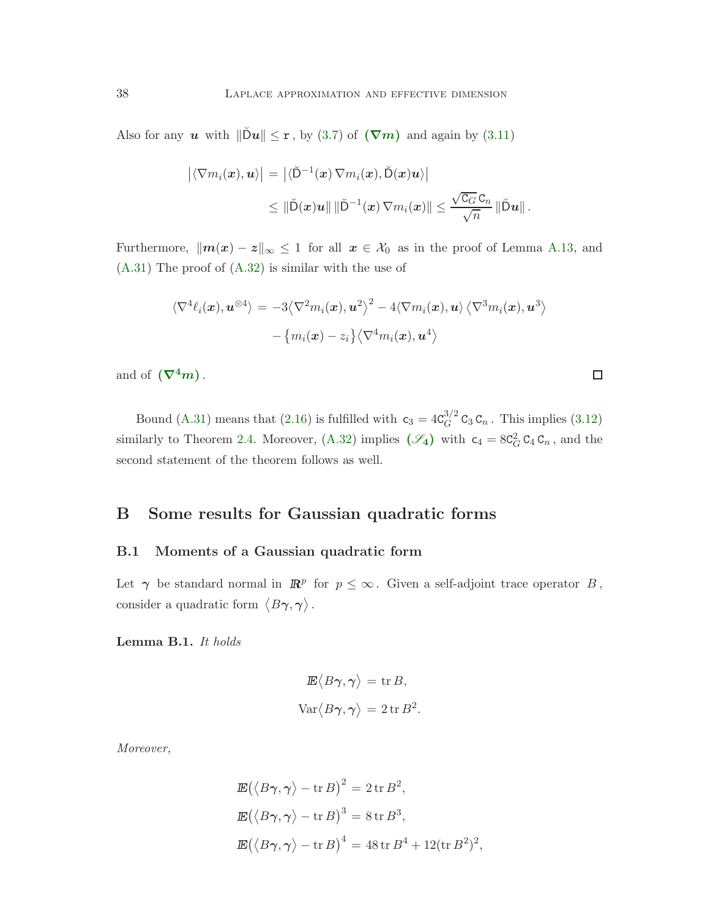Also for any u with  $\|\tilde{D}u\| \leq r$ , by [\(3.7\)](#page-18-4) of  $(\nabla m)$  $(\nabla m)$  $(\nabla m)$  and again by [\(3.11\)](#page-20-1)

$$
\begin{aligned} \left| \langle \nabla m_i(\boldsymbol{x}), \boldsymbol{u} \rangle \right| \,&=\, \left| \langle \breve{\mathsf{D}}^{-1}(\boldsymbol{x}) \, \nabla m_i(\boldsymbol{x}), \breve{\mathsf{D}}(\boldsymbol{x}) \boldsymbol{u} \rangle \right| \\ &\leq \, \left\| \breve{\mathsf{D}}(\boldsymbol{x}) \boldsymbol{u} \right\| \left\| \breve{\mathsf{D}}^{-1}(\boldsymbol{x}) \, \nabla m_i(\boldsymbol{x}) \right\| \leq \frac{\sqrt{\mathtt{C}_G} \, \mathtt{C}_n}{\sqrt{n}} \left\| \breve{\mathsf{D}} \boldsymbol{u} \right\| . \end{aligned}
$$

Furthermore,  $\|\mathbf{m}(x) - z\|_{\infty} \leq 1$  for all  $x \in \mathcal{X}_0$  as in the proof of Lemma [A.13,](#page-35-4) and [\(A.31\)](#page-36-0) The proof of [\(A.32\)](#page-36-1) is similar with the use of

$$
\begin{aligned} \langle \nabla^4 \ell_i(\boldsymbol{x}), \boldsymbol{u}^{\otimes 4} \rangle &= -3 \langle \nabla^2 m_i(\boldsymbol{x}), \boldsymbol{u}^2 \rangle^2 - 4 \langle \nabla m_i(\boldsymbol{x}), \boldsymbol{u} \rangle \langle \nabla^3 m_i(\boldsymbol{x}), \boldsymbol{u}^3 \rangle \\ &- \left\{ m_i(\boldsymbol{x}) - z_i \right\} \langle \nabla^4 m_i(\boldsymbol{x}), \boldsymbol{u}^4 \rangle \end{aligned}
$$

 $\Box$ 

and of  $(\nabla^4 m)$  $(\nabla^4 m)$  $(\nabla^4 m)$ .

Bound [\(A.31\)](#page-36-0) means that [\(2.16\)](#page-11-3) is fulfilled with  $c_3 = 4C_G^{3/2}$  $G<sup>3/2</sup>$  C<sub>3</sub> C<sub>n</sub>. This implies [\(3.12\)](#page-20-2) similarly to Theorem [2.4.](#page-11-1) Moreover, [\(A.32\)](#page-36-1) implies  $(\mathscr{S}_4)$  $(\mathscr{S}_4)$  $(\mathscr{S}_4)$  with  $c_4 = 8C_G^2 C_4 C_n$ , and the second statement of the theorem follows as well.

# <span id="page-37-1"></span><span id="page-37-0"></span>B Some results for Gaussian quadratic forms

#### B.1 Moments of a Gaussian quadratic form

Let  $\gamma$  be standard normal in  $\mathbb{R}^p$  for  $p \leq \infty$ . Given a self-adjoint trace operator B, consider a quadratic form  $\langle B\gamma, \gamma \rangle$ .

<span id="page-37-2"></span>Lemma B.1. It holds

$$
\mathbb{E}\langle B\gamma, \gamma \rangle = \text{tr } B,
$$
  
 
$$
\text{Var}\langle B\gamma, \gamma \rangle = 2 \text{tr } B^2.
$$

Moreover,

$$
\mathbb{E}(\langle B\gamma, \gamma \rangle - \operatorname{tr} B)^2 = 2 \operatorname{tr} B^2,
$$
  
\n
$$
\mathbb{E}(\langle B\gamma, \gamma \rangle - \operatorname{tr} B)^3 = 8 \operatorname{tr} B^3,
$$
  
\n
$$
\mathbb{E}(\langle B\gamma, \gamma \rangle - \operatorname{tr} B)^4 = 48 \operatorname{tr} B^4 + 12(\operatorname{tr} B^2)^2,
$$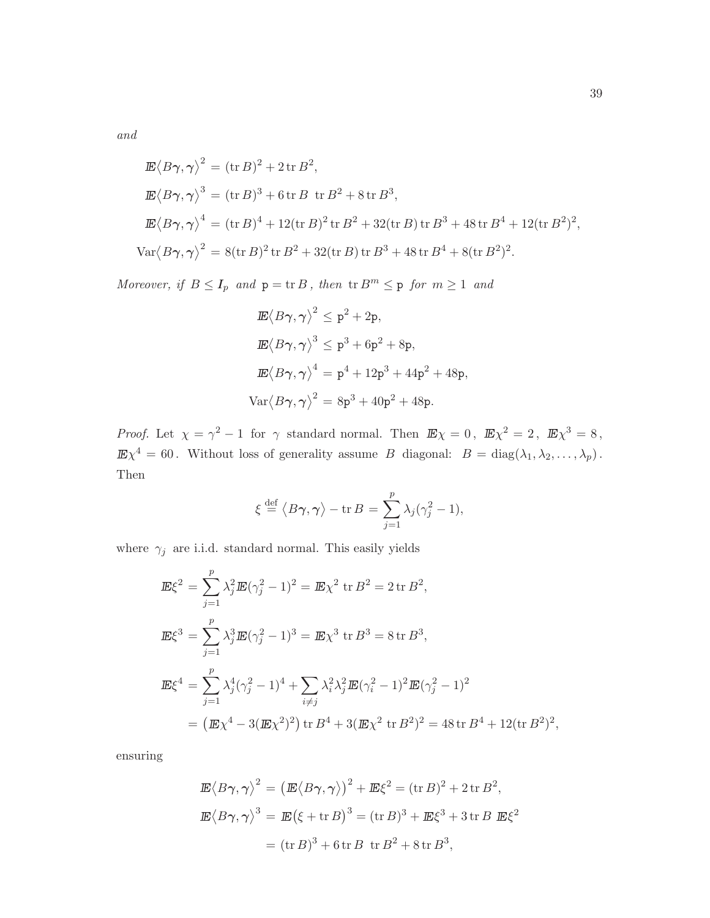and

$$
\mathbb{E}\langle B\gamma,\gamma\rangle^2 = (\text{tr } B)^2 + 2 \,\text{tr } B^2,
$$
  
\n
$$
\mathbb{E}\langle B\gamma,\gamma\rangle^3 = (\text{tr } B)^3 + 6 \,\text{tr } B \text{ tr } B^2 + 8 \,\text{tr } B^3,
$$
  
\n
$$
\mathbb{E}\langle B\gamma,\gamma\rangle^4 = (\text{tr } B)^4 + 12(\text{tr } B)^2 \,\text{tr } B^2 + 32(\text{tr } B) \,\text{tr } B^3 + 48 \,\text{tr } B^4 + 12(\text{tr } B^2)^2,
$$
  
\n
$$
\text{Var}\langle B\gamma,\gamma\rangle^2 = 8(\text{tr } B)^2 \,\text{tr } B^2 + 32(\text{tr } B) \,\text{tr } B^3 + 48 \,\text{tr } B^4 + 8(\text{tr } B^2)^2.
$$

Moreover, if  $B \leq I_p$  and  $p = \text{tr } B$ , then  $\text{tr } B^m \leq p$  for  $m \geq 1$  and

$$
\mathbb{E}\langle B\gamma, \gamma \rangle^2 \leq p^2 + 2p,
$$
  
\n
$$
\mathbb{E}\langle B\gamma, \gamma \rangle^3 \leq p^3 + 6p^2 + 8p,
$$
  
\n
$$
\mathbb{E}\langle B\gamma, \gamma \rangle^4 = p^4 + 12p^3 + 44p^2 + 48p,
$$
  
\n
$$
\text{Var}\langle B\gamma, \gamma \rangle^2 = 8p^3 + 40p^2 + 48p.
$$

*Proof.* Let  $\chi = \gamma^2 - 1$  for  $\gamma$  standard normal. Then  $\mathbb{E}\chi = 0$ ,  $\mathbb{E}\chi^2 = 2$ ,  $\mathbb{E}\chi^3 = 8$ ,  $\mathbb{E}\chi^4 = 60$ . Without loss of generality assume B diagonal:  $B = \text{diag}(\lambda_1, \lambda_2, \dots, \lambda_p)$ . Then

$$
\xi \stackrel{\text{def}}{=} \langle B\gamma, \gamma \rangle - \operatorname{tr} B = \sum_{j=1}^p \lambda_j (\gamma_j^2 - 1),
$$

where  $\, \gamma_j \,$  are i.i.d. standard normal. This easily yields

$$
\mathbb{E}\xi^2 = \sum_{j=1}^p \lambda_j^2 \mathbb{E}(\gamma_j^2 - 1)^2 = \mathbb{E}\chi^2 \text{ tr } B^2 = 2 \text{ tr } B^2,
$$
  
\n
$$
\mathbb{E}\xi^3 = \sum_{j=1}^p \lambda_j^3 \mathbb{E}(\gamma_j^2 - 1)^3 = \mathbb{E}\chi^3 \text{ tr } B^3 = 8 \text{ tr } B^3,
$$
  
\n
$$
\mathbb{E}\xi^4 = \sum_{j=1}^p \lambda_j^4 (\gamma_j^2 - 1)^4 + \sum_{i \neq j} \lambda_i^2 \lambda_j^2 \mathbb{E}(\gamma_i^2 - 1)^2 \mathbb{E}(\gamma_j^2 - 1)^2
$$
  
\n
$$
= (\mathbb{E}\chi^4 - 3(\mathbb{E}\chi^2)^2) \text{ tr } B^4 + 3(\mathbb{E}\chi^2 \text{ tr } B^2)^2 = 48 \text{ tr } B^4 + 12(\text{tr } B^2)^2,
$$

ensuring

$$
\mathbb{E}\langle B\gamma,\gamma\rangle^2 = \left(\mathbb{E}\langle B\gamma,\gamma\rangle\right)^2 + \mathbb{E}\xi^2 = (\text{tr }B)^2 + 2\,\text{tr }B^2,
$$
  

$$
\mathbb{E}\langle B\gamma,\gamma\rangle^3 = \mathbb{E}\left(\xi + \text{tr }B\right)^3 = (\text{tr }B)^3 + \mathbb{E}\xi^3 + 3\,\text{tr }B\ \mathbb{E}\xi^2
$$
  

$$
= (\text{tr }B)^3 + 6\,\text{tr }B\ \text{tr }B^2 + 8\,\text{tr }B^3,
$$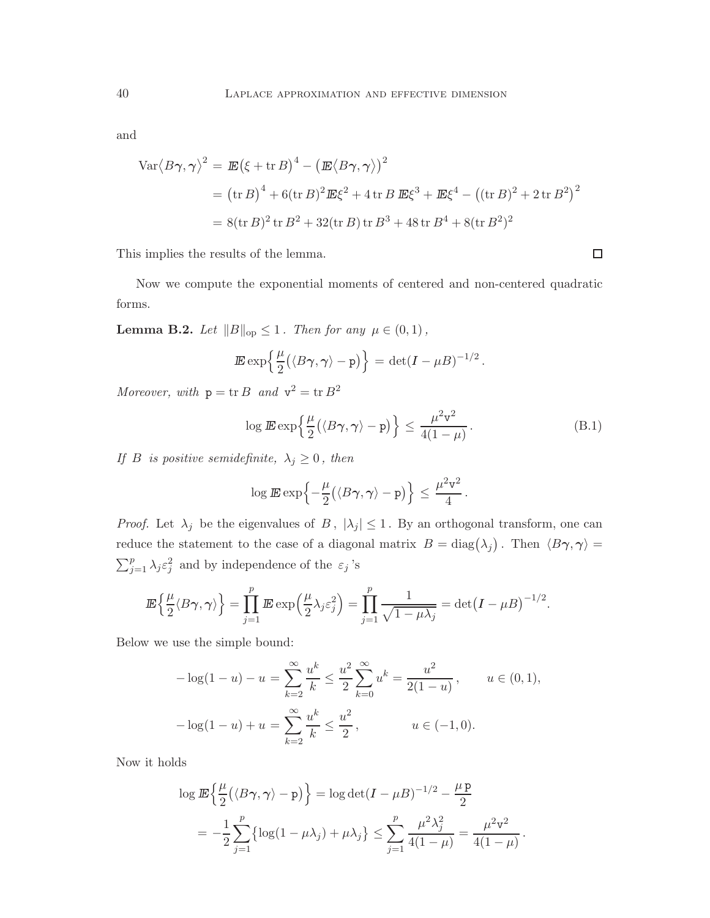$$
\begin{aligned} \n\text{Var}\langle B\gamma, \gamma \rangle^2 &= \mathbb{E}\left(\xi + \text{tr}\,B\right)^4 - \left(\mathbb{E}\langle B\gamma, \gamma \rangle\right)^2 \\ \n&= \left(\text{tr}\,B\right)^4 + 6(\text{tr}\,B)^2 \mathbb{E}\xi^2 + 4\,\text{tr}\,B\,\mathbb{E}\xi^3 + \mathbb{E}\xi^4 - \left((\text{tr}\,B)^2 + 2\,\text{tr}\,B^2\right)^2 \\ \n&= 8(\text{tr}\,B)^2 \,\text{tr}\,B^2 + 32(\text{tr}\,B) \,\text{tr}\,B^3 + 48\,\text{tr}\,B^4 + 8(\text{tr}\,B^2)^2 \n\end{aligned}
$$

This implies the results of the lemma.

Now we compute the exponential moments of centered and non-centered quadratic forms.

**Lemma B.2.** Let  $||B||_{op} \leq 1$ . Then for any  $\mu \in (0,1)$ ,

$$
\mathbb{E}\exp\left\{\frac{\mu}{2}(\langle B\boldsymbol{\gamma},\boldsymbol{\gamma}\rangle-\mathtt{p})\right\}=\det(I-\mu B)^{-1/2}.
$$

Moreover, with  $p = \text{tr } B$  and  $v^2 = \text{tr } B^2$ 

$$
\log \mathbb{E} \exp\left\{\frac{\mu}{2} (\langle B\gamma, \gamma \rangle - \mathbf{p})\right\} \le \frac{\mu^2 \mathbf{v}^2}{4(1-\mu)}.
$$
 (B.1)

<span id="page-39-0"></span> $\Box$ 

If B is positive semidefinite,  $\lambda_j \geq 0$ , then

$$
\log \mathbb{E} \exp \left\{-\frac{\mu}{2} \big( \langle B\gamma, \gamma \rangle - \mathrm{p} \big) \right\} \leq \frac{\mu^2 \mathrm{v}^2}{4}.
$$

*Proof.* Let  $\lambda_j$  be the eigenvalues of B,  $|\lambda_j| \leq 1$ . By an orthogonal transform, one can reduce the statement to the case of a diagonal matrix  $B = \text{diag}(\lambda_j)$ . Then  $\langle B\gamma, \gamma \rangle =$  $\sum_{j=1}^{p} \lambda_j \varepsilon_j^2$  and by independence of the  $\varepsilon_j$ 's

$$
\mathbb{E}\left\{\frac{\mu}{2}\langle B\gamma,\gamma\rangle\right\} = \prod_{j=1}^p \mathbb{E} \exp\left(\frac{\mu}{2}\lambda_j \varepsilon_j^2\right) = \prod_{j=1}^p \frac{1}{\sqrt{1-\mu\lambda_j}} = \det(I-\mu B)^{-1/2}.
$$

Below we use the simple bound:

$$
-\log(1-u) - u = \sum_{k=2}^{\infty} \frac{u^k}{k} \le \frac{u^2}{2} \sum_{k=0}^{\infty} u^k = \frac{u^2}{2(1-u)}, \qquad u \in (0,1),
$$

$$
-\log(1-u) + u = \sum_{k=2}^{\infty} \frac{u^k}{k} \le \frac{u^2}{2}, \qquad u \in (-1,0).
$$

Now it holds

$$
\log \mathbb{E}\left\{\frac{\mu}{2}(\langle B\gamma, \gamma \rangle - \mathbf{p})\right\} = \log \det(I - \mu B)^{-1/2} - \frac{\mu \mathbf{p}}{2}
$$
  
= 
$$
-\frac{1}{2}\sum_{j=1}^{p} \left\{\log(1 - \mu \lambda_j) + \mu \lambda_j\right\} \le \sum_{j=1}^{p} \frac{\mu^2 \lambda_j^2}{4(1 - \mu)} = \frac{\mu^2 \mathbf{v}^2}{4(1 - \mu)}.
$$

and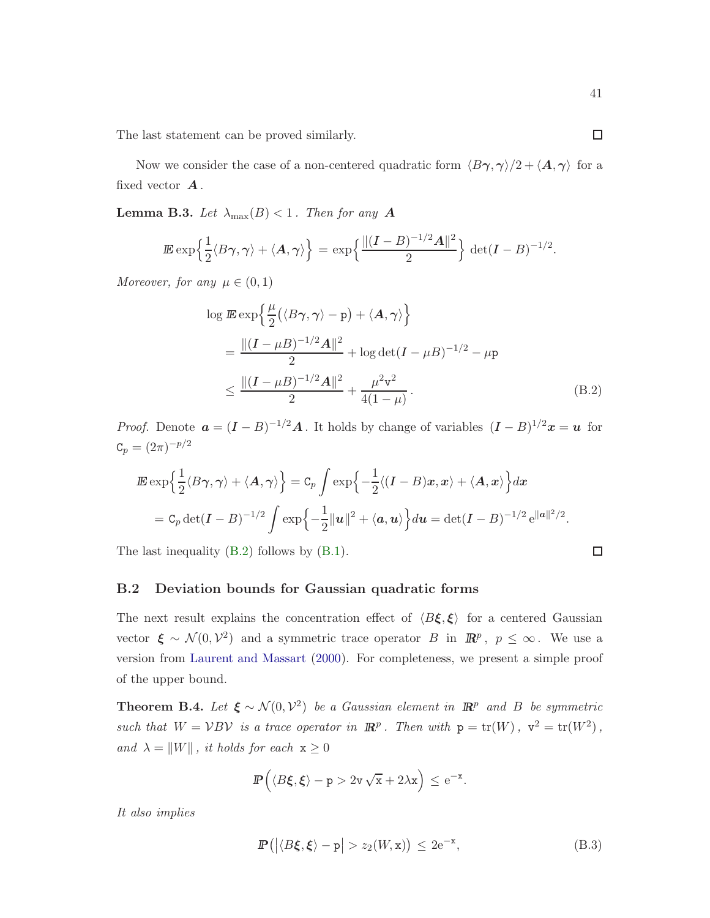The last statement can be proved similarly.

Now we consider the case of a non-centered quadratic form  $\langle B\gamma, \gamma \rangle/2 + \langle A, \gamma \rangle$  for a fixed vector  $A$ .

**Lemma B.3.** Let  $\lambda_{\text{max}}(B) < 1$ . Then for any **A** 

$$
\mathbb{E} \exp\left\{\frac{1}{2}\langle B\gamma,\gamma\rangle+\langle A,\gamma\rangle\right\}=\exp\left\{\frac{\|(I-B)^{-1/2}A\|^2}{2}\right\}\det(I-B)^{-1/2}.
$$

Moreover, for any  $\mu \in (0,1)$ 

<span id="page-40-2"></span>
$$
\log \mathbb{E} \exp \left\{ \frac{\mu}{2} (\langle B\gamma, \gamma \rangle - \mathbf{p}) + \langle A, \gamma \rangle \right\}
$$
  
= 
$$
\frac{\|(I - \mu B)^{-1/2} \mathbf{A}\|^2}{2} + \log \det(I - \mu B)^{-1/2} - \mu \mathbf{p}
$$
  

$$
\leq \frac{\|(I - \mu B)^{-1/2} \mathbf{A}\|^2}{2} + \frac{\mu^2 \mathbf{v}^2}{4(1 - \mu)}.
$$
 (B.2)

*Proof.* Denote  $\mathbf{a} = (I - B)^{-1/2} \mathbf{A}$ . It holds by change of variables  $(I - B)^{1/2} \mathbf{x} = \mathbf{u}$  for  $\mathtt{C}_p = (2\pi)^{-p/2}$ 

$$
\mathbb{E} \exp\left\{\frac{1}{2}\langle B\gamma,\gamma\rangle+\langle A,\gamma\rangle\right\} = C_p \int \exp\left\{-\frac{1}{2}\langle (I-B)x,x\rangle+\langle A,x\rangle\right\} dx
$$
  
=  $C_p \det(I-B)^{-1/2} \int \exp\left\{-\frac{1}{2}||u||^2+\langle a,u\rangle\right\} du = \det(I-B)^{-1/2} e^{\|a\|^2/2}.$ 

<span id="page-40-0"></span>The last inequality [\(B.2\)](#page-40-2) follows by [\(B.1\)](#page-39-0).

$$
\qquad \qquad \Box
$$

#### B.2 Deviation bounds for Gaussian quadratic forms

The next result explains the concentration effect of  $\langle B\xi, \xi \rangle$  for a centered Gaussian vector  $\xi \sim \mathcal{N}(0, \mathcal{V}^2)$  and a symmetric trace operator B in  $\mathbb{R}^p$ ,  $p \leq \infty$ . We use a version from [Laurent and Massart](#page-44-13) [\(2000](#page-44-13)). For completeness, we present a simple proof of the upper bound.

<span id="page-40-1"></span>**Theorem B.4.** Let  $\xi \sim \mathcal{N}(0, \mathcal{V}^2)$  be a Gaussian element in  $\mathbb{R}^p$  and B be symmetric such that  $W = VBV$  is a trace operator in  $\mathbb{R}^p$ . Then with  $p = \text{tr}(W)$ ,  $v^2 = \text{tr}(W^2)$ , and  $\lambda = ||W||$ , it holds for each  $x \geq 0$ 

$$
\mathbb{P}\left(\langle B\xi,\xi\rangle-\mathbf{p}>2\mathbf{v}\sqrt{\mathbf{x}}+2\lambda\mathbf{x}\right)\leq e^{-\mathbf{x}}.
$$

It also implies

<span id="page-40-3"></span>
$$
\mathbb{P}\left(\left|\langle B\xi,\xi\rangle-\mathbf{p}\right|>z_{2}(W,\mathbf{x})\right)\leq 2\mathrm{e}^{-\mathbf{x}},\tag{B.3}
$$

 $\Box$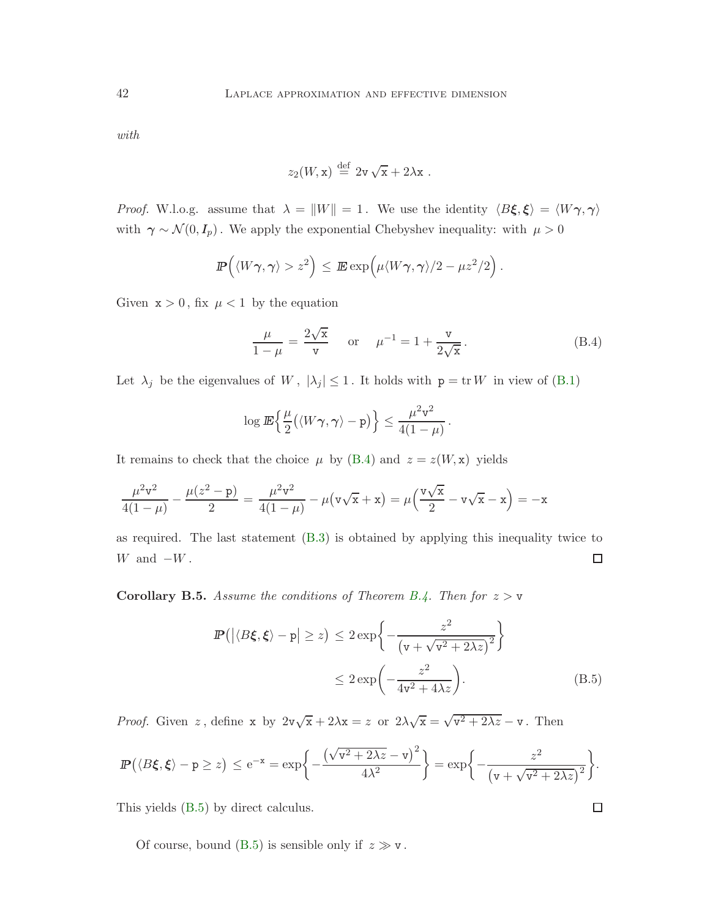with

$$
z_2(W, \mathbf{x}) \stackrel{\text{def}}{=} 2\mathbf{v}\sqrt{\mathbf{x}} + 2\lambda\mathbf{x} .
$$

*Proof.* W.l.o.g. assume that  $\lambda = ||W|| = 1$ . We use the identity  $\langle B\xi, \xi \rangle = \langle W\gamma, \gamma \rangle$ with  $\gamma \sim \mathcal{N}(0, I_p)$ . We apply the exponential Chebyshev inequality: with  $\mu > 0$ 

$$
\mathbb{P}\left(\langle W\gamma,\gamma\rangle>z^2\right)\leq \mathbb{E}\exp\left(\mu\langle W\gamma,\gamma\rangle/2-\mu z^2/2\right).
$$

Given  $x > 0$ , fix  $\mu < 1$  by the equation

<span id="page-41-0"></span>
$$
\frac{\mu}{1-\mu} = \frac{2\sqrt{x}}{v} \quad \text{or} \quad \mu^{-1} = 1 + \frac{v}{2\sqrt{x}}.
$$
 (B.4)

Let  $\lambda_j$  be the eigenvalues of W,  $|\lambda_j| \leq 1$ . It holds with  $p = \text{tr } W$  in view of [\(B.1\)](#page-39-0)

$$
\log \mathbb{E}\left\{\frac{\mu}{2}(\langle W\gamma,\gamma\rangle-\mathrm{p})\right\} \leq \frac{\mu^2\mathrm{v}^2}{4(1-\mu)}.
$$

It remains to check that the choice  $\mu$  by [\(B.4\)](#page-41-0) and  $z = z(W, x)$  yields

$$
\frac{\mu^2 \mathbf{v}^2}{4(1-\mu)} - \frac{\mu(z^2 - \mathbf{p})}{2} = \frac{\mu^2 \mathbf{v}^2}{4(1-\mu)} - \mu(\mathbf{v}\sqrt{\mathbf{x}} + \mathbf{x}) = \mu\left(\frac{\mathbf{v}\sqrt{\mathbf{x}}}{2} - \mathbf{v}\sqrt{\mathbf{x}} - \mathbf{x}\right) = -\mathbf{x}
$$

as required. The last statement [\(B.3\)](#page-40-3) is obtained by applying this inequality twice to  $W$  and  $-W$ .  $\Box$ 

**Corollary B.5.** Assume the conditions of Theorem [B.4.](#page-40-1) Then for  $z > v$ 

$$
\mathbb{P}\left(\left|\langle B\xi,\xi\rangle - \mathbf{p}\right| \geq z\right) \leq 2 \exp\left\{-\frac{z^2}{\left(\mathbf{v} + \sqrt{\mathbf{v}^2 + 2\lambda z}\right)^2}\right\}
$$
\n
$$
\leq 2 \exp\left(-\frac{z^2}{4\mathbf{v}^2 + 4\lambda z}\right). \tag{B.5}
$$

*Proof.* Given z, define x by  $2v\sqrt{x} + 2\lambda x = z$  or  $2\lambda\sqrt{x} = \sqrt{v^2 + 2\lambda z} - v$ . Then

$$
\mathbb{P}\left(\langle B\xi,\xi\rangle-p\geq z\right)\leq \mathrm{e}^{-x}=\exp\biggl\{-\frac{\left(\sqrt{v^2+2\lambda z}-v\right)^2}{4\lambda^2}\biggr\}=\exp\biggl\{-\frac{z^2}{\left(v+\sqrt{v^2+2\lambda z}\right)^2}\biggr\}.
$$

This yields [\(B.5\)](#page-41-1) by direct calculus.

Of course, bound [\(B.5\)](#page-41-1) is sensible only if  $z \gg v$ .

<span id="page-41-1"></span>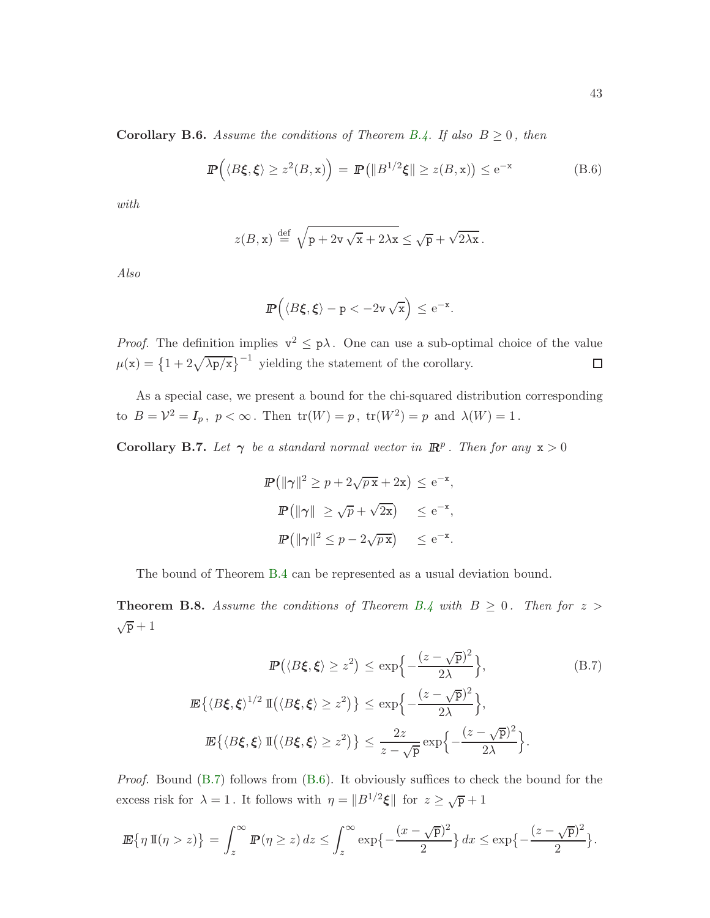**Corollary B.6.** Assume the conditions of Theorem [B.4.](#page-40-1) If also  $B \ge 0$ , then

<span id="page-42-1"></span>
$$
\mathbb{P}\left(\langle B\xi,\xi\rangle\geq z^2(B,\mathbf{x})\right)=\mathbb{P}\left(\|B^{1/2}\xi\|\geq z(B,\mathbf{x})\right)\leq e^{-\mathbf{x}}\tag{B.6}
$$

with

$$
z(B, \mathbf{x}) \stackrel{\text{def}}{=} \sqrt{\mathbf{p} + 2\mathbf{v}\sqrt{\mathbf{x}} + 2\lambda\mathbf{x}} \leq \sqrt{\mathbf{p}} + \sqrt{2\lambda\mathbf{x}}.
$$

Also

$$
\hbox{\it I\hskip -2pt P}\Big(\langle B\xi,\xi\rangle-p<-2v\,\sqrt{x}\Big)\leq{\rm e}^{-x}.
$$

*Proof.* The definition implies  $v^2 \leq p\lambda$ . One can use a sub-optimal choice of the value  $\mu(\mathbf{x}) = \left\{1 + 2\sqrt{\lambda p/\mathbf{x}}\right\}^{-1}$  yielding the statement of the corollary.  $\Box$ 

As a special case, we present a bound for the chi-squared distribution corresponding to  $B = \mathcal{V}^2 = I_p$ ,  $p < \infty$ . Then  $\text{tr}(W) = p$ ,  $\text{tr}(W^2) = p$  and  $\lambda(W) = 1$ .

**Corollary B.7.** Let  $\gamma$  be a standard normal vector in  $\mathbb{R}^p$ . Then for any  $x > 0$ 

<span id="page-42-0"></span>
$$
\mathbb{P}(\|\gamma\|^2 \ge p + 2\sqrt{p\,\mathbf{x}} + 2\mathbf{x}) \le e^{-\mathbf{x}},
$$
  

$$
\mathbb{P}(\|\gamma\| \ge \sqrt{p} + \sqrt{2\mathbf{x}}) \le e^{-\mathbf{x}},
$$
  

$$
\mathbb{P}(\|\gamma\|^2 \le p - 2\sqrt{p\,\mathbf{x}}) \le e^{-\mathbf{x}}.
$$

The bound of Theorem [B.4](#page-40-1) can be represented as a usual deviation bound.

**Theorem B.8.** Assume the conditions of Theorem [B.4](#page-40-1) with  $B \geq 0$ . Then for  $z >$  $\sqrt{p}+1$ 

$$
\mathbb{P}\left(\langle B\xi, \xi \rangle \ge z^2\right) \le \exp\left\{-\frac{(z-\sqrt{p})^2}{2\lambda}\right\},\tag{B.7}
$$
\n
$$
\mathbb{E}\left\{\langle B\xi, \xi \rangle^{1/2} \mathbb{I}\left(\langle B\xi, \xi \rangle \ge z^2\right)\right\} \le \exp\left\{-\frac{(z-\sqrt{p})^2}{2\lambda}\right\},\tag{B.7}
$$
\n
$$
\mathbb{E}\left\{\langle B\xi, \xi \rangle \mathbb{I}\left(\langle B\xi, \xi \rangle \ge z^2\right)\right\} \le \frac{2z}{z-\sqrt{p}} \exp\left\{-\frac{(z-\sqrt{p})^2}{2\lambda}\right\}.
$$

Proof. Bound [\(B.7\)](#page-42-0) follows from [\(B.6\)](#page-42-1). It obviously suffices to check the bound for the excess risk for  $\lambda = 1$ . It follows with  $\eta = ||B^{1/2}\xi||$  for  $z \ge \sqrt{p} + 1$ 

$$
\mathbb{E}\left\{\eta \, \mathbb{I}(\eta > z)\right\} = \int_z^\infty \mathbb{P}(\eta \ge z) \, dz \le \int_z^\infty \exp\left\{-\frac{(x - \sqrt{p})^2}{2}\right\} \, dx \le \exp\left\{-\frac{(z - \sqrt{p})^2}{2}\right\}.
$$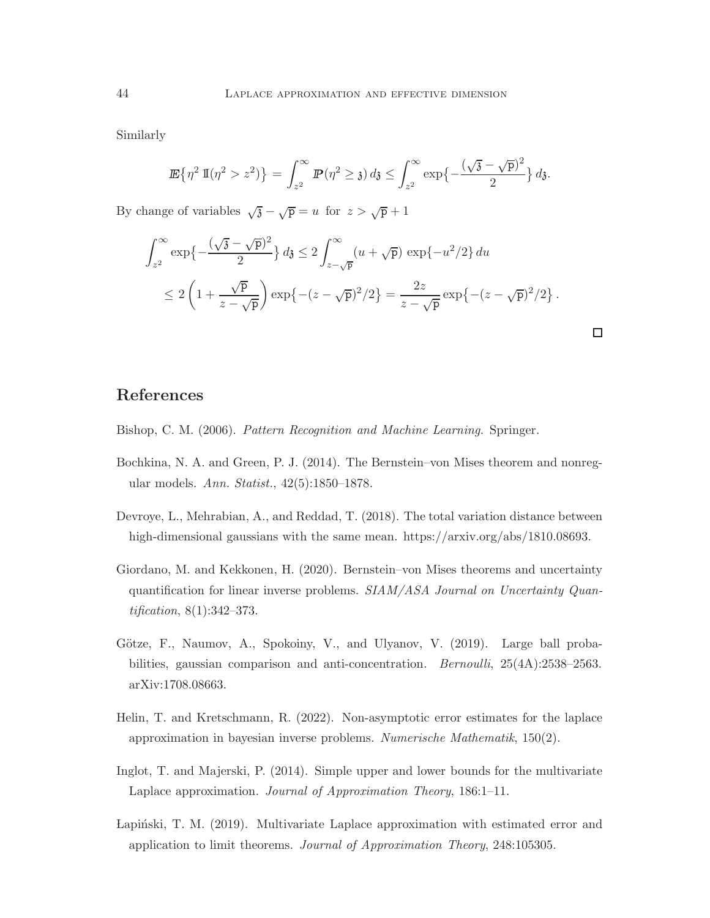Similarly

$$
\mathbb{E}\left\{\eta^2\,\mathbb{I}(\eta^2>z^2)\right\}=\int_{z^2}^\infty \mathbb{P}(\eta^2\geq \mathfrak{z})\,d\mathfrak{z}\leq \int_{z^2}^\infty \exp\left\{-\frac{(\sqrt{\mathfrak{z}}-\sqrt{\mathfrak{p}})^2}{2}\right\}d\mathfrak{z}.
$$

By change of variables  $\sqrt{3} - \sqrt{p} = u$  for  $z > \sqrt{p} + 1$ 

$$
\int_{z^2}^{\infty} \exp\left\{-\frac{(\sqrt{3}-\sqrt{p})^2}{2}\right\} d\mathfrak{z} \le 2 \int_{z-\sqrt{p}}^{\infty} (u+\sqrt{p}) \exp\{-u^2/2\} du
$$
  

$$
\le 2 \left(1+\frac{\sqrt{p}}{z-\sqrt{p}}\right) \exp\left\{-(z-\sqrt{p})^2/2\right\} = \frac{2z}{z-\sqrt{p}} \exp\left\{-(z-\sqrt{p})^2/2\right\}.
$$

 $\Box$ 

# References

<span id="page-43-0"></span>Bishop, C. M. (2006). Pattern Recognition and Machine Learning. Springer.

- <span id="page-43-5"></span>Bochkina, N. A. and Green, P. J. (2014). The Bernstein–von Mises theorem and nonregular models. Ann. Statist., 42(5):1850–1878.
- <span id="page-43-6"></span>Devroye, L., Mehrabian, A., and Reddad, T. (2018). The total variation distance between high-dimensional gaussians with the same mean. https://arxiv.org/abs/1810.08693.
- <span id="page-43-3"></span>Giordano, M. and Kekkonen, H. (2020). Bernstein–von Mises theorems and uncertainty quantification for linear inverse problems. SIAM/ASA Journal on Uncertainty Quantification, 8(1):342–373.
- <span id="page-43-7"></span>Götze, F., Naumov, A., Spokoiny, V., and Ulyanov, V. (2019). Large ball probabilities, gaussian comparison and anti-concentration. Bernoulli, 25(4A):2538–2563. arXiv:1708.08663.
- <span id="page-43-4"></span>Helin, T. and Kretschmann, R. (2022). Non-asymptotic error estimates for the laplace approximation in bayesian inverse problems. Numerische Mathematik, 150(2).
- <span id="page-43-1"></span>Inglot, T. and Majerski, P. (2014). Simple upper and lower bounds for the multivariate Laplace approximation. Journal of Approximation Theory, 186:1–11.
- <span id="page-43-2"></span>Lapinski, T. M. (2019). Multivariate Laplace approximation with estimated error and application to limit theorems. Journal of Approximation Theory, 248:105305.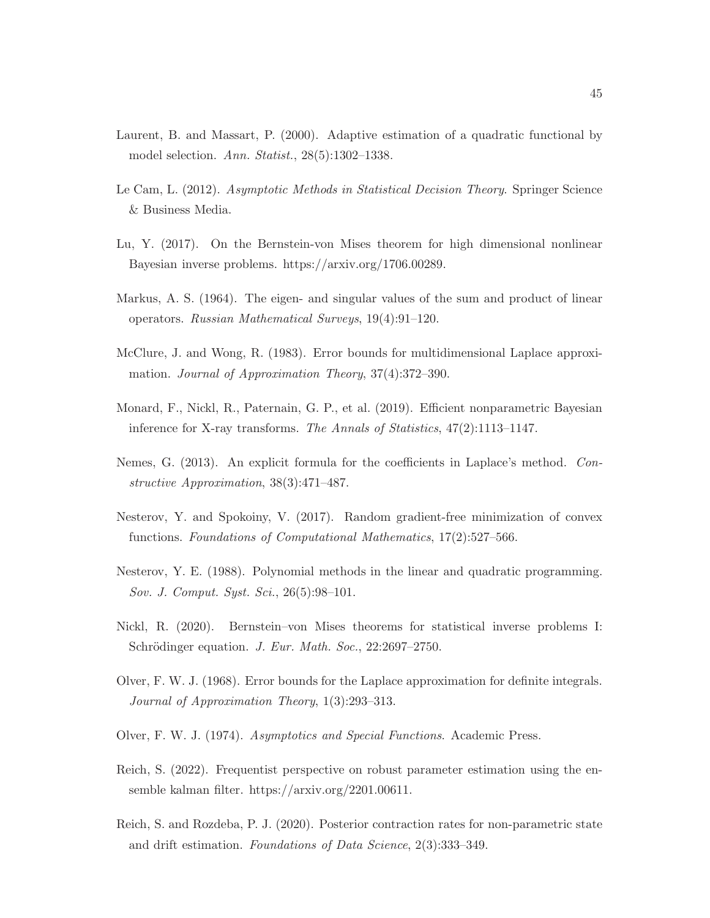- <span id="page-44-13"></span>Laurent, B. and Massart, P. (2000). Adaptive estimation of a quadratic functional by model selection. Ann. Statist., 28(5):1302–1338.
- <span id="page-44-4"></span>Le Cam, L. (2012). Asymptotic Methods in Statistical Decision Theory. Springer Science & Business Media.
- <span id="page-44-5"></span>Lu, Y. (2017). On the Bernstein-von Mises theorem for high dimensional nonlinear Bayesian inverse problems. https://arxiv.org/1706.00289.
- <span id="page-44-11"></span>Markus, A. S. (1964). The eigen- and singular values of the sum and product of linear operators. Russian Mathematical Surveys, 19(4):91–120.
- <span id="page-44-2"></span>McClure, J. and Wong, R. (1983). Error bounds for multidimensional Laplace approximation. Journal of Approximation Theory, 37(4):372–390.
- <span id="page-44-7"></span>Monard, F., Nickl, R., Paternain, G. P., et al. (2019). Efficient nonparametric Bayesian inference for X-ray transforms. The Annals of Statistics, 47(2):1113–1147.
- <span id="page-44-3"></span>Nemes, G. (2013). An explicit formula for the coefficients in Laplace's method. Constructive Approximation, 38(3):471–487.
- <span id="page-44-9"></span>Nesterov, Y. and Spokoiny, V. (2017). Random gradient-free minimization of convex functions. Foundations of Computational Mathematics, 17(2):527–566.
- <span id="page-44-10"></span>Nesterov, Y. E. (1988). Polynomial methods in the linear and quadratic programming. Sov. J. Comput. Syst. Sci., 26(5):98–101.
- <span id="page-44-6"></span>Nickl, R. (2020). Bernstein–von Mises theorems for statistical inverse problems I: Schrödinger equation. J. Eur. Math. Soc., 22:2697–2750.
- <span id="page-44-1"></span>Olver, F. W. J. (1968). Error bounds for the Laplace approximation for definite integrals. Journal of Approximation Theory, 1(3):293–313.
- <span id="page-44-0"></span>Olver, F. W. J. (1974). Asymptotics and Special Functions. Academic Press.
- <span id="page-44-12"></span>Reich, S. (2022). Frequentist perspective on robust parameter estimation using the ensemble kalman filter. https://arxiv.org/2201.00611.
- <span id="page-44-8"></span>Reich, S. and Rozdeba, P. J. (2020). Posterior contraction rates for non-parametric state and drift estimation. Foundations of Data Science, 2(3):333–349.